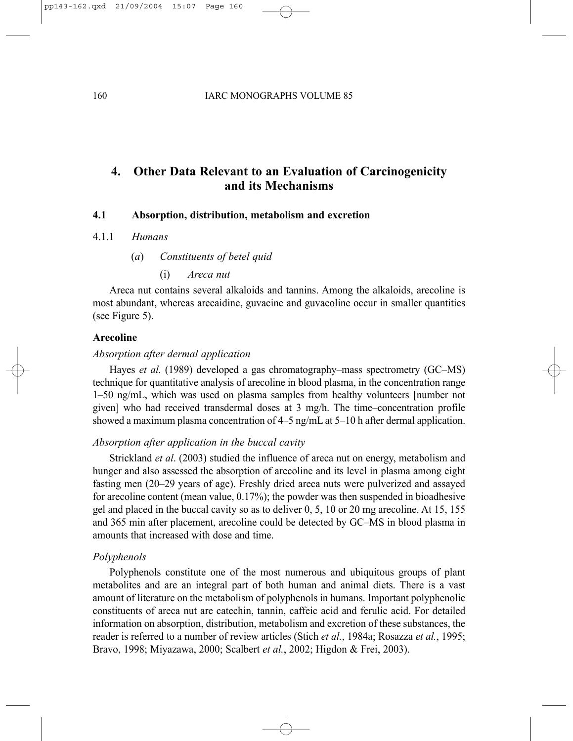# **4. Other Data Relevant to an Evaluation of Carcinogenicity and its Mechanisms**

# **4.1 Absorption, distribution, metabolism and excretion**

- 4.1.1 *Humans*
	- (*a*) *Constituents of betel quid*
		- (i) *Areca nut*

Areca nut contains several alkaloids and tannins. Among the alkaloids, arecoline is most abundant, whereas arecaidine, guvacine and guvacoline occur in smaller quantities (see Figure 5).

# **Arecoline**

# *Absorption after dermal application*

Hayes *et al.* (1989) developed a gas chromatography–mass spectrometry (GC–MS) technique for quantitative analysis of arecoline in blood plasma, in the concentration range 1–50 ng/mL, which was used on plasma samples from healthy volunteers [number not given] who had received transdermal doses at 3 mg/h. The time–concentration profile showed a maximum plasma concentration of 4–5 ng/mL at 5–10 h after dermal application.

# *Absorption after application in the buccal cavity*

Strickland *et al*. (2003) studied the influence of areca nut on energy, metabolism and hunger and also assessed the absorption of arecoline and its level in plasma among eight fasting men (20–29 years of age). Freshly dried areca nuts were pulverized and assayed for arecoline content (mean value, 0.17%); the powder was then suspended in bioadhesive gel and placed in the buccal cavity so as to deliver 0, 5, 10 or 20 mg arecoline. At 15, 155 and 365 min after placement, arecoline could be detected by GC–MS in blood plasma in amounts that increased with dose and time.

## *Polyphenols*

Polyphenols constitute one of the most numerous and ubiquitous groups of plant metabolites and are an integral part of both human and animal diets. There is a vast amount of literature on the metabolism of polyphenols in humans. Important polyphenolic constituents of areca nut are catechin, tannin, caffeic acid and ferulic acid. For detailed information on absorption, distribution, metabolism and excretion of these substances, the reader is referred to a number of review articles (Stich *et al.*, 1984a; Rosazza *et al.*, 1995; Bravo, 1998; Miyazawa, 2000; Scalbert *et al.*, 2002; Higdon & Frei, 2003).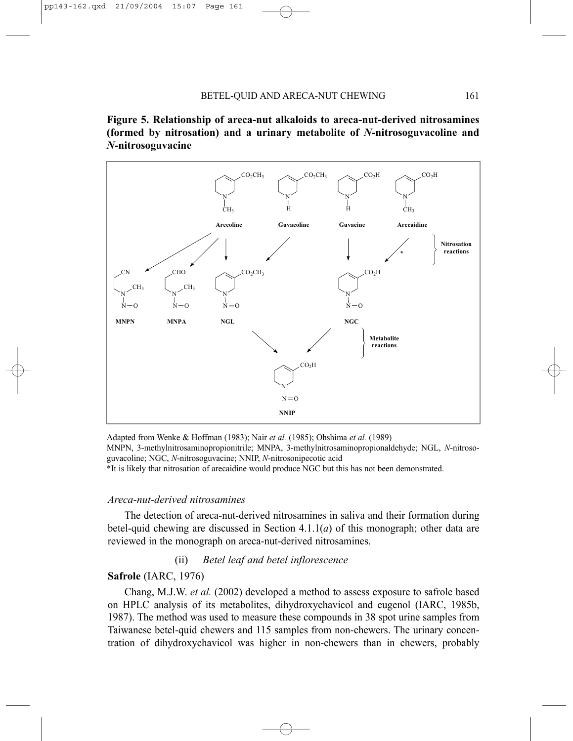



Adapted from Wenke & Hoffman (1983); Nair *et al.* (1985); Ohshima *et al.* (1989) MNPN, 3-methylnitrosaminopropionitrile; MNPA, 3-methylnitrosaminopropionaldehyde; NGL, *N*-nitrosoguvacoline; NGC, *N*-nitrosoguvacine; NNIP, *N*-nitrosonipecotic acid \*It is likely that nitrosation of arecaidine would produce NGC but this has not been demonstrated.

#### *Areca-nut-derived nitrosamines*

The detection of areca-nut-derived nitrosamines in saliva and their formation during betel-quid chewing are discussed in Section 4.1.1(*a*) of this monograph; other data are reviewed in the monograph on areca-nut-derived nitrosamines.

# (ii) *Betel leaf and betel inflorescence*

# **Safrole** (IARC, 1976)

Chang, M.J.W. *et al.* (2002) developed a method to assess exposure to safrole based on HPLC analysis of its metabolites, dihydroxychavicol and eugenol (IARC, 1985b, 1987). The method was used to measure these compounds in 38 spot urine samples from Taiwanese betel-quid chewers and 115 samples from non-chewers. The urinary concentration of dihydroxychavicol was higher in non-chewers than in chewers, probably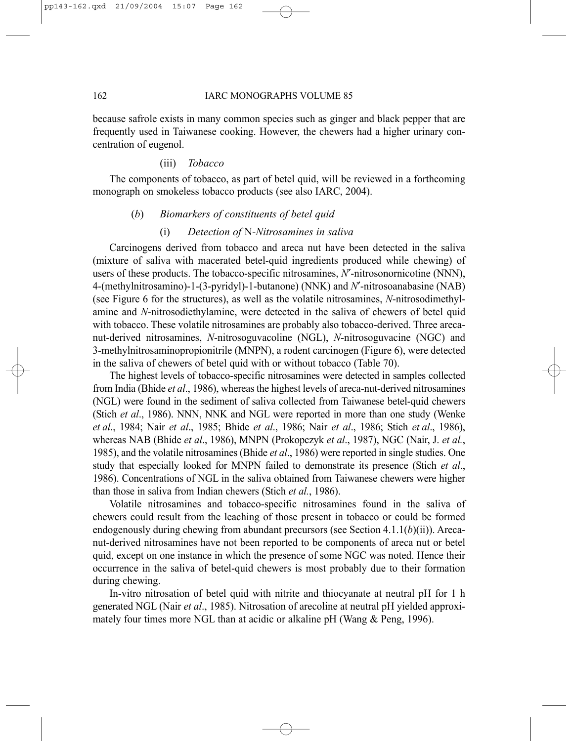because safrole exists in many common species such as ginger and black pepper that are frequently used in Taiwanese cooking. However, the chewers had a higher urinary concentration of eugenol.

# (iii) *Tobacco*

The components of tobacco, as part of betel quid, will be reviewed in a forthcoming monograph on smokeless tobacco products (see also IARC, 2004).

#### (*b*) *Biomarkers of constituents of betel quid*

# (i) *Detection of* N*-Nitrosamines in saliva*

Carcinogens derived from tobacco and areca nut have been detected in the saliva (mixture of saliva with macerated betel-quid ingredients produced while chewing) of users of these products. The tobacco-specific nitrosamines, *N*′-nitrosonornicotine (NNN), 4-(methylnitrosamino)-1-(3-pyridyl)-1-butanone) (NNK) and *N*′-nitrosoanabasine (NAB) (see Figure 6 for the structures), as well as the volatile nitrosamines, *N*-nitrosodimethylamine and *N*-nitrosodiethylamine, were detected in the saliva of chewers of betel quid with tobacco. These volatile nitrosamines are probably also tobacco-derived. Three arecanut-derived nitrosamines, *N*-nitrosoguvacoline (NGL), *N*-nitrosoguvacine (NGC) and 3-methylnitrosaminopropionitrile (MNPN), a rodent carcinogen (Figure 6), were detected in the saliva of chewers of betel quid with or without tobacco (Table 70).

The highest levels of tobacco-specific nitrosamines were detected in samples collected from India (Bhide *et al*., 1986), whereas the highest levels of areca-nut-derived nitrosamines (NGL) were found in the sediment of saliva collected from Taiwanese betel-quid chewers (Stich *et al*., 1986). NNN, NNK and NGL were reported in more than one study (Wenke *et al*., 1984; Nair *et al*., 1985; Bhide *et al*., 1986; Nair *et al*., 1986; Stich *et al*., 1986), whereas NAB (Bhide *et al*., 1986), MNPN (Prokopczyk *et al*., 1987), NGC (Nair, J. *et al.*, 1985), and the volatile nitrosamines (Bhide *et al*., 1986) were reported in single studies. One study that especially looked for MNPN failed to demonstrate its presence (Stich *et al*., 1986). Concentrations of NGL in the saliva obtained from Taiwanese chewers were higher than those in saliva from Indian chewers (Stich *et al.*, 1986).

Volatile nitrosamines and tobacco-specific nitrosamines found in the saliva of chewers could result from the leaching of those present in tobacco or could be formed endogenously during chewing from abundant precursors (see Section 4.1.1(*b*)(ii)). Arecanut-derived nitrosamines have not been reported to be components of areca nut or betel quid, except on one instance in which the presence of some NGC was noted. Hence their occurrence in the saliva of betel-quid chewers is most probably due to their formation during chewing.

In-vitro nitrosation of betel quid with nitrite and thiocyanate at neutral pH for 1 h generated NGL (Nair *et al*., 1985). Nitrosation of arecoline at neutral pH yielded approximately four times more NGL than at acidic or alkaline pH (Wang & Peng, 1996).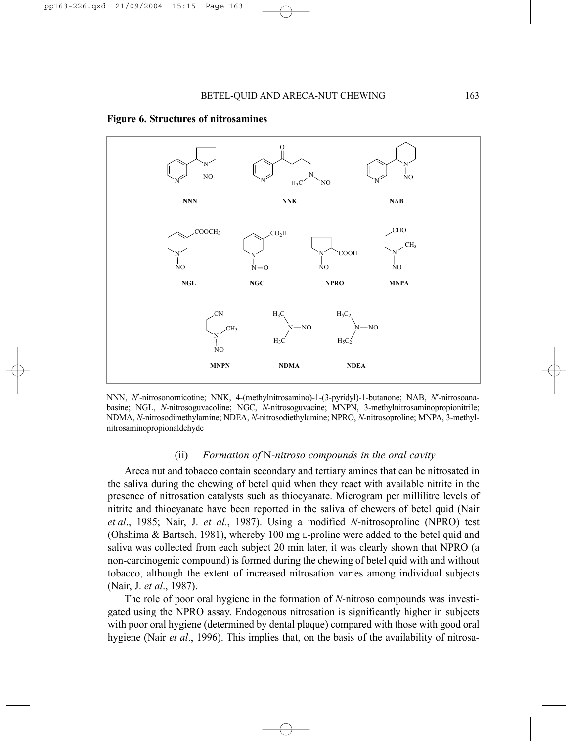

#### **Figure 6. Structures of nitrosamines**

NNN, *N*′-nitrosonornicotine; NNK, 4-(methylnitrosamino)-1-(3-pyridyl)-1-butanone; NAB, *N*′-nitrosoanabasine; NGL, *N*-nitrosoguvacoline; NGC, *N*-nitrosoguvacine; MNPN, 3-methylnitrosaminopropionitrile; NDMA, *N*-nitrosodimethylamine; NDEA, *N*-nitrosodiethylamine; NPRO, *N*-nitrosoproline; MNPA, 3-methylnitrosaminopropionaldehyde

#### (ii) *Formation of* N*-nitroso compounds in the oral cavity*

Areca nut and tobacco contain secondary and tertiary amines that can be nitrosated in the saliva during the chewing of betel quid when they react with available nitrite in the presence of nitrosation catalysts such as thiocyanate. Microgram per millilitre levels of nitrite and thiocyanate have been reported in the saliva of chewers of betel quid (Nair *et al*., 1985; Nair, J. *et al.*, 1987). Using a modified *N*-nitrosoproline (NPRO) test (Ohshima & Bartsch, 1981), whereby 100 mg L-proline were added to the betel quid and saliva was collected from each subject 20 min later, it was clearly shown that NPRO (a non-carcinogenic compound) is formed during the chewing of betel quid with and without tobacco, although the extent of increased nitrosation varies among individual subjects (Nair, J. *et al*., 1987).

The role of poor oral hygiene in the formation of *N*-nitroso compounds was investigated using the NPRO assay. Endogenous nitrosation is significantly higher in subjects with poor oral hygiene (determined by dental plaque) compared with those with good oral hygiene (Nair *et al*., 1996). This implies that, on the basis of the availability of nitrosa-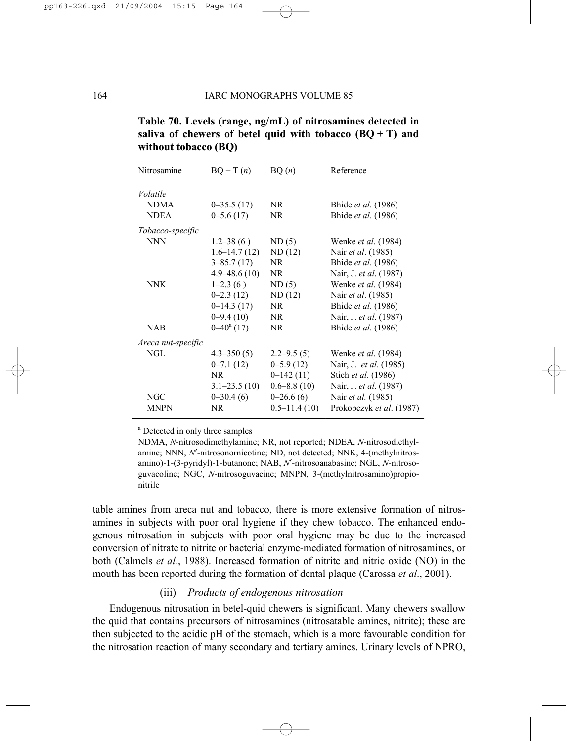| Nitrosamine        | $BQ + T(n)$         | BQ(n)            | Reference                     |
|--------------------|---------------------|------------------|-------------------------------|
| Volatile           |                     |                  |                               |
| <b>NDMA</b>        | $0 - 35.5(17)$      | NR.              | Bhide <i>et al.</i> (1986)    |
| <b>NDEA</b>        | $0 - 5.6(17)$       | NR.              | Bhide et al. (1986)           |
| Tobacco-specific   |                     |                  |                               |
| <b>NNN</b>         | $1.2 - 38(6)$       | ND(5)            | Wenke <i>et al.</i> (1984)    |
|                    | $1.6 - 14.7(12)$    | ND(12)           | Nair et al. (1985)            |
|                    | $3 - 85.7(17)$      | NR.              | Bhide et al. (1986)           |
|                    | $4.9 - 48.6(10)$    | NR.              | Nair, J. et al. (1987)        |
| <b>NNK</b>         | $1-2.3(6)$          | ND(5)            | Wenke et al. (1984)           |
|                    | $0 - 2.3(12)$       | ND(12)           | Nair et al. (1985)            |
|                    | $0-14.3(17)$        | NR.              | Bhide et al. (1986)           |
|                    | $0 - 9.4(10)$       | NR.              | Nair, J. et al. (1987)        |
| <b>NAB</b>         | $0-40^{\circ}$ (17) | NR.              | Bhide et al. (1986)           |
| Areca nut-specific |                     |                  |                               |
| NGL                | $4.3 - 350(5)$      | $2.2 - 9.5(5)$   | Wenke <i>et al.</i> (1984)    |
|                    | $0 - 7.1(12)$       | $0 - 5.9(12)$    | Nair, J. <i>et al.</i> (1985) |
|                    | NR.                 | $0-142(11)$      | Stich et al. (1986)           |
|                    | $3.1 - 23.5(10)$    | $0.6 - 8.8(10)$  | Nair, J. et al. (1987)        |
| NGC                | $0 - 30.4(6)$       | $0-26.6(6)$      | Nair et al. (1985)            |
| <b>MNPN</b>        | NR.                 | $0.5 - 11.4(10)$ | Prokopczyk et al. (1987)      |

**Table 70. Levels (range, ng/mL) of nitrosamines detected in**  saliva of chewers of betel quid with tobacco  $(BQ + T)$  and **without tobacco (BQ)** 

a Detected in only three samples

NDMA, *N*-nitrosodimethylamine; NR, not reported; NDEA, *N*-nitrosodiethylamine; NNN, *N*′-nitrosonornicotine; ND, not detected; NNK, 4-(methylnitrosamino)-1-(3-pyridyl)-1-butanone; NAB, *N*′-nitrosoanabasine; NGL, *N*-nitrosoguvacoline; NGC, *N*-nitrosoguvacine; MNPN, 3-(methylnitrosamino)propionitrile

table amines from areca nut and tobacco, there is more extensive formation of nitrosamines in subjects with poor oral hygiene if they chew tobacco. The enhanced endogenous nitrosation in subjects with poor oral hygiene may be due to the increased conversion of nitrate to nitrite or bacterial enzyme-mediated formation of nitrosamines, or both (Calmels *et al.*, 1988). Increased formation of nitrite and nitric oxide (NO) in the mouth has been reported during the formation of dental plaque (Carossa *et al*., 2001).

#### (iii) *Products of endogenous nitrosation*

Endogenous nitrosation in betel-quid chewers is significant. Many chewers swallow the quid that contains precursors of nitrosamines (nitrosatable amines, nitrite); these are then subjected to the acidic pH of the stomach, which is a more favourable condition for the nitrosation reaction of many secondary and tertiary amines. Urinary levels of NPRO,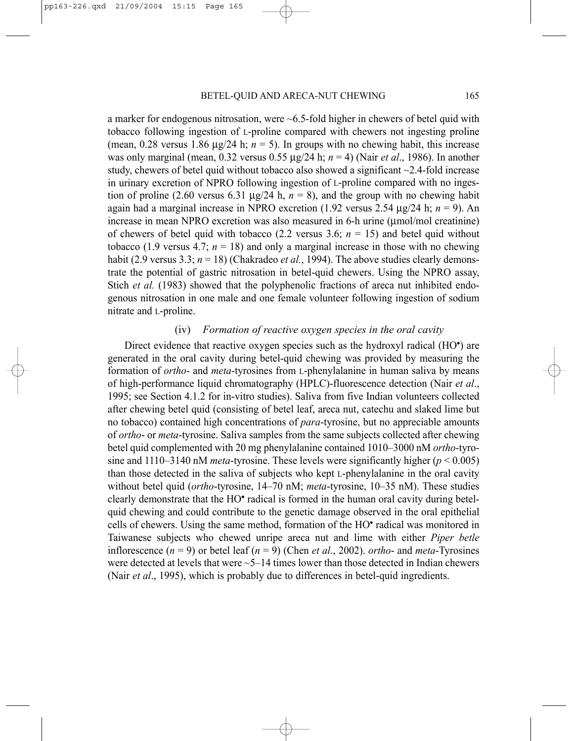a marker for endogenous nitrosation, were  $\sim 6.5$ -fold higher in chewers of betel quid with tobacco following ingestion of L-proline compared with chewers not ingesting proline (mean,  $0.28$  versus  $1.86 \mu g/24$  h;  $n = 5$ ). In groups with no chewing habit, this increase was only marginal (mean, 0.32 versus 0.55 µg/24 h; *n* = 4) (Nair *et al*., 1986). In another study, chewers of betel quid without tobacco also showed a significant  $\sim$ 2.4-fold increase in urinary excretion of NPRO following ingestion of L-proline compared with no ingestion of proline (2.60 versus 6.31  $\mu$ g/24 h, *n* = 8), and the group with no chewing habit again had a marginal increase in NPRO excretion (1.92 versus 2.54 µg/24 h; *n* = 9). An increase in mean NPRO excretion was also measured in 6-h urine (µmol/mol creatinine) of chewers of betel quid with tobacco  $(2.2 \text{ versus } 3.6; n = 15)$  and betel quid without tobacco (1.9 versus 4.7;  $n = 18$ ) and only a marginal increase in those with no chewing habit (2.9 versus 3.3; *n* = 18) (Chakradeo *et al.*, 1994). The above studies clearly demonstrate the potential of gastric nitrosation in betel-quid chewers. Using the NPRO assay, Stich *et al.* (1983) showed that the polyphenolic fractions of areca nut inhibited endogenous nitrosation in one male and one female volunteer following ingestion of sodium nitrate and L-proline.

## (iv) *Formation of reactive oxygen species in the oral cavity*

Direct evidence that reactive oxygen species such as the hydroxyl radical (HO<sup>•</sup>) are generated in the oral cavity during betel-quid chewing was provided by measuring the formation of *ortho*- and *meta*-tyrosines from L-phenylalanine in human saliva by means of high-performance liquid chromatography (HPLC)-fluorescence detection (Nair *et al*., 1995; see Section 4.1.2 for in-vitro studies). Saliva from five Indian volunteers collected after chewing betel quid (consisting of betel leaf, areca nut, catechu and slaked lime but no tobacco) contained high concentrations of *para*-tyrosine, but no appreciable amounts of *ortho*- or *meta*-tyrosine. Saliva samples from the same subjects collected after chewing betel quid complemented with 20 mg phenylalanine contained 1010–3000 nM *ortho*-tyrosine and  $1110-3140$  nM *meta*-tyrosine. These levels were significantly higher ( $p < 0.005$ ) than those detected in the saliva of subjects who kept L-phenylalanine in the oral cavity without betel quid (*ortho*-tyrosine, 14–70 nM; *meta*-tyrosine, 10–35 nM). These studies clearly demonstrate that the HO• radical is formed in the human oral cavity during betelquid chewing and could contribute to the genetic damage observed in the oral epithelial cells of chewers. Using the same method, formation of the HO• radical was monitored in Taiwanese subjects who chewed unripe areca nut and lime with either *Piper betle* inflorescence (*n* = 9) or betel leaf (*n* = 9) (Chen *et al*., 2002). *ortho*- and *meta*-Tyrosines were detected at levels that were  $\sim$  5–14 times lower than those detected in Indian chewers (Nair *et al*., 1995), which is probably due to differences in betel-quid ingredients.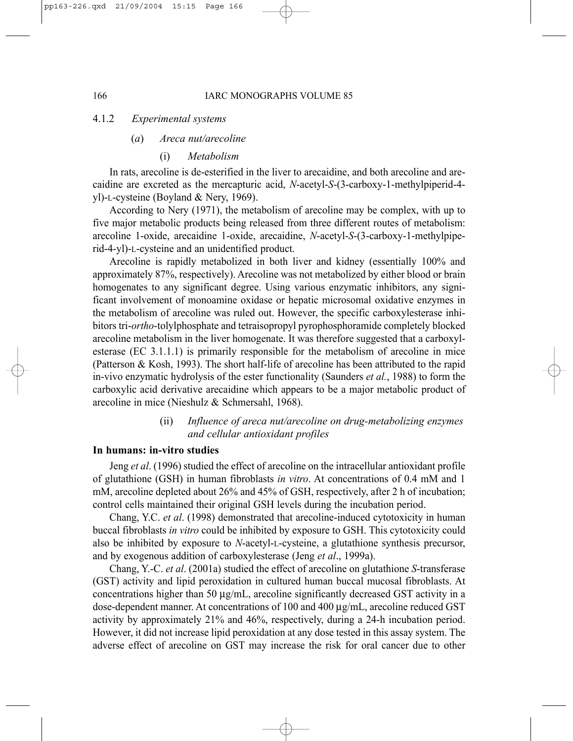#### 4.1.2 *Experimental systems*

#### (*a*) *Areca nut/arecoline*

#### (i) *Metabolism*

In rats, arecoline is de-esterified in the liver to arecaidine, and both arecoline and arecaidine are excreted as the mercapturic acid, *N*-acetyl-*S*-(3-carboxy-1-methylpiperid-4 yl)-L-cysteine (Boyland & Nery, 1969).

According to Nery (1971), the metabolism of arecoline may be complex, with up to five major metabolic products being released from three different routes of metabolism: arecoline 1-oxide, arecaidine 1-oxide, arecaidine, *N*-acetyl-*S*-(3-carboxy-1-methylpiperid-4-yl)-L-cysteine and an unidentified product.

Arecoline is rapidly metabolized in both liver and kidney (essentially 100% and approximately 87%, respectively). Arecoline was not metabolized by either blood or brain homogenates to any significant degree. Using various enzymatic inhibitors, any significant involvement of monoamine oxidase or hepatic microsomal oxidative enzymes in the metabolism of arecoline was ruled out. However, the specific carboxylesterase inhibitors tri-*ortho*-tolylphosphate and tetraisopropyl pyrophosphoramide completely blocked arecoline metabolism in the liver homogenate. It was therefore suggested that a carboxylesterase (EC 3.1.1.1) is primarily responsible for the metabolism of arecoline in mice (Patterson & Kosh, 1993). The short half-life of arecoline has been attributed to the rapid in-vivo enzymatic hydrolysis of the ester functionality (Saunders *et al.*, 1988) to form the carboxylic acid derivative arecaidine which appears to be a major metabolic product of arecoline in mice (Nieshulz & Schmersahl, 1968).

# (ii) *Influence of areca nut/arecoline on drug-metabolizing enzymes and cellular antioxidant profiles*

#### **In humans: in-vitro studies**

Jeng *et al*. (1996) studied the effect of arecoline on the intracellular antioxidant profile of glutathione (GSH) in human fibroblasts *in vitro*. At concentrations of 0.4 mM and 1 mM, arecoline depleted about 26% and 45% of GSH, respectively, after 2 h of incubation; control cells maintained their original GSH levels during the incubation period.

Chang, Y.C. *et al*. (1998) demonstrated that arecoline-induced cytotoxicity in human buccal fibroblasts *in vitro* could be inhibited by exposure to GSH. This cytotoxicity could also be inhibited by exposure to *N*-acetyl-L-cysteine, a glutathione synthesis precursor, and by exogenous addition of carboxylesterase (Jeng *et al*., 1999a).

Chang, Y.-C. *et al*. (2001a) studied the effect of arecoline on glutathione *S*-transferase (GST) activity and lipid peroxidation in cultured human buccal mucosal fibroblasts. At concentrations higher than 50 µg/mL, arecoline significantly decreased GST activity in a dose-dependent manner. At concentrations of 100 and 400 µg/mL, arecoline reduced GST activity by approximately 21% and 46%, respectively, during a 24-h incubation period. However, it did not increase lipid peroxidation at any dose tested in this assay system. The adverse effect of arecoline on GST may increase the risk for oral cancer due to other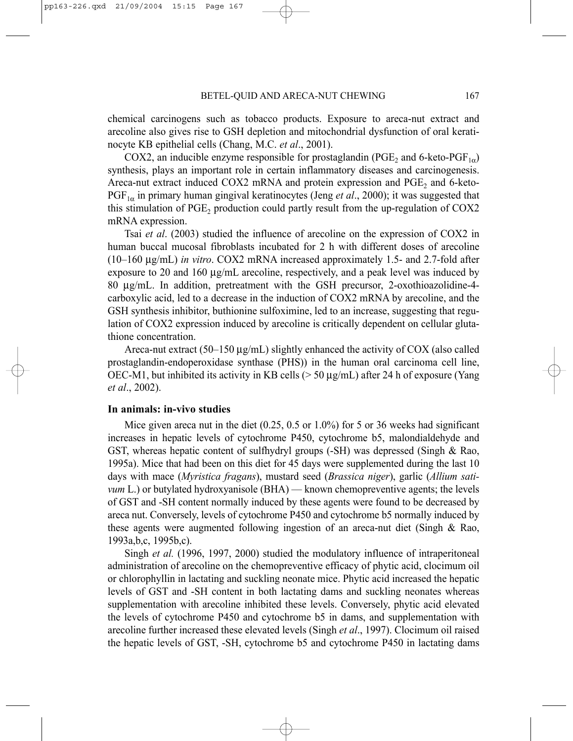chemical carcinogens such as tobacco products. Exposure to areca-nut extract and arecoline also gives rise to GSH depletion and mitochondrial dysfunction of oral keratinocyte KB epithelial cells (Chang, M.C. *et al*., 2001).

COX2, an inducible enzyme responsible for prostaglandin (PGE<sub>2</sub> and 6-keto-PGF<sub>1 $\alpha$ </sub>) synthesis, plays an important role in certain inflammatory diseases and carcinogenesis. Areca-nut extract induced COX2 mRNA and protein expression and  $PGE<sub>2</sub>$  and 6-keto- $PGF<sub>1\alpha</sub>$  in primary human gingival keratinocytes (Jeng *et al.*, 2000); it was suggested that this stimulation of  $PGE_2$  production could partly result from the up-regulation of COX2 mRNA expression.

Tsai *et al*. (2003) studied the influence of arecoline on the expression of COX2 in human buccal mucosal fibroblasts incubated for 2 h with different doses of arecoline (10–160 µg/mL) *in vitro*. COX2 mRNA increased approximately 1.5- and 2.7-fold after exposure to 20 and 160 µg/mL arecoline, respectively, and a peak level was induced by 80 µg/mL. In addition, pretreatment with the GSH precursor, 2-oxothioazolidine-4 carboxylic acid, led to a decrease in the induction of COX2 mRNA by arecoline, and the GSH synthesis inhibitor, buthionine sulfoximine, led to an increase, suggesting that regulation of COX2 expression induced by arecoline is critically dependent on cellular glutathione concentration.

Areca-nut extract (50–150 µg/mL) slightly enhanced the activity of COX (also called prostaglandin-endoperoxidase synthase (PHS)) in the human oral carcinoma cell line, OEC-M1, but inhibited its activity in KB cells ( $>$  50  $\mu$ g/mL) after 24 h of exposure (Yang *et al*., 2002).

# **In animals: in-vivo studies**

Mice given areca nut in the diet  $(0.25, 0.5 \text{ or } 1.0\%)$  for 5 or 36 weeks had significant increases in hepatic levels of cytochrome P450, cytochrome b5, malondialdehyde and GST, whereas hepatic content of sulfhydryl groups (-SH) was depressed (Singh & Rao, 1995a). Mice that had been on this diet for 45 days were supplemented during the last 10 days with mace (*Myristica fragans*), mustard seed (*Brassica niger*), garlic (*Allium sativum* L.) or butylated hydroxyanisole (BHA) — known chemopreventive agents; the levels of GST and -SH content normally induced by these agents were found to be decreased by areca nut. Conversely, levels of cytochrome P450 and cytochrome b5 normally induced by these agents were augmented following ingestion of an areca-nut diet (Singh & Rao, 1993a,b,c, 1995b,c).

Singh *et al.* (1996, 1997, 2000) studied the modulatory influence of intraperitoneal administration of arecoline on the chemopreventive efficacy of phytic acid, clocimum oil or chlorophyllin in lactating and suckling neonate mice. Phytic acid increased the hepatic levels of GST and -SH content in both lactating dams and suckling neonates whereas supplementation with arecoline inhibited these levels. Conversely, phytic acid elevated the levels of cytochrome P450 and cytochrome b5 in dams, and supplementation with arecoline further increased these elevated levels (Singh *et al*., 1997). Clocimum oil raised the hepatic levels of GST, -SH, cytochrome b5 and cytochrome P450 in lactating dams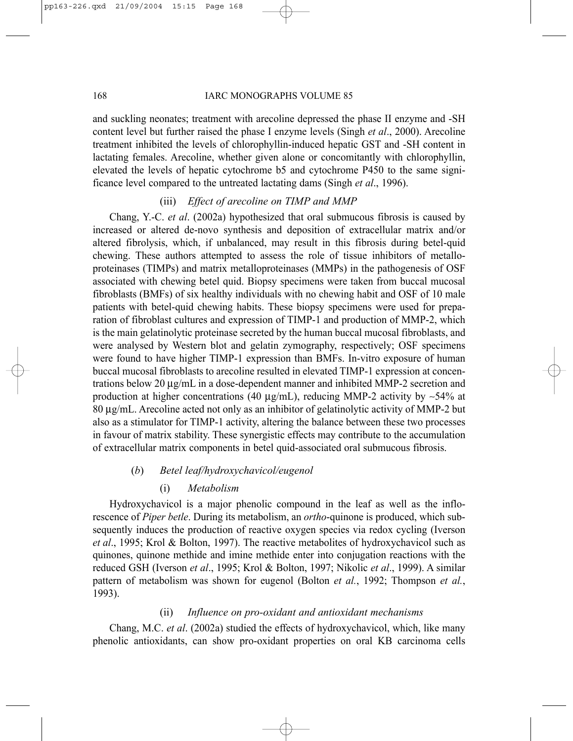#### 168 IARC MONOGRAPHS VOLUME 85

and suckling neonates; treatment with arecoline depressed the phase II enzyme and -SH content level but further raised the phase I enzyme levels (Singh *et al*., 2000). Arecoline treatment inhibited the levels of chlorophyllin-induced hepatic GST and -SH content in lactating females. Arecoline, whether given alone or concomitantly with chlorophyllin, elevated the levels of hepatic cytochrome b5 and cytochrome P450 to the same significance level compared to the untreated lactating dams (Singh *et al*., 1996).

# (iii) *Effect of arecoline on TIMP and MMP*

Chang, Y.-C. *et al*. (2002a) hypothesized that oral submucous fibrosis is caused by increased or altered de-novo synthesis and deposition of extracellular matrix and/or altered fibrolysis, which, if unbalanced, may result in this fibrosis during betel-quid chewing. These authors attempted to assess the role of tissue inhibitors of metalloproteinases (TIMPs) and matrix metalloproteinases (MMPs) in the pathogenesis of OSF associated with chewing betel quid. Biopsy specimens were taken from buccal mucosal fibroblasts (BMFs) of six healthy individuals with no chewing habit and OSF of 10 male patients with betel-quid chewing habits. These biopsy specimens were used for preparation of fibroblast cultures and expression of TIMP-1 and production of MMP-2, which is the main gelatinolytic proteinase secreted by the human buccal mucosal fibroblasts, and were analysed by Western blot and gelatin zymography, respectively; OSF specimens were found to have higher TIMP-1 expression than BMFs. In-vitro exposure of human buccal mucosal fibroblasts to arecoline resulted in elevated TIMP-1 expression at concentrations below 20 µg/mL in a dose-dependent manner and inhibited MMP-2 secretion and production at higher concentrations (40 µg/mL), reducing MMP-2 activity by ∼54% at 80 µg/mL. Arecoline acted not only as an inhibitor of gelatinolytic activity of MMP-2 but also as a stimulator for TIMP-1 activity, altering the balance between these two processes in favour of matrix stability. These synergistic effects may contribute to the accumulation of extracellular matrix components in betel quid-associated oral submucous fibrosis.

# (*b*) *Betel leaf/hydroxychavicol/eugenol*

# (i) *Metabolism*

Hydroxychavicol is a major phenolic compound in the leaf as well as the inflorescence of *Piper betle*. During its metabolism, an *ortho*-quinone is produced, which subsequently induces the production of reactive oxygen species via redox cycling (Iverson *et al*., 1995; Krol & Bolton, 1997). The reactive metabolites of hydroxychavicol such as quinones, quinone methide and imine methide enter into conjugation reactions with the reduced GSH (Iverson *et al*., 1995; Krol & Bolton, 1997; Nikolic *et al*., 1999). A similar pattern of metabolism was shown for eugenol (Bolton *et al.*, 1992; Thompson *et al.*, 1993).

# (ii) *Influence on pro-oxidant and antioxidant mechanisms*

Chang, M.C. *et al*. (2002a) studied the effects of hydroxychavicol, which, like many phenolic antioxidants, can show pro-oxidant properties on oral KB carcinoma cells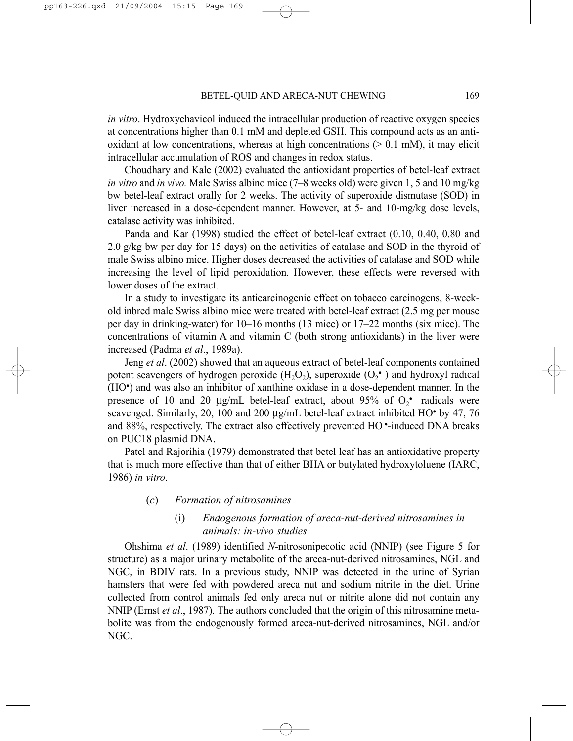*in vitro*. Hydroxychavicol induced the intracellular production of reactive oxygen species at concentrations higher than 0.1 mM and depleted GSH. This compound acts as an antioxidant at low concentrations, whereas at high concentrations  $(> 0.1 \text{ mM})$ , it may elicit intracellular accumulation of ROS and changes in redox status.

Choudhary and Kale (2002) evaluated the antioxidant properties of betel-leaf extract *in vitro* and *in vivo.* Male Swiss albino mice (7–8 weeks old) were given 1, 5 and 10 mg/kg bw betel-leaf extract orally for 2 weeks. The activity of superoxide dismutase (SOD) in liver increased in a dose-dependent manner. However, at 5- and 10-mg/kg dose levels, catalase activity was inhibited.

Panda and Kar (1998) studied the effect of betel-leaf extract (0.10, 0.40, 0.80 and 2.0 g/kg bw per day for 15 days) on the activities of catalase and SOD in the thyroid of male Swiss albino mice. Higher doses decreased the activities of catalase and SOD while increasing the level of lipid peroxidation. However, these effects were reversed with lower doses of the extract.

In a study to investigate its anticarcinogenic effect on tobacco carcinogens, 8-weekold inbred male Swiss albino mice were treated with betel-leaf extract (2.5 mg per mouse per day in drinking-water) for 10–16 months (13 mice) or 17–22 months (six mice). The concentrations of vitamin A and vitamin C (both strong antioxidants) in the liver were increased (Padma *et al*., 1989a).

Jeng *et al*. (2002) showed that an aqueous extract of betel-leaf components contained potent scavengers of hydrogen peroxide  $(H_2O_2)$ , superoxide  $(O_2^{\bullet-})$  and hydroxyl radical (HO• ) and was also an inhibitor of xanthine oxidase in a dose-dependent manner. In the presence of 10 and 20  $\mu$ g/mL betel-leaf extract, about 95% of  $O_2$ <sup>-</sup> radicals were scavenged. Similarly, 20, 100 and 200  $\mu$ g/mL betel-leaf extract inhibited HO• by 47, 76 and 88%, respectively. The extract also effectively prevented HO •-induced DNA breaks on PUC18 plasmid DNA.

Patel and Rajorihia (1979) demonstrated that betel leaf has an antioxidative property that is much more effective than that of either BHA or butylated hydroxytoluene (IARC, 1986) *in vitro*.

## (*c*) *Formation of nitrosamines*

# (i) *Endogenous formation of areca-nut-derived nitrosamines in animals: in-vivo studies*

Ohshima *et al*. (1989) identified *N*-nitrosonipecotic acid (NNIP) (see Figure 5 for structure) as a major urinary metabolite of the areca-nut-derived nitrosamines, NGL and NGC, in BDIV rats. In a previous study, NNIP was detected in the urine of Syrian hamsters that were fed with powdered areca nut and sodium nitrite in the diet. Urine collected from control animals fed only areca nut or nitrite alone did not contain any NNIP (Ernst *et al*., 1987). The authors concluded that the origin of this nitrosamine metabolite was from the endogenously formed areca-nut-derived nitrosamines, NGL and/or NGC.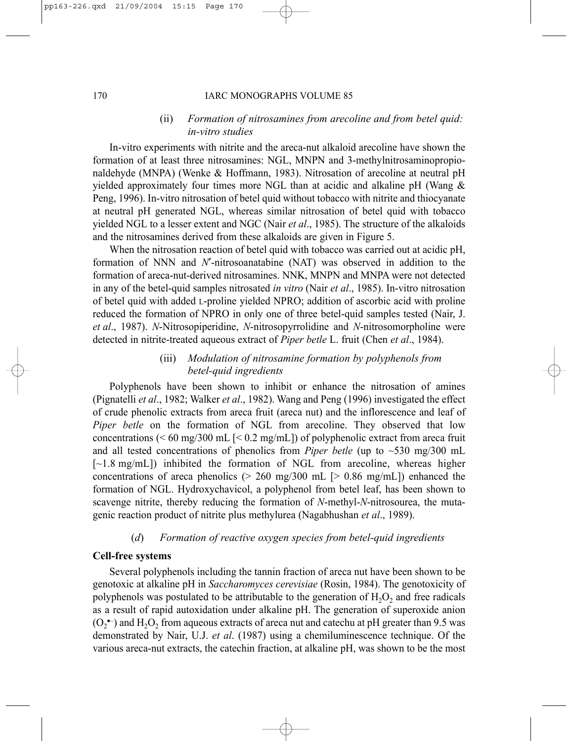#### 170 IARC MONOGRAPHS VOLUME 85

# (ii) *Formation of nitrosamines from arecoline and from betel quid: in-vitro studies*

In-vitro experiments with nitrite and the areca-nut alkaloid arecoline have shown the formation of at least three nitrosamines: NGL, MNPN and 3-methylnitrosaminopropionaldehyde (MNPA) (Wenke & Hoffmann, 1983). Nitrosation of arecoline at neutral pH yielded approximately four times more NGL than at acidic and alkaline pH (Wang & Peng, 1996). In-vitro nitrosation of betel quid without tobacco with nitrite and thiocyanate at neutral pH generated NGL, whereas similar nitrosation of betel quid with tobacco yielded NGL to a lesser extent and NGC (Nair *et al*., 1985). The structure of the alkaloids and the nitrosamines derived from these alkaloids are given in Figure 5.

When the nitrosation reaction of betel quid with tobacco was carried out at acidic pH, formation of NNN and *N*′-nitrosoanatabine (NAT) was observed in addition to the formation of areca-nut-derived nitrosamines. NNK, MNPN and MNPA were not detected in any of the betel-quid samples nitrosated *in vitro* (Nair *et al*., 1985). In-vitro nitrosation of betel quid with added L-proline yielded NPRO; addition of ascorbic acid with proline reduced the formation of NPRO in only one of three betel-quid samples tested (Nair, J. *et al*., 1987). *N*-Nitrosopiperidine, *N*-nitrosopyrrolidine and *N*-nitrosomorpholine were detected in nitrite-treated aqueous extract of *Piper betle* L. fruit (Chen *et al*., 1984).

# (iii) *Modulation of nitrosamine formation by polyphenols from betel-quid ingredients*

Polyphenols have been shown to inhibit or enhance the nitrosation of amines (Pignatelli *et al*., 1982; Walker *et al*., 1982). Wang and Peng (1996) investigated the effect of crude phenolic extracts from areca fruit (areca nut) and the inflorescence and leaf of *Piper betle* on the formation of NGL from arecoline. They observed that low concentrations ( $\leq 60$  mg/300 mL  $\leq 0.2$  mg/mL]) of polyphenolic extract from areca fruit and all tested concentrations of phenolics from *Piper betle* (up to  $\sim$ 530 mg/300 mL  $[-1.8 \text{ mg/mL}]$  inhibited the formation of NGL from arecoline, whereas higher concentrations of areca phenolics ( $> 260$  mg/300 mL [ $> 0.86$  mg/mL]) enhanced the formation of NGL. Hydroxychavicol, a polyphenol from betel leaf, has been shown to scavenge nitrite, thereby reducing the formation of *N*-methyl-*N*-nitrosourea, the mutagenic reaction product of nitrite plus methylurea (Nagabhushan *et al*., 1989).

# (*d*) *Formation of reactive oxygen species from betel-quid ingredients*

#### **Cell-free systems**

Several polyphenols including the tannin fraction of areca nut have been shown to be genotoxic at alkaline pH in *Saccharomyces cerevisiae* (Rosin, 1984). The genotoxicity of polyphenols was postulated to be attributable to the generation of  $H<sub>2</sub>O<sub>2</sub>$  and free radicals as a result of rapid autoxidation under alkaline pH. The generation of superoxide anion  $(O_2^{\bullet})$  and  $H_2O_2$  from aqueous extracts of areca nut and catechu at pH greater than 9.5 was demonstrated by Nair, U.J. *et al*. (1987) using a chemiluminescence technique. Of the various areca-nut extracts, the catechin fraction, at alkaline pH, was shown to be the most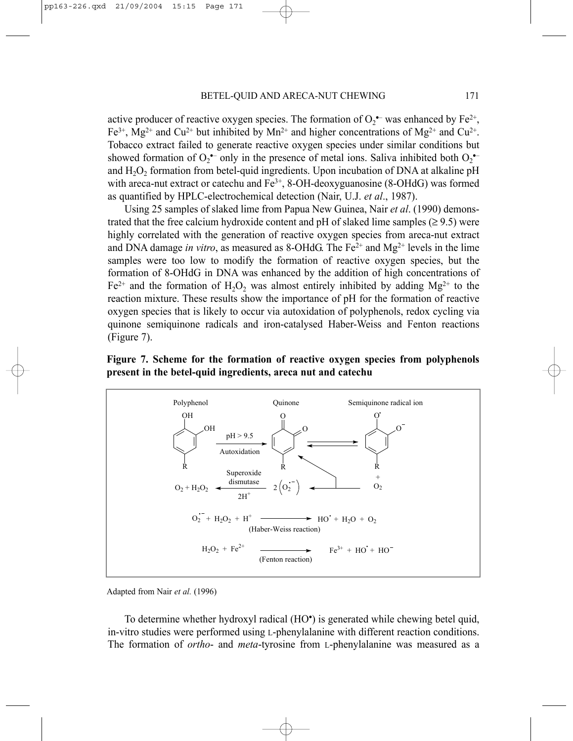active producer of reactive oxygen species. The formation of  $O_2$ <sup>+</sup> was enhanced by Fe<sup>2+</sup>, Fe<sup>3+</sup>, Mg<sup>2+</sup> and Cu<sup>2+</sup> but inhibited by Mn<sup>2+</sup> and higher concentrations of Mg<sup>2+</sup> and Cu<sup>2+</sup>. Tobacco extract failed to generate reactive oxygen species under similar conditions but showed formation of  $O_2$  only in the presence of metal ions. Saliva inhibited both  $O_2$ and  $H_2O_2$  formation from betel-quid ingredients. Upon incubation of DNA at alkaline pH with areca-nut extract or catechu and  $Fe<sup>3+</sup>$ , 8-OH-deoxyguanosine (8-OHdG) was formed as quantified by HPLC-electrochemical detection (Nair, U.J. *et al*., 1987).

Using 25 samples of slaked lime from Papua New Guinea, Nair *et al*. (1990) demonstrated that the free calcium hydroxide content and pH of slaked lime samples  $(\geq 9.5)$  were highly correlated with the generation of reactive oxygen species from areca-nut extract and DNA damage *in vitro*, as measured as 8-OHdG. The  $Fe<sup>2+</sup>$  and  $Mg<sup>2+</sup>$  levels in the lime samples were too low to modify the formation of reactive oxygen species, but the formation of 8-OHdG in DNA was enhanced by the addition of high concentrations of  $Fe^{2+}$  and the formation of H<sub>2</sub>O<sub>2</sub> was almost entirely inhibited by adding Mg<sup>2+</sup> to the reaction mixture. These results show the importance of pH for the formation of reactive oxygen species that is likely to occur via autoxidation of polyphenols, redox cycling via quinone semiquinone radicals and iron-catalysed Haber-Weiss and Fenton reactions (Figure 7).

# **Figure 7. Scheme for the formation of reactive oxygen species from polyphenols present in the betel-quid ingredients, areca nut and catechu**



Adapted from Nair *et al.* (1996)

To determine whether hydroxyl radical (HO• ) is generated while chewing betel quid, in-vitro studies were performed using L-phenylalanine with different reaction conditions. The formation of *ortho*- and *meta*-tyrosine from L-phenylalanine was measured as a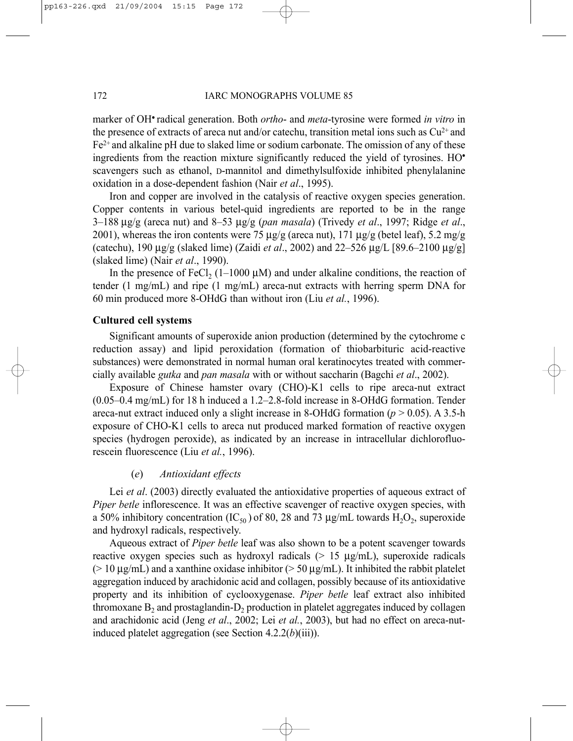marker of OH• radical generation. Both *ortho*- and *meta*-tyrosine were formed *in vitro* in the presence of extracts of areca nut and/or catechu, transition metal ions such as  $Cu^{2+}$  and  $Fe<sup>2+</sup>$  and alkaline pH due to slaked lime or sodium carbonate. The omission of any of these ingredients from the reaction mixture significantly reduced the yield of tyrosines. HO• scavengers such as ethanol, D-mannitol and dimethylsulfoxide inhibited phenylalanine oxidation in a dose-dependent fashion (Nair *et al*., 1995).

Iron and copper are involved in the catalysis of reactive oxygen species generation. Copper contents in various betel-quid ingredients are reported to be in the range 3–188 µg/g (areca nut) and 8–53 µg/g (*pan masala*) (Trivedy *et al*., 1997; Ridge *et al*., 2001), whereas the iron contents were  $75 \text{ µg/g}$  (areca nut),  $171 \text{ µg/g}$  (betel leaf),  $5.2 \text{ mg/g}$ (catechu), 190 µg/g (slaked lime) (Zaidi *et al*., 2002) and 22–526 µg/L [89.6–2100 µg/g] (slaked lime) (Nair *et al*., 1990).

In the presence of FeCl<sub>2</sub> (1–1000  $\mu$ M) and under alkaline conditions, the reaction of tender (1 mg/mL) and ripe (1 mg/mL) areca-nut extracts with herring sperm DNA for 60 min produced more 8-OHdG than without iron (Liu *et al.*, 1996).

# **Cultured cell systems**

Significant amounts of superoxide anion production (determined by the cytochrome c reduction assay) and lipid peroxidation (formation of thiobarbituric acid-reactive substances) were demonstrated in normal human oral keratinocytes treated with commercially available *gutka* and *pan masala* with or without saccharin (Bagchi *et al*., 2002).

Exposure of Chinese hamster ovary (CHO)-K1 cells to ripe areca-nut extract (0.05–0.4 mg/mL) for 18 h induced a 1.2–2.8-fold increase in 8-OHdG formation. Tender areca-nut extract induced only a slight increase in 8-OHdG formation  $(p > 0.05)$ . A 3.5-h exposure of CHO-K1 cells to areca nut produced marked formation of reactive oxygen species (hydrogen peroxide), as indicated by an increase in intracellular dichlorofluorescein fluorescence (Liu *et al.*, 1996).

#### (*e*) *Antioxidant effects*

Lei *et al*. (2003) directly evaluated the antioxidative properties of aqueous extract of *Piper betle* inflorescence. It was an effective scavenger of reactive oxygen species, with a 50% inhibitory concentration (IC<sub>50</sub>) of 80, 28 and 73  $\mu$ g/mL towards H<sub>2</sub>O<sub>2</sub>, superoxide and hydroxyl radicals, respectively.

Aqueous extract of *Piper betle* leaf was also shown to be a potent scavenger towards reactive oxygen species such as hydroxyl radicals  $(> 15 \mu g/mL)$ , superoxide radicals ( $> 10 \mu g/mL$ ) and a xanthine oxidase inhibitor ( $> 50 \mu g/mL$ ). It inhibited the rabbit platelet aggregation induced by arachidonic acid and collagen, possibly because of its antioxidative property and its inhibition of cyclooxygenase. *Piper betle* leaf extract also inhibited thromoxane  $B_2$  and prostagland in- $D_2$  production in platelet aggregates induced by collagen and arachidonic acid (Jeng *et al*., 2002; Lei *et al.*, 2003), but had no effect on areca-nutinduced platelet aggregation (see Section 4.2.2(*b*)(iii)).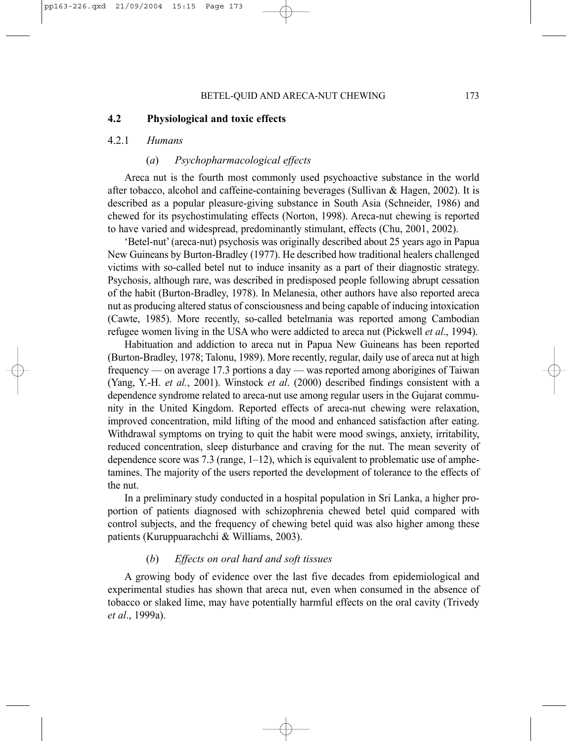# **4.2 Physiological and toxic effects**

#### 4.2.1 *Humans*

#### (*a*) *Psychopharmacological effects*

Areca nut is the fourth most commonly used psychoactive substance in the world after tobacco, alcohol and caffeine-containing beverages (Sullivan  $\&$  Hagen, 2002). It is described as a popular pleasure-giving substance in South Asia (Schneider, 1986) and chewed for its psychostimulating effects (Norton, 1998). Areca-nut chewing is reported to have varied and widespread, predominantly stimulant, effects (Chu, 2001, 2002).

'Betel-nut' (areca-nut) psychosis was originally described about 25 years ago in Papua New Guineans by Burton-Bradley (1977). He described how traditional healers challenged victims with so-called betel nut to induce insanity as a part of their diagnostic strategy. Psychosis, although rare, was described in predisposed people following abrupt cessation of the habit (Burton-Bradley, 1978). In Melanesia, other authors have also reported areca nut as producing altered status of consciousness and being capable of inducing intoxication (Cawte, 1985). More recently, so-called betelmania was reported among Cambodian refugee women living in the USA who were addicted to areca nut (Pickwell *et al*., 1994).

Habituation and addiction to areca nut in Papua New Guineans has been reported (Burton-Bradley, 1978; Talonu, 1989). More recently, regular, daily use of areca nut at high frequency — on average 17.3 portions a day — was reported among aborigines of Taiwan (Yang, Y.-H. *et al.*, 2001). Winstock *et al*. (2000) described findings consistent with a dependence syndrome related to areca-nut use among regular users in the Gujarat community in the United Kingdom. Reported effects of areca-nut chewing were relaxation, improved concentration, mild lifting of the mood and enhanced satisfaction after eating. Withdrawal symptoms on trying to quit the habit were mood swings, anxiety, irritability, reduced concentration, sleep disturbance and craving for the nut. The mean severity of dependence score was 7.3 (range,  $1-12$ ), which is equivalent to problematic use of amphetamines. The majority of the users reported the development of tolerance to the effects of the nut.

In a preliminary study conducted in a hospital population in Sri Lanka, a higher proportion of patients diagnosed with schizophrenia chewed betel quid compared with control subjects, and the frequency of chewing betel quid was also higher among these patients (Kuruppuarachchi & Williams, 2003).

# (*b*) *Effects on oral hard and soft tissues*

A growing body of evidence over the last five decades from epidemiological and experimental studies has shown that areca nut, even when consumed in the absence of tobacco or slaked lime, may have potentially harmful effects on the oral cavity (Trivedy *et al*., 1999a).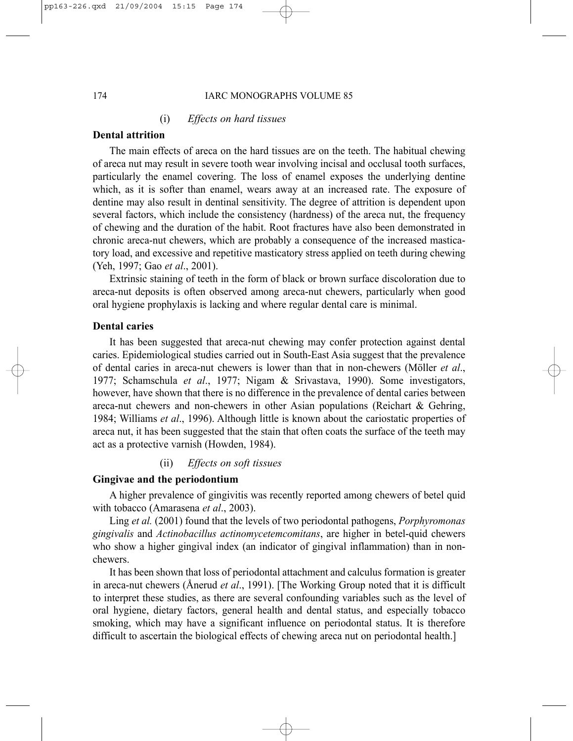#### 174 IARC MONOGRAPHS VOLUME 85

# (i) *Effects on hard tissues*

# **Dental attrition**

The main effects of areca on the hard tissues are on the teeth. The habitual chewing of areca nut may result in severe tooth wear involving incisal and occlusal tooth surfaces, particularly the enamel covering. The loss of enamel exposes the underlying dentine which, as it is softer than enamel, wears away at an increased rate. The exposure of dentine may also result in dentinal sensitivity. The degree of attrition is dependent upon several factors, which include the consistency (hardness) of the areca nut, the frequency of chewing and the duration of the habit. Root fractures have also been demonstrated in chronic areca-nut chewers, which are probably a consequence of the increased masticatory load, and excessive and repetitive masticatory stress applied on teeth during chewing (Yeh, 1997; Gao *et al*., 2001).

Extrinsic staining of teeth in the form of black or brown surface discoloration due to areca-nut deposits is often observed among areca-nut chewers, particularly when good oral hygiene prophylaxis is lacking and where regular dental care is minimal.

# **Dental caries**

It has been suggested that areca-nut chewing may confer protection against dental caries. Epidemiological studies carried out in South-East Asia suggest that the prevalence of dental caries in areca-nut chewers is lower than that in non-chewers (Möller *et al*., 1977; Schamschula *et al*., 1977; Nigam & Srivastava, 1990). Some investigators, however, have shown that there is no difference in the prevalence of dental caries between areca-nut chewers and non-chewers in other Asian populations (Reichart & Gehring, 1984; Williams *et al*., 1996). Although little is known about the cariostatic properties of areca nut, it has been suggested that the stain that often coats the surface of the teeth may act as a protective varnish (Howden, 1984).

# (ii) *Effects on soft tissues*

# **Gingivae and the periodontium**

A higher prevalence of gingivitis was recently reported among chewers of betel quid with tobacco (Amarasena *et al*., 2003).

Ling *et al.* (2001) found that the levels of two periodontal pathogens, *Porphyromonas gingivalis* and *Actinobacillus actinomycetemcomitans*, are higher in betel-quid chewers who show a higher gingival index (an indicator of gingival inflammation) than in nonchewers.

It has been shown that loss of periodontal attachment and calculus formation is greater in areca-nut chewers (Ånerud *et al*., 1991). [The Working Group noted that it is difficult to interpret these studies, as there are several confounding variables such as the level of oral hygiene, dietary factors, general health and dental status, and especially tobacco smoking, which may have a significant influence on periodontal status. It is therefore difficult to ascertain the biological effects of chewing areca nut on periodontal health.]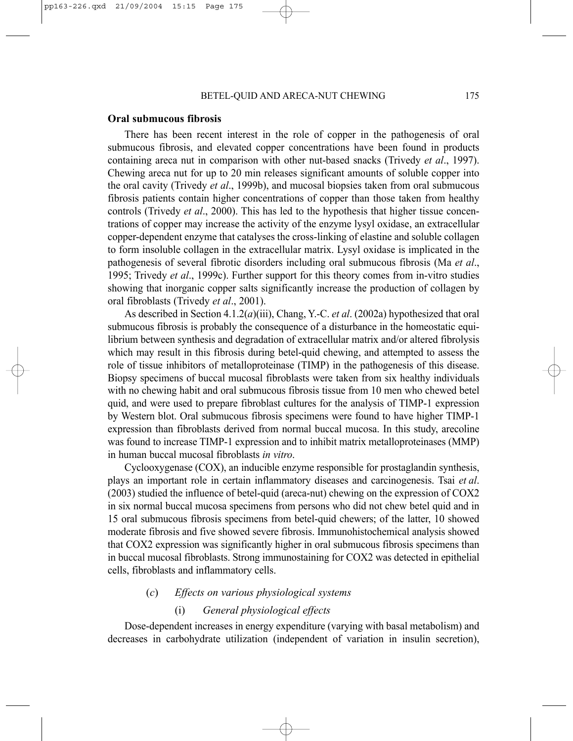#### **Oral submucous fibrosis**

There has been recent interest in the role of copper in the pathogenesis of oral submucous fibrosis, and elevated copper concentrations have been found in products containing areca nut in comparison with other nut-based snacks (Trivedy *et al*., 1997). Chewing areca nut for up to 20 min releases significant amounts of soluble copper into the oral cavity (Trivedy *et al*., 1999b), and mucosal biopsies taken from oral submucous fibrosis patients contain higher concentrations of copper than those taken from healthy controls (Trivedy *et al*., 2000). This has led to the hypothesis that higher tissue concentrations of copper may increase the activity of the enzyme lysyl oxidase, an extracellular copper-dependent enzyme that catalyses the cross-linking of elastine and soluble collagen to form insoluble collagen in the extracellular matrix. Lysyl oxidase is implicated in the pathogenesis of several fibrotic disorders including oral submucous fibrosis (Ma *et al*., 1995; Trivedy *et al*., 1999c). Further support for this theory comes from in-vitro studies showing that inorganic copper salts significantly increase the production of collagen by oral fibroblasts (Trivedy *et al*., 2001).

As described in Section 4.1.2(*a*)(iii), Chang, Y.-C. *et al*. (2002a) hypothesized that oral submucous fibrosis is probably the consequence of a disturbance in the homeostatic equilibrium between synthesis and degradation of extracellular matrix and/or altered fibrolysis which may result in this fibrosis during betel-quid chewing, and attempted to assess the role of tissue inhibitors of metalloproteinase (TIMP) in the pathogenesis of this disease. Biopsy specimens of buccal mucosal fibroblasts were taken from six healthy individuals with no chewing habit and oral submucous fibrosis tissue from 10 men who chewed betel quid, and were used to prepare fibroblast cultures for the analysis of TIMP-1 expression by Western blot. Oral submucous fibrosis specimens were found to have higher TIMP-1 expression than fibroblasts derived from normal buccal mucosa. In this study, arecoline was found to increase TIMP-1 expression and to inhibit matrix metalloproteinases (MMP) in human buccal mucosal fibroblasts *in vitro*.

Cyclooxygenase (COX), an inducible enzyme responsible for prostaglandin synthesis, plays an important role in certain inflammatory diseases and carcinogenesis. Tsai *et al*. (2003) studied the influence of betel-quid (areca-nut) chewing on the expression of COX2 in six normal buccal mucosa specimens from persons who did not chew betel quid and in 15 oral submucous fibrosis specimens from betel-quid chewers; of the latter, 10 showed moderate fibrosis and five showed severe fibrosis. Immunohistochemical analysis showed that COX2 expression was significantly higher in oral submucous fibrosis specimens than in buccal mucosal fibroblasts. Strong immunostaining for COX2 was detected in epithelial cells, fibroblasts and inflammatory cells.

# (*c*) *Effects on various physiological systems*

# (i) *General physiological effects*

Dose-dependent increases in energy expenditure (varying with basal metabolism) and decreases in carbohydrate utilization (independent of variation in insulin secretion),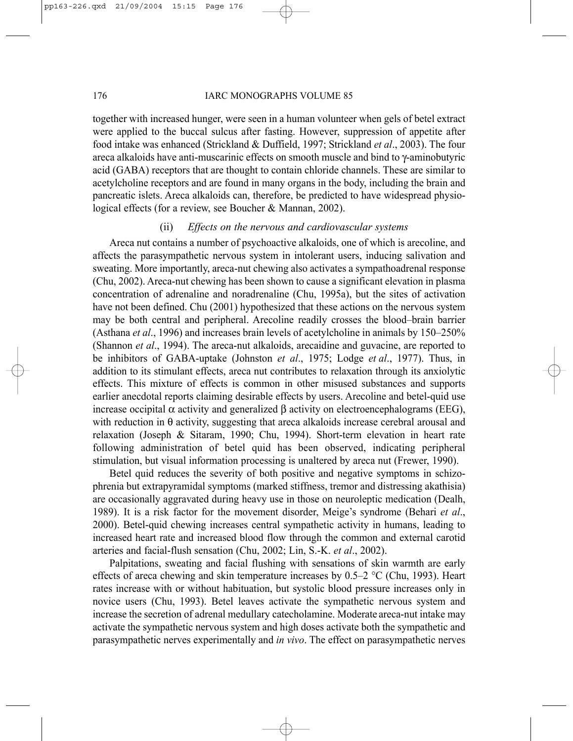#### 176 IARC MONOGRAPHS VOLUME 85

together with increased hunger, were seen in a human volunteer when gels of betel extract were applied to the buccal sulcus after fasting. However, suppression of appetite after food intake was enhanced (Strickland & Duffield, 1997; Strickland *et al*., 2003). The four areca alkaloids have anti-muscarinic effects on smooth muscle and bind to γ-aminobutyric acid (GABA) receptors that are thought to contain chloride channels. These are similar to acetylcholine receptors and are found in many organs in the body, including the brain and pancreatic islets. Areca alkaloids can, therefore, be predicted to have widespread physiological effects (for a review, see Boucher & Mannan, 2002).

# (ii) *Effects on the nervous and cardiovascular systems*

Areca nut contains a number of psychoactive alkaloids, one of which is arecoline, and affects the parasympathetic nervous system in intolerant users, inducing salivation and sweating. More importantly, areca-nut chewing also activates a sympathoadrenal response (Chu, 2002). Areca-nut chewing has been shown to cause a significant elevation in plasma concentration of adrenaline and noradrenaline (Chu, 1995a), but the sites of activation have not been defined. Chu (2001) hypothesized that these actions on the nervous system may be both central and peripheral. Arecoline readily crosses the blood–brain barrier (Asthana *et al*., 1996) and increases brain levels of acetylcholine in animals by 150–250% (Shannon *et al*., 1994). The areca-nut alkaloids, arecaidine and guvacine, are reported to be inhibitors of GABA-uptake (Johnston *et al*., 1975; Lodge *et al*., 1977). Thus, in addition to its stimulant effects, areca nut contributes to relaxation through its anxiolytic effects. This mixture of effects is common in other misused substances and supports earlier anecdotal reports claiming desirable effects by users. Arecoline and betel-quid use increase occipital α activity and generalized β activity on electroencephalograms (EEG), with reduction in  $\theta$  activity, suggesting that areca alkaloids increase cerebral arousal and relaxation (Joseph & Sitaram, 1990; Chu, 1994). Short-term elevation in heart rate following administration of betel quid has been observed, indicating peripheral stimulation, but visual information processing is unaltered by areca nut (Frewer, 1990).

Betel quid reduces the severity of both positive and negative symptoms in schizophrenia but extrapyramidal symptoms (marked stiffness, tremor and distressing akathisia) are occasionally aggravated during heavy use in those on neuroleptic medication (Dealh, 1989). It is a risk factor for the movement disorder, Meige's syndrome (Behari *et al*., 2000). Betel-quid chewing increases central sympathetic activity in humans, leading to increased heart rate and increased blood flow through the common and external carotid arteries and facial-flush sensation (Chu, 2002; Lin, S.-K. *et al*., 2002).

Palpitations, sweating and facial flushing with sensations of skin warmth are early effects of areca chewing and skin temperature increases by 0.5–2 °C (Chu, 1993). Heart rates increase with or without habituation, but systolic blood pressure increases only in novice users (Chu, 1993). Betel leaves activate the sympathetic nervous system and increase the secretion of adrenal medullary catecholamine. Moderate areca-nut intake may activate the sympathetic nervous system and high doses activate both the sympathetic and parasympathetic nerves experimentally and *in vivo*. The effect on parasympathetic nerves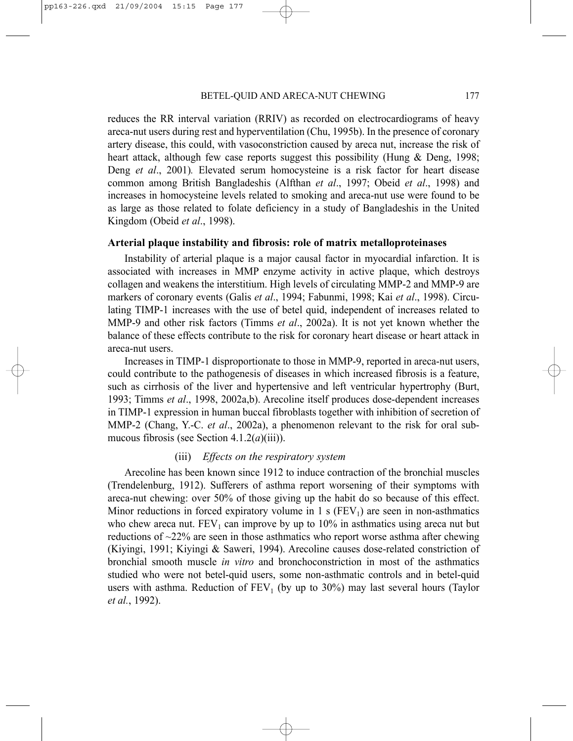reduces the RR interval variation (RRIV) as recorded on electrocardiograms of heavy areca-nut users during rest and hyperventilation (Chu, 1995b). In the presence of coronary artery disease, this could, with vasoconstriction caused by areca nut, increase the risk of heart attack, although few case reports suggest this possibility (Hung & Deng, 1998; Deng *et al*., 2001)*.* Elevated serum homocysteine is a risk factor for heart disease common among British Bangladeshis (Alfthan *et al*., 1997; Obeid *et al*., 1998) and increases in homocysteine levels related to smoking and areca-nut use were found to be as large as those related to folate deficiency in a study of Bangladeshis in the United Kingdom (Obeid *et al*., 1998).

#### **Arterial plaque instability and fibrosis: role of matrix metalloproteinases**

Instability of arterial plaque is a major causal factor in myocardial infarction. It is associated with increases in MMP enzyme activity in active plaque, which destroys collagen and weakens the interstitium. High levels of circulating MMP-2 and MMP-9 are markers of coronary events (Galis *et al*., 1994; Fabunmi, 1998; Kai *et al*., 1998). Circulating TIMP-1 increases with the use of betel quid, independent of increases related to MMP-9 and other risk factors (Timms *et al*., 2002a). It is not yet known whether the balance of these effects contribute to the risk for coronary heart disease or heart attack in areca-nut users.

Increases in TIMP-1 disproportionate to those in MMP-9, reported in areca-nut users, could contribute to the pathogenesis of diseases in which increased fibrosis is a feature, such as cirrhosis of the liver and hypertensive and left ventricular hypertrophy (Burt, 1993; Timms *et al*., 1998, 2002a,b). Arecoline itself produces dose-dependent increases in TIMP-1 expression in human buccal fibroblasts together with inhibition of secretion of MMP-2 (Chang, Y.-C. *et al*., 2002a), a phenomenon relevant to the risk for oral submucous fibrosis (see Section 4.1.2(*a*)(iii)).

# (iii) *Effects on the respiratory system*

Arecoline has been known since 1912 to induce contraction of the bronchial muscles (Trendelenburg, 1912). Sufferers of asthma report worsening of their symptoms with areca-nut chewing: over 50% of those giving up the habit do so because of this effect. Minor reductions in forced expiratory volume in 1 s  $(FEV<sub>1</sub>)$  are seen in non-asthmatics who chew areca nut.  $FEV_1$  can improve by up to 10% in asthmatics using areca nut but reductions of ~22% are seen in those asthmatics who report worse asthma after chewing (Kiyingi, 1991; Kiyingi & Saweri, 1994). Arecoline causes dose-related constriction of bronchial smooth muscle *in vitro* and bronchoconstriction in most of the asthmatics studied who were not betel-quid users, some non-asthmatic controls and in betel-quid users with asthma. Reduction of  $FEV<sub>1</sub>$  (by up to 30%) may last several hours (Taylor *et al.*, 1992).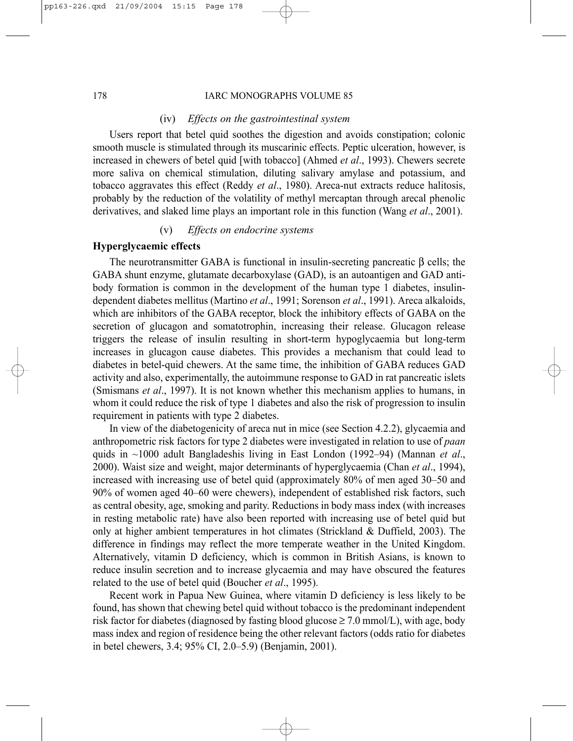#### 178 IARC MONOGRAPHS VOLUME 85

#### (iv) *Effects on the gastrointestinal system*

Users report that betel quid soothes the digestion and avoids constipation; colonic smooth muscle is stimulated through its muscarinic effects. Peptic ulceration, however, is increased in chewers of betel quid [with tobacco] (Ahmed *et al*., 1993). Chewers secrete more saliva on chemical stimulation, diluting salivary amylase and potassium, and tobacco aggravates this effect (Reddy *et al*., 1980). Areca-nut extracts reduce halitosis, probably by the reduction of the volatility of methyl mercaptan through arecal phenolic derivatives, and slaked lime plays an important role in this function (Wang *et al*., 2001).

# (v) *Effects on endocrine systems*

# **Hyperglycaemic effects**

The neurotransmitter GABA is functional in insulin-secreting pancreatic β cells; the GABA shunt enzyme, glutamate decarboxylase (GAD), is an autoantigen and GAD antibody formation is common in the development of the human type 1 diabetes, insulindependent diabetes mellitus (Martino *et al*., 1991; Sorenson *et al*., 1991). Areca alkaloids, which are inhibitors of the GABA receptor, block the inhibitory effects of GABA on the secretion of glucagon and somatotrophin, increasing their release. Glucagon release triggers the release of insulin resulting in short-term hypoglycaemia but long-term increases in glucagon cause diabetes. This provides a mechanism that could lead to diabetes in betel-quid chewers. At the same time, the inhibition of GABA reduces GAD activity and also, experimentally, the autoimmune response to GAD in rat pancreatic islets (Smismans *et al*., 1997). It is not known whether this mechanism applies to humans, in whom it could reduce the risk of type 1 diabetes and also the risk of progression to insulin requirement in patients with type 2 diabetes.

In view of the diabetogenicity of areca nut in mice (see Section 4.2.2), glycaemia and anthropometric risk factors for type 2 diabetes were investigated in relation to use of *paan* quids in ~1000 adult Bangladeshis living in East London (1992–94) (Mannan *et al*., 2000). Waist size and weight, major determinants of hyperglycaemia (Chan *et al*., 1994), increased with increasing use of betel quid (approximately 80% of men aged 30–50 and 90% of women aged 40–60 were chewers), independent of established risk factors, such as central obesity, age, smoking and parity. Reductions in body mass index (with increases in resting metabolic rate) have also been reported with increasing use of betel quid but only at higher ambient temperatures in hot climates (Strickland & Duffield, 2003). The difference in findings may reflect the more temperate weather in the United Kingdom. Alternatively, vitamin D deficiency, which is common in British Asians, is known to reduce insulin secretion and to increase glycaemia and may have obscured the features related to the use of betel quid (Boucher *et al*., 1995).

Recent work in Papua New Guinea, where vitamin D deficiency is less likely to be found, has shown that chewing betel quid without tobacco is the predominant independent risk factor for diabetes (diagnosed by fasting blood glucose  $\geq 7.0$  mmol/L), with age, body mass index and region of residence being the other relevant factors (odds ratio for diabetes in betel chewers, 3.4; 95% CI, 2.0–5.9) (Benjamin, 2001).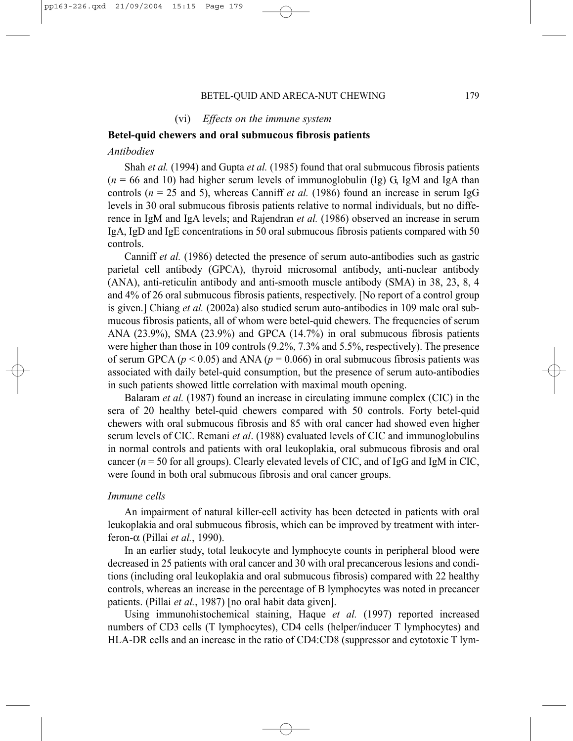(vi) *Effects on the immune system*

#### **Betel-quid chewers and oral submucous fibrosis patients**

## *Antibodies*

Shah *et al.* (1994) and Gupta *et al.* (1985) found that oral submucous fibrosis patients  $(n = 66$  and 10) had higher serum levels of immunoglobulin (Ig) G, IgM and IgA than controls (*n* = 25 and 5), whereas Canniff *et al.* (1986) found an increase in serum IgG levels in 30 oral submucous fibrosis patients relative to normal individuals, but no difference in IgM and IgA levels; and Rajendran *et al.* (1986) observed an increase in serum IgA, IgD and IgE concentrations in 50 oral submucous fibrosis patients compared with 50 controls.

Canniff *et al.* (1986) detected the presence of serum auto-antibodies such as gastric parietal cell antibody (GPCA), thyroid microsomal antibody, anti-nuclear antibody (ANA), anti-reticulin antibody and anti-smooth muscle antibody (SMA) in 38, 23, 8, 4 and 4% of 26 oral submucous fibrosis patients, respectively. [No report of a control group is given.] Chiang *et al.* (2002a) also studied serum auto-antibodies in 109 male oral submucous fibrosis patients, all of whom were betel-quid chewers. The frequencies of serum ANA (23.9%), SMA (23.9%) and GPCA (14.7%) in oral submucous fibrosis patients were higher than those in 109 controls (9.2%, 7.3% and 5.5%, respectively). The presence of serum GPCA ( $p < 0.05$ ) and ANA ( $p = 0.066$ ) in oral submucous fibrosis patients was associated with daily betel-quid consumption, but the presence of serum auto-antibodies in such patients showed little correlation with maximal mouth opening.

Balaram *et al.* (1987) found an increase in circulating immune complex (CIC) in the sera of 20 healthy betel-quid chewers compared with 50 controls. Forty betel-quid chewers with oral submucous fibrosis and 85 with oral cancer had showed even higher serum levels of CIC. Remani *et al*. (1988) evaluated levels of CIC and immunoglobulins in normal controls and patients with oral leukoplakia, oral submucous fibrosis and oral cancer  $(n = 50$  for all groups). Clearly elevated levels of CIC, and of IgG and IgM in CIC, were found in both oral submucous fibrosis and oral cancer groups.

#### *Immune cells*

An impairment of natural killer-cell activity has been detected in patients with oral leukoplakia and oral submucous fibrosis, which can be improved by treatment with interferon-α (Pillai *et al.*, 1990).

In an earlier study, total leukocyte and lymphocyte counts in peripheral blood were decreased in 25 patients with oral cancer and 30 with oral precancerous lesions and conditions (including oral leukoplakia and oral submucous fibrosis) compared with 22 healthy controls, whereas an increase in the percentage of B lymphocytes was noted in precancer patients. (Pillai *et al.*, 1987) [no oral habit data given].

Using immunohistochemical staining, Haque *et al.* (1997) reported increased numbers of CD3 cells (T lymphocytes), CD4 cells (helper/inducer T lymphocytes) and HLA-DR cells and an increase in the ratio of CD4:CD8 (suppressor and cytotoxic T lym-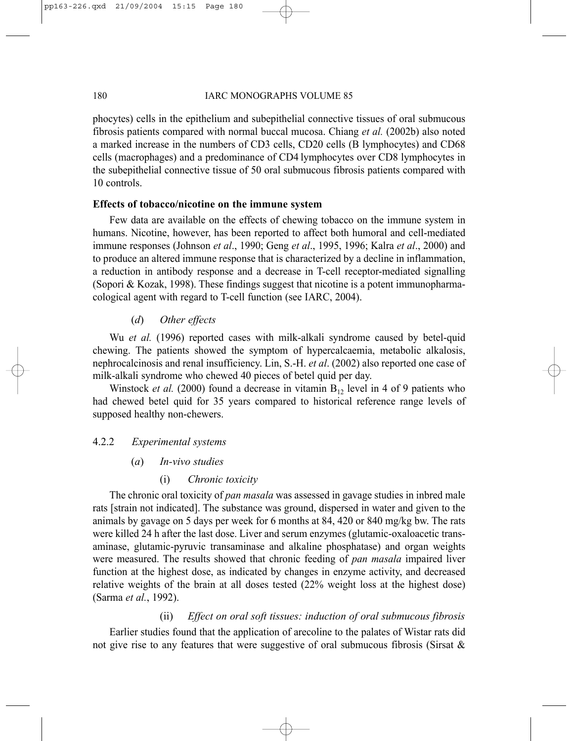# 180 IARC MONOGRAPHS VOLUME 85

phocytes) cells in the epithelium and subepithelial connective tissues of oral submucous fibrosis patients compared with normal buccal mucosa. Chiang *et al.* (2002b) also noted a marked increase in the numbers of CD3 cells, CD20 cells (B lymphocytes) and CD68 cells (macrophages) and a predominance of CD4 lymphocytes over CD8 lymphocytes in the subepithelial connective tissue of 50 oral submucous fibrosis patients compared with 10 controls.

# **Effects of tobacco/nicotine on the immune system**

Few data are available on the effects of chewing tobacco on the immune system in humans. Nicotine, however, has been reported to affect both humoral and cell-mediated immune responses (Johnson *et al*., 1990; Geng *et al*., 1995, 1996; Kalra *et al*., 2000) and to produce an altered immune response that is characterized by a decline in inflammation, a reduction in antibody response and a decrease in T-cell receptor-mediated signalling (Sopori & Kozak, 1998). These findings suggest that nicotine is a potent immunopharmacological agent with regard to T-cell function (see IARC, 2004).

# (*d*) *Other effects*

Wu *et al.* (1996) reported cases with milk-alkali syndrome caused by betel-quid chewing. The patients showed the symptom of hypercalcaemia, metabolic alkalosis, nephrocalcinosis and renal insufficiency. Lin, S.-H. *et al*. (2002) also reported one case of milk-alkali syndrome who chewed 40 pieces of betel quid per day.

Winstock *et al.* (2000) found a decrease in vitamin  $B_{12}$  level in 4 of 9 patients who had chewed betel quid for 35 years compared to historical reference range levels of supposed healthy non-chewers.

# 4.2.2 *Experimental systems*

- (*a*) *In-vivo studies*
	- (i) *Chronic toxicity*

The chronic oral toxicity of *pan masala* was assessed in gavage studies in inbred male rats [strain not indicated]. The substance was ground, dispersed in water and given to the animals by gavage on 5 days per week for 6 months at 84, 420 or 840 mg/kg bw. The rats were killed 24 h after the last dose. Liver and serum enzymes (glutamic-oxaloacetic transaminase, glutamic-pyruvic transaminase and alkaline phosphatase) and organ weights were measured. The results showed that chronic feeding of *pan masala* impaired liver function at the highest dose, as indicated by changes in enzyme activity, and decreased relative weights of the brain at all doses tested (22% weight loss at the highest dose) (Sarma *et al.*, 1992).

# (ii) *Effect on oral soft tissues: induction of oral submucous fibrosis*

Earlier studies found that the application of arecoline to the palates of Wistar rats did not give rise to any features that were suggestive of oral submucous fibrosis (Sirsat &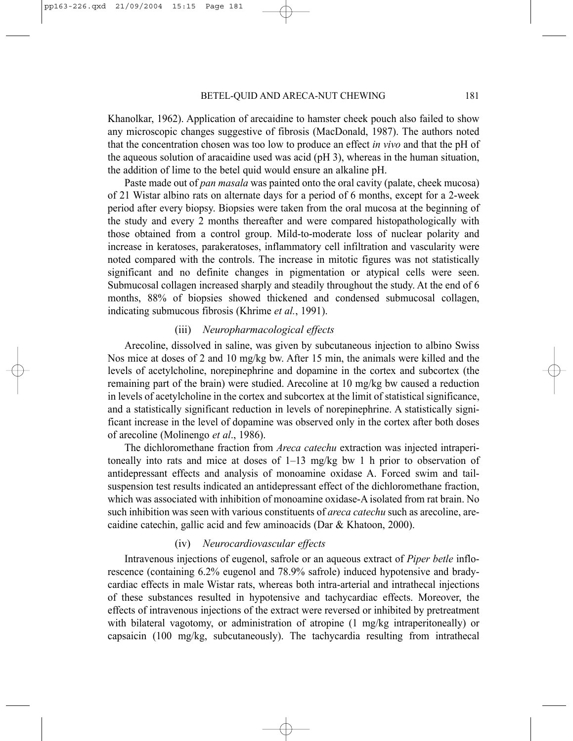Khanolkar, 1962). Application of arecaidine to hamster cheek pouch also failed to show any microscopic changes suggestive of fibrosis (MacDonald, 1987). The authors noted that the concentration chosen was too low to produce an effect *in vivo* and that the pH of the aqueous solution of aracaidine used was acid (pH 3), whereas in the human situation, the addition of lime to the betel quid would ensure an alkaline pH.

Paste made out of *pan masala* was painted onto the oral cavity (palate, cheek mucosa) of 21 Wistar albino rats on alternate days for a period of 6 months, except for a 2-week period after every biopsy. Biopsies were taken from the oral mucosa at the beginning of the study and every 2 months thereafter and were compared histopathologically with those obtained from a control group. Mild-to-moderate loss of nuclear polarity and increase in keratoses, parakeratoses, inflammatory cell infiltration and vascularity were noted compared with the controls. The increase in mitotic figures was not statistically significant and no definite changes in pigmentation or atypical cells were seen. Submucosal collagen increased sharply and steadily throughout the study. At the end of 6 months, 88% of biopsies showed thickened and condensed submucosal collagen, indicating submucous fibrosis (Khrime *et al.*, 1991).

# (iii) *Neuropharmacological effects*

Arecoline, dissolved in saline, was given by subcutaneous injection to albino Swiss Nos mice at doses of 2 and 10 mg/kg bw. After 15 min, the animals were killed and the levels of acetylcholine, norepinephrine and dopamine in the cortex and subcortex (the remaining part of the brain) were studied. Arecoline at 10 mg/kg bw caused a reduction in levels of acetylcholine in the cortex and subcortex at the limit of statistical significance, and a statistically significant reduction in levels of norepinephrine. A statistically significant increase in the level of dopamine was observed only in the cortex after both doses of arecoline (Molinengo *et al*., 1986).

The dichloromethane fraction from *Areca catechu* extraction was injected intraperitoneally into rats and mice at doses of  $1-13$  mg/kg bw 1 h prior to observation of antidepressant effects and analysis of monoamine oxidase A. Forced swim and tailsuspension test results indicated an antidepressant effect of the dichloromethane fraction, which was associated with inhibition of monoamine oxidase-A isolated from rat brain. No such inhibition was seen with various constituents of *areca catechu* such as arecoline, arecaidine catechin, gallic acid and few aminoacids (Dar & Khatoon, 2000).

# (iv) *Neurocardiovascular effects*

Intravenous injections of eugenol, safrole or an aqueous extract of *Piper betle* inflorescence (containing 6.2% eugenol and 78.9% safrole) induced hypotensive and bradycardiac effects in male Wistar rats, whereas both intra-arterial and intrathecal injections of these substances resulted in hypotensive and tachycardiac effects. Moreover, the effects of intravenous injections of the extract were reversed or inhibited by pretreatment with bilateral vagotomy, or administration of atropine (1 mg/kg intraperitoneally) or capsaicin (100 mg/kg, subcutaneously). The tachycardia resulting from intrathecal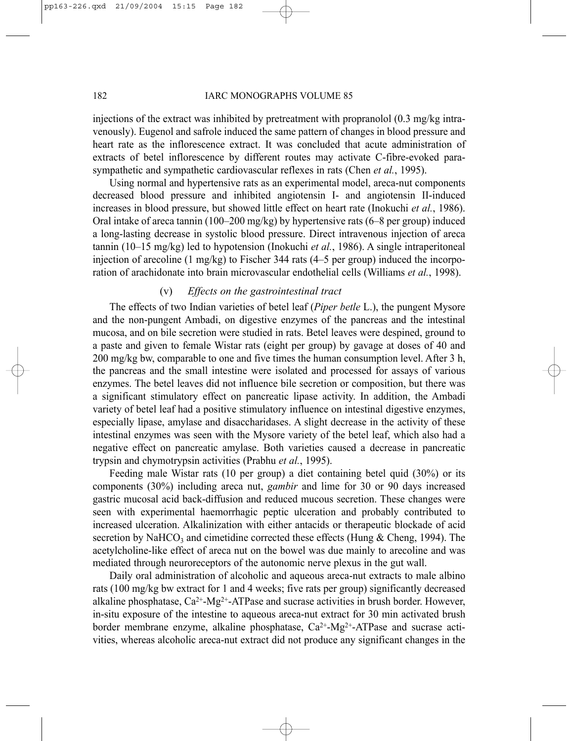#### 182 IARC MONOGRAPHS VOLUME 85

injections of the extract was inhibited by pretreatment with propranolol  $(0.3 \text{ mg/kg}$  intravenously). Eugenol and safrole induced the same pattern of changes in blood pressure and heart rate as the inflorescence extract. It was concluded that acute administration of extracts of betel inflorescence by different routes may activate C-fibre-evoked parasympathetic and sympathetic cardiovascular reflexes in rats (Chen *et al.*, 1995).

Using normal and hypertensive rats as an experimental model, areca-nut components decreased blood pressure and inhibited angiotensin I- and angiotensin II-induced increases in blood pressure, but showed little effect on heart rate (Inokuchi *et al.*, 1986). Oral intake of areca tannin (100–200 mg/kg) by hypertensive rats (6–8 per group) induced a long-lasting decrease in systolic blood pressure. Direct intravenous injection of areca tannin (10–15 mg/kg) led to hypotension (Inokuchi *et al.*, 1986). A single intraperitoneal injection of arecoline (1 mg/kg) to Fischer 344 rats (4–5 per group) induced the incorporation of arachidonate into brain microvascular endothelial cells (Williams *et al.*, 1998).

# (v) *Effects on the gastrointestinal tract*

The effects of two Indian varieties of betel leaf (*Piper betle* L.), the pungent Mysore and the non-pungent Ambadi, on digestive enzymes of the pancreas and the intestinal mucosa, and on bile secretion were studied in rats. Betel leaves were despined, ground to a paste and given to female Wistar rats (eight per group) by gavage at doses of 40 and 200 mg/kg bw, comparable to one and five times the human consumption level. After 3 h, the pancreas and the small intestine were isolated and processed for assays of various enzymes. The betel leaves did not influence bile secretion or composition, but there was a significant stimulatory effect on pancreatic lipase activity. In addition, the Ambadi variety of betel leaf had a positive stimulatory influence on intestinal digestive enzymes, especially lipase, amylase and disaccharidases. A slight decrease in the activity of these intestinal enzymes was seen with the Mysore variety of the betel leaf, which also had a negative effect on pancreatic amylase. Both varieties caused a decrease in pancreatic trypsin and chymotrypsin activities (Prabhu *et al.*, 1995).

Feeding male Wistar rats (10 per group) a diet containing betel quid (30%) or its components (30%) including areca nut, *gambir* and lime for 30 or 90 days increased gastric mucosal acid back-diffusion and reduced mucous secretion. These changes were seen with experimental haemorrhagic peptic ulceration and probably contributed to increased ulceration. Alkalinization with either antacids or therapeutic blockade of acid secretion by NaHCO<sub>3</sub> and cimetidine corrected these effects (Hung & Cheng, 1994). The acetylcholine-like effect of areca nut on the bowel was due mainly to arecoline and was mediated through neuroreceptors of the autonomic nerve plexus in the gut wall.

Daily oral administration of alcoholic and aqueous areca-nut extracts to male albino rats (100 mg/kg bw extract for 1 and 4 weeks; five rats per group) significantly decreased alkaline phosphatase,  $Ca^{2+}Mg^{2+}ATP$ ase and sucrase activities in brush border. However, in-situ exposure of the intestine to aqueous areca-nut extract for 30 min activated brush border membrane enzyme, alkaline phosphatase,  $Ca^{2+}$ -Mg<sup>2+</sup>-ATPase and sucrase activities, whereas alcoholic areca-nut extract did not produce any significant changes in the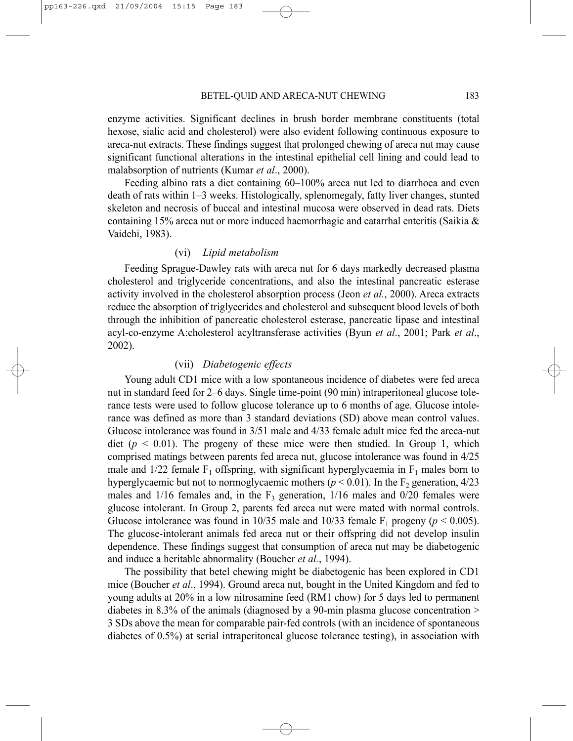enzyme activities. Significant declines in brush border membrane constituents (total hexose, sialic acid and cholesterol) were also evident following continuous exposure to areca-nut extracts. These findings suggest that prolonged chewing of areca nut may cause significant functional alterations in the intestinal epithelial cell lining and could lead to malabsorption of nutrients (Kumar *et al*., 2000).

Feeding albino rats a diet containing 60–100% areca nut led to diarrhoea and even death of rats within 1–3 weeks. Histologically, splenomegaly, fatty liver changes, stunted skeleton and necrosis of buccal and intestinal mucosa were observed in dead rats. Diets containing 15% areca nut or more induced haemorrhagic and catarrhal enteritis (Saikia & Vaidehi, 1983).

### (vi) *Lipid metabolism*

Feeding Sprague-Dawley rats with areca nut for 6 days markedly decreased plasma cholesterol and triglyceride concentrations, and also the intestinal pancreatic esterase activity involved in the cholesterol absorption process (Jeon *et al.*, 2000). Areca extracts reduce the absorption of triglycerides and cholesterol and subsequent blood levels of both through the inhibition of pancreatic cholesterol esterase, pancreatic lipase and intestinal acyl-co-enzyme A:cholesterol acyltransferase activities (Byun *et al*., 2001; Park *et al*., 2002).

# (vii) *Diabetogenic effects*

Young adult CD1 mice with a low spontaneous incidence of diabetes were fed areca nut in standard feed for 2–6 days. Single time-point (90 min) intraperitoneal glucose tolerance tests were used to follow glucose tolerance up to 6 months of age. Glucose intolerance was defined as more than 3 standard deviations (SD) above mean control values. Glucose intolerance was found in 3/51 male and 4/33 female adult mice fed the areca-nut diet  $(p \le 0.01)$ . The progeny of these mice were then studied. In Group 1, which comprised matings between parents fed areca nut, glucose intolerance was found in 4/25 male and  $1/22$  female  $F_1$  offspring, with significant hyperglycaemia in  $F_1$  males born to hyperglycaemic but not to normoglycaemic mothers ( $p < 0.01$ ). In the F<sub>2</sub> generation, 4/23 males and  $1/16$  females and, in the  $F_3$  generation,  $1/16$  males and  $0/20$  females were glucose intolerant. In Group 2, parents fed areca nut were mated with normal controls. Glucose intolerance was found in  $10/35$  male and  $10/33$  female F<sub>1</sub> progeny ( $p < 0.005$ ). The glucose-intolerant animals fed areca nut or their offspring did not develop insulin dependence. These findings suggest that consumption of areca nut may be diabetogenic and induce a heritable abnormality (Boucher *et al.*, 1994).

The possibility that betel chewing might be diabetogenic has been explored in CD1 mice (Boucher *et al*., 1994). Ground areca nut, bought in the United Kingdom and fed to young adults at 20% in a low nitrosamine feed (RM1 chow) for 5 days led to permanent diabetes in 8.3% of the animals (diagnosed by a 90-min plasma glucose concentration > 3 SDs above the mean for comparable pair-fed controls (with an incidence of spontaneous diabetes of 0.5%) at serial intraperitoneal glucose tolerance testing), in association with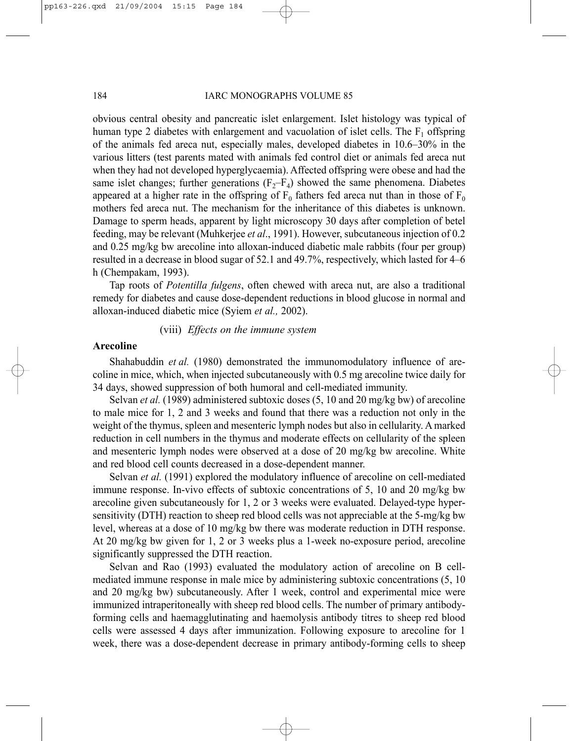obvious central obesity and pancreatic islet enlargement. Islet histology was typical of human type 2 diabetes with enlargement and vacuolation of islet cells. The  $F_1$  offspring of the animals fed areca nut, especially males, developed diabetes in 10.6–30% in the various litters (test parents mated with animals fed control diet or animals fed areca nut when they had not developed hyperglycaemia). Affected offspring were obese and had the same islet changes; further generations  $(F_2-F_4)$  showed the same phenomena. Diabetes appeared at a higher rate in the offspring of  $F_0$  fathers fed areca nut than in those of  $F_0$ mothers fed areca nut. The mechanism for the inheritance of this diabetes is unknown. Damage to sperm heads, apparent by light microscopy 30 days after completion of betel feeding, may be relevant (Muhkerjee *et al*., 1991). However, subcutaneous injection of 0.2 and 0.25 mg/kg bw arecoline into alloxan-induced diabetic male rabbits (four per group) resulted in a decrease in blood sugar of 52.1 and 49.7%, respectively, which lasted for 4–6 h (Chempakam, 1993).

Tap roots of *Potentilla fulgens*, often chewed with areca nut, are also a traditional remedy for diabetes and cause dose-dependent reductions in blood glucose in normal and alloxan-induced diabetic mice (Syiem *et al.,* 2002).

# (viii) *Effects on the immune system*

### **Arecoline**

Shahabuddin *et al.* (1980) demonstrated the immunomodulatory influence of arecoline in mice, which, when injected subcutaneously with 0.5 mg arecoline twice daily for 34 days, showed suppression of both humoral and cell-mediated immunity.

Selvan *et al.* (1989) administered subtoxic doses (5, 10 and 20 mg/kg bw) of arecoline to male mice for 1, 2 and 3 weeks and found that there was a reduction not only in the weight of the thymus, spleen and mesenteric lymph nodes but also in cellularity. A marked reduction in cell numbers in the thymus and moderate effects on cellularity of the spleen and mesenteric lymph nodes were observed at a dose of 20 mg/kg bw arecoline. White and red blood cell counts decreased in a dose-dependent manner.

Selvan *et al.* (1991) explored the modulatory influence of arecoline on cell-mediated immune response. In-vivo effects of subtoxic concentrations of 5, 10 and 20 mg/kg bw arecoline given subcutaneously for 1, 2 or 3 weeks were evaluated. Delayed-type hypersensitivity (DTH) reaction to sheep red blood cells was not appreciable at the 5-mg/kg bw level, whereas at a dose of 10 mg/kg bw there was moderate reduction in DTH response. At 20 mg/kg bw given for 1, 2 or 3 weeks plus a 1-week no-exposure period, arecoline significantly suppressed the DTH reaction.

Selvan and Rao (1993) evaluated the modulatory action of arecoline on B cellmediated immune response in male mice by administering subtoxic concentrations (5, 10 and 20 mg/kg bw) subcutaneously. After 1 week, control and experimental mice were immunized intraperitoneally with sheep red blood cells. The number of primary antibodyforming cells and haemagglutinating and haemolysis antibody titres to sheep red blood cells were assessed 4 days after immunization. Following exposure to arecoline for 1 week, there was a dose-dependent decrease in primary antibody-forming cells to sheep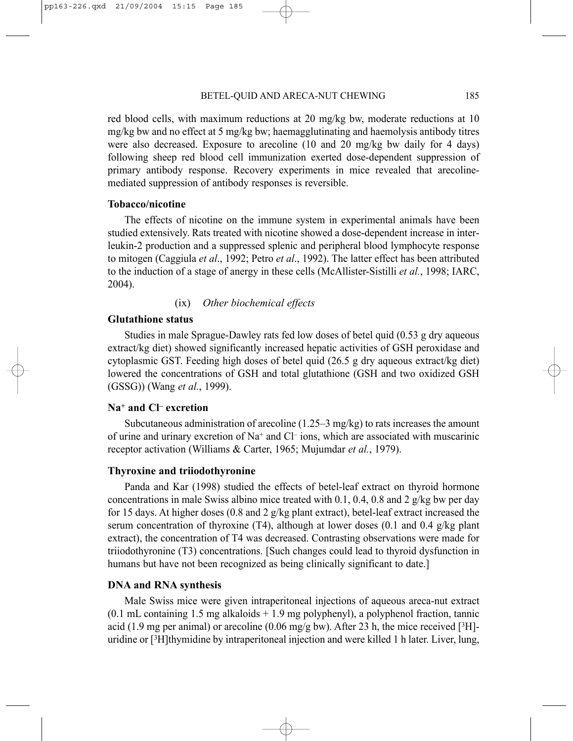red blood cells, with maximum reductions at 20 mg/kg bw, moderate reductions at 10 mg/kg bw and no effect at 5 mg/kg bw; haemagglutinating and haemolysis antibody titres were also decreased. Exposure to arecoline (10 and 20 mg/kg bw daily for 4 days) following sheep red blood cell immunization exerted dose-dependent suppression of primary antibody response. Recovery experiments in mice revealed that arecolinemediated suppression of antibody responses is reversible.

# **Tobacco/nicotine**

The effects of nicotine on the immune system in experimental animals have been studied extensively. Rats treated with nicotine showed a dose-dependent increase in interleukin-2 production and a suppressed splenic and peripheral blood lymphocyte response to mitogen (Caggiula *et al*., 1992; Petro *et al*., 1992). The latter effect has been attributed to the induction of a stage of anergy in these cells (McAllister-Sistilli *et al.*, 1998; IARC, 2004).

# (ix) *Other biochemical effects*

# **Glutathione status**

Studies in male Sprague-Dawley rats fed low doses of betel quid (0.53 g dry aqueous extract/kg diet) showed significantly increased hepatic activities of GSH peroxidase and cytoplasmic GST. Feeding high doses of betel quid (26.5 g dry aqueous extract/kg diet) lowered the concentrations of GSH and total glutathione (GSH and two oxidized GSH (GSSG)) (Wang *et al.*, 1999).

# **Na+ and Cl– excretion**

Subcutaneous administration of arecoline (1.25–3 mg/kg) to rats increases the amount of urine and urinary excretion of Na+ and Cl– ions, which are associated with muscarinic receptor activation (Williams & Carter, 1965; Mujumdar *et al.*, 1979).

#### **Thyroxine and triiodothyronine**

Panda and Kar (1998) studied the effects of betel-leaf extract on thyroid hormone concentrations in male Swiss albino mice treated with 0.1, 0.4, 0.8 and 2  $g/kg$  bw per day for 15 days. At higher doses (0.8 and 2 g/kg plant extract), betel-leaf extract increased the serum concentration of thyroxine (T4), although at lower doses (0.1 and 0.4 g/kg plant extract), the concentration of T4 was decreased. Contrasting observations were made for triiodothyronine (T3) concentrations. [Such changes could lead to thyroid dysfunction in humans but have not been recognized as being clinically significant to date.

## **DNA and RNA synthesis**

Male Swiss mice were given intraperitoneal injections of aqueous areca-nut extract (0.1 mL containing 1.5 mg alkaloids + 1.9 mg polyphenyl), a polyphenol fraction, tannic acid (1.9 mg per animal) or arecoline (0.06 mg/g bw). After 23 h, the mice received [ $3H$ ]uridine or  $\lceil$ <sup>3</sup>H]thymidine by intraperitoneal injection and were killed 1 h later. Liver, lung,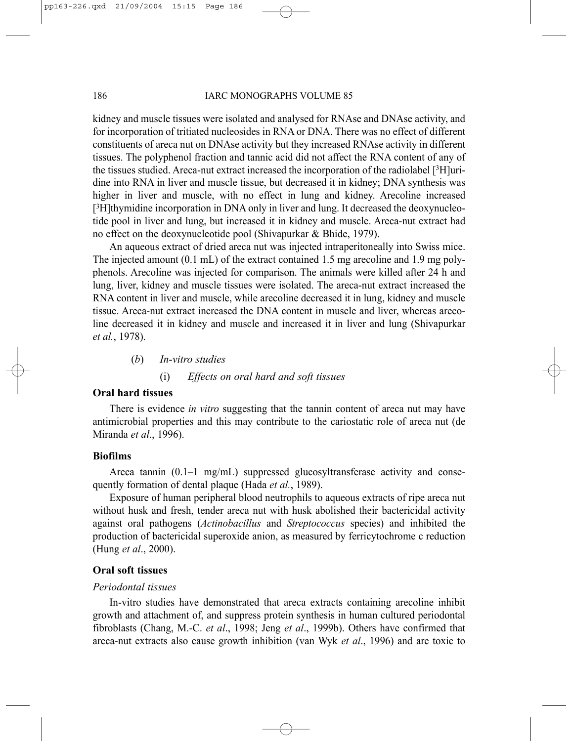#### 186 IARC MONOGRAPHS VOLUME 85

kidney and muscle tissues were isolated and analysed for RNAse and DNAse activity, and for incorporation of tritiated nucleosides in RNA or DNA. There was no effect of different constituents of areca nut on DNAse activity but they increased RNAse activity in different tissues. The polyphenol fraction and tannic acid did not affect the RNA content of any of the tissues studied. Areca-nut extract increased the incorporation of the radiolabel [3H]uridine into RNA in liver and muscle tissue, but decreased it in kidney; DNA synthesis was higher in liver and muscle, with no effect in lung and kidney. Arecoline increased [3H]thymidine incorporation in DNA only in liver and lung. It decreased the deoxynucleotide pool in liver and lung, but increased it in kidney and muscle. Areca-nut extract had no effect on the deoxynucleotide pool (Shivapurkar & Bhide, 1979).

An aqueous extract of dried areca nut was injected intraperitoneally into Swiss mice. The injected amount (0.1 mL) of the extract contained 1.5 mg arecoline and 1.9 mg polyphenols. Arecoline was injected for comparison. The animals were killed after 24 h and lung, liver, kidney and muscle tissues were isolated. The areca-nut extract increased the RNA content in liver and muscle, while arecoline decreased it in lung, kidney and muscle tissue. Areca-nut extract increased the DNA content in muscle and liver, whereas arecoline decreased it in kidney and muscle and increased it in liver and lung (Shivapurkar *et al.*, 1978).

(*b*) *In-vitro studies* 

#### (i) *Effects on oral hard and soft tissues*

### **Oral hard tissues**

There is evidence *in vitro* suggesting that the tannin content of areca nut may have antimicrobial properties and this may contribute to the cariostatic role of areca nut (de Miranda *et al*., 1996).

# **Biofilms**

Areca tannin  $(0.1-1 \text{ mg/mL})$  suppressed glucosyltransferase activity and consequently formation of dental plaque (Hada *et al.*, 1989).

Exposure of human peripheral blood neutrophils to aqueous extracts of ripe areca nut without husk and fresh, tender areca nut with husk abolished their bactericidal activity against oral pathogens (*Actinobacillus* and *Streptococcus* species) and inhibited the production of bactericidal superoxide anion, as measured by ferricytochrome c reduction (Hung *et al*., 2000).

## **Oral soft tissues**

# *Periodontal tissues*

In-vitro studies have demonstrated that areca extracts containing arecoline inhibit growth and attachment of, and suppress protein synthesis in human cultured periodontal fibroblasts (Chang, M.-C. *et al*., 1998; Jeng *et al*., 1999b). Others have confirmed that areca-nut extracts also cause growth inhibition (van Wyk *et al*., 1996) and are toxic to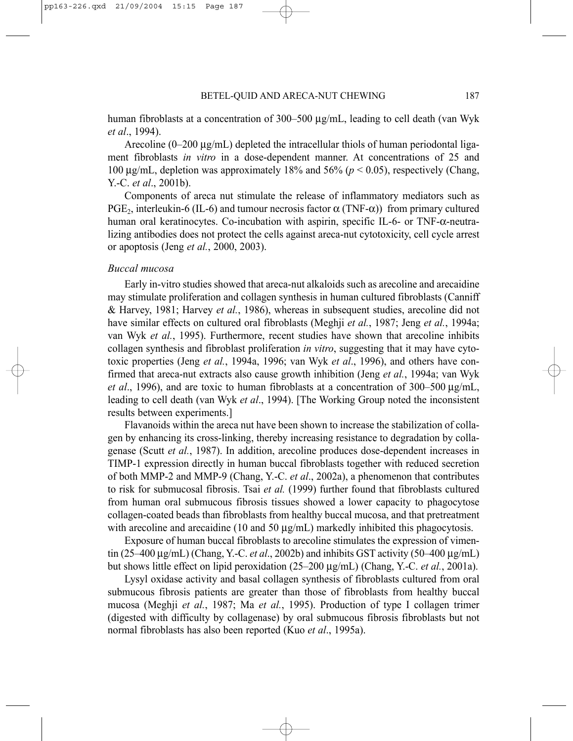human fibroblasts at a concentration of 300–500 µg/mL, leading to cell death (van Wyk *et al*., 1994).

Arecoline (0–200 µg/mL) depleted the intracellular thiols of human periodontal ligament fibroblasts *in vitro* in a dose-dependent manner. At concentrations of 25 and 100 µg/mL, depletion was approximately 18% and 56% (*p* < 0.05), respectively (Chang, Y.-C. *et al*., 2001b).

Components of areca nut stimulate the release of inflammatory mediators such as PGE<sub>2</sub>, interleukin-6 (IL-6) and tumour necrosis factor  $\alpha$  (TNF-α)) from primary cultured human oral keratinocytes. Co-incubation with aspirin, specific IL-6- or TNF-α-neutralizing antibodies does not protect the cells against areca-nut cytotoxicity, cell cycle arrest or apoptosis (Jeng *et al.*, 2000, 2003).

#### *Buccal mucosa*

Early in-vitro studies showed that areca-nut alkaloids such as arecoline and arecaidine may stimulate proliferation and collagen synthesis in human cultured fibroblasts (Canniff & Harvey, 1981; Harvey *et al.*, 1986), whereas in subsequent studies, arecoline did not have similar effects on cultured oral fibroblasts (Meghji *et al.*, 1987; Jeng *et al.*, 1994a; van Wyk *et al.*, 1995). Furthermore, recent studies have shown that arecoline inhibits collagen synthesis and fibroblast proliferation *in vitro*, suggesting that it may have cytotoxic properties (Jeng *et al.*, 1994a, 1996; van Wyk *et al*., 1996), and others have confirmed that areca-nut extracts also cause growth inhibition (Jeng *et al.*, 1994a; van Wyk *et al*., 1996), and are toxic to human fibroblasts at a concentration of 300–500 µg/mL, leading to cell death (van Wyk *et al*., 1994). [The Working Group noted the inconsistent results between experiments.]

Flavanoids within the areca nut have been shown to increase the stabilization of collagen by enhancing its cross-linking, thereby increasing resistance to degradation by collagenase (Scutt *et al.*, 1987). In addition, arecoline produces dose-dependent increases in TIMP-1 expression directly in human buccal fibroblasts together with reduced secretion of both MMP-2 and MMP-9 (Chang, Y.-C. *et al*., 2002a), a phenomenon that contributes to risk for submucosal fibrosis. Tsai *et al.* (1999) further found that fibroblasts cultured from human oral submucous fibrosis tissues showed a lower capacity to phagocytose collagen-coated beads than fibroblasts from healthy buccal mucosa, and that pretreatment with arecoline and arecaidine (10 and 50  $\mu$ g/mL) markedly inhibited this phagocytosis.

Exposure of human buccal fibroblasts to arecoline stimulates the expression of vimentin (25–400 µg/mL) (Chang, Y.-C. *et al*., 2002b) and inhibits GST activity (50–400 µg/mL) but shows little effect on lipid peroxidation (25–200 µg/mL) (Chang, Y.-C. *et al.*, 2001a).

Lysyl oxidase activity and basal collagen synthesis of fibroblasts cultured from oral submucous fibrosis patients are greater than those of fibroblasts from healthy buccal mucosa (Meghji *et al.*, 1987; Ma *et al.*, 1995). Production of type I collagen trimer (digested with difficulty by collagenase) by oral submucous fibrosis fibroblasts but not normal fibroblasts has also been reported (Kuo *et al*., 1995a).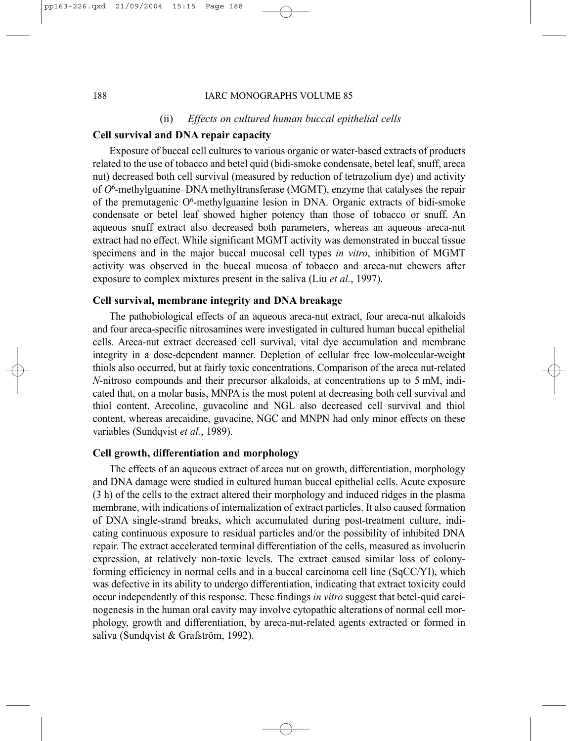#### (ii) *Effects on cultured human buccal epithelial cells*

# **Cell survival and DNA repair capacity**

Exposure of buccal cell cultures to various organic or water-based extracts of products related to the use of tobacco and betel quid (bidi-smoke condensate, betel leaf, snuff, areca nut) decreased both cell survival (measured by reduction of tetrazolium dye) and activity of *O*6-methylguanine–DNA methyltransferase (MGMT), enzyme that catalyses the repair of the premutagenic O<sup>6</sup>-methylguanine lesion in DNA. Organic extracts of bidi-smoke condensate or betel leaf showed higher potency than those of tobacco or snuff. An aqueous snuff extract also decreased both parameters, whereas an aqueous areca-nut extract had no effect. While significant MGMT activity was demonstrated in buccal tissue specimens and in the major buccal mucosal cell types *in vitro*, inhibition of MGMT activity was observed in the buccal mucosa of tobacco and areca-nut chewers after exposure to complex mixtures present in the saliva (Liu *et al.*, 1997).

# **Cell survival, membrane integrity and DNA breakage**

The pathobiological effects of an aqueous areca-nut extract, four areca-nut alkaloids and four areca-specific nitrosamines were investigated in cultured human buccal epithelial cells. Areca-nut extract decreased cell survival, vital dye accumulation and membrane integrity in a dose-dependent manner. Depletion of cellular free low-molecular-weight thiols also occurred, but at fairly toxic concentrations. Comparison of the areca nut-related *N*-nitroso compounds and their precursor alkaloids, at concentrations up to 5 mM, indicated that, on a molar basis, MNPA is the most potent at decreasing both cell survival and thiol content. Arecoline, guvacoline and NGL also decreased cell survival and thiol content, whereas arecaidine, guvacine, NGC and MNPN had only minor effects on these variables (Sundqvist *et al.*, 1989).

## **Cell growth, differentiation and morphology**

The effects of an aqueous extract of areca nut on growth, differentiation, morphology and DNA damage were studied in cultured human buccal epithelial cells. Acute exposure (3 h) of the cells to the extract altered their morphology and induced ridges in the plasma membrane, with indications of internalization of extract particles. It also caused formation of DNA single-strand breaks, which accumulated during post-treatment culture, indicating continuous exposure to residual particles and/or the possibility of inhibited DNA repair. The extract accelerated terminal differentiation of the cells, measured as involucrin expression, at relatively non-toxic levels. The extract caused similar loss of colonyforming efficiency in normal cells and in a buccal carcinoma cell line (SqCC/YI), which was defective in its ability to undergo differentiation, indicating that extract toxicity could occur independently of this response. These findings *in vitro* suggest that betel-quid carcinogenesis in the human oral cavity may involve cytopathic alterations of normal cell morphology, growth and differentiation, by areca-nut-related agents extracted or formed in saliva (Sundqvist & Grafström, 1992).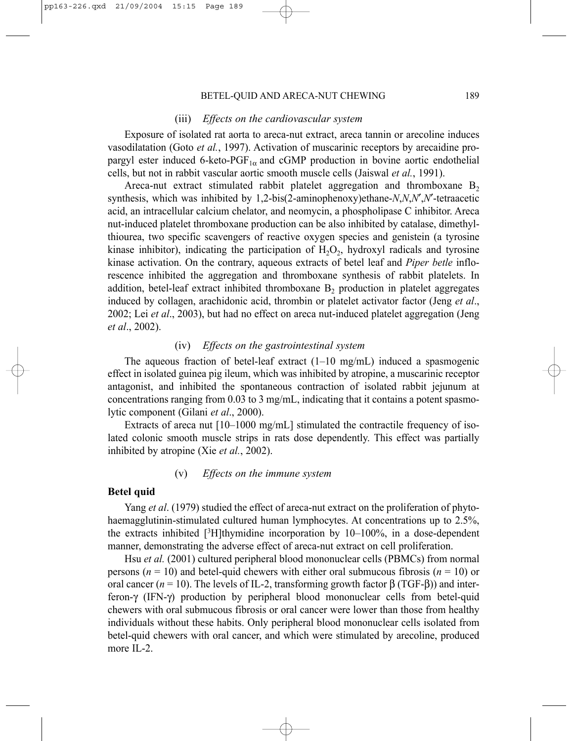#### BETEL-QUID AND ARECA-NUT CHEWING 189

#### (iii) *Effects on the cardiovascular system*

Exposure of isolated rat aorta to areca-nut extract, areca tannin or arecoline induces vasodilatation (Goto *et al.*, 1997). Activation of muscarinic receptors by arecaidine propargyl ester induced 6-keto-PGF<sub>1 $\alpha$ </sub> and cGMP production in bovine aortic endothelial cells, but not in rabbit vascular aortic smooth muscle cells (Jaiswal *et al.*, 1991).

Areca-nut extract stimulated rabbit platelet aggregation and thromboxane  $B_2$ synthesis, which was inhibited by 1,2-bis(2-aminophenoxy)ethane-*N*,*N*,*N*′,*N*′-tetraacetic acid, an intracellular calcium chelator, and neomycin, a phospholipase C inhibitor. Areca nut-induced platelet thromboxane production can be also inhibited by catalase, dimethylthiourea, two specific scavengers of reactive oxygen species and genistein (a tyrosine kinase inhibitor), indicating the participation of  $H_2O_2$ , hydroxyl radicals and tyrosine kinase activation. On the contrary, aqueous extracts of betel leaf and *Piper betle* inflorescence inhibited the aggregation and thromboxane synthesis of rabbit platelets. In addition, betel-leaf extract inhibited thromboxane  $B_2$  production in platelet aggregates induced by collagen, arachidonic acid, thrombin or platelet activator factor (Jeng *et al*., 2002; Lei *et al*., 2003), but had no effect on areca nut-induced platelet aggregation (Jeng *et al*., 2002).

# (iv) *Effects on the gastrointestinal system*

The aqueous fraction of betel-leaf extract  $(1-10 \text{ mg/mL})$  induced a spasmogenic effect in isolated guinea pig ileum, which was inhibited by atropine, a muscarinic receptor antagonist, and inhibited the spontaneous contraction of isolated rabbit jejunum at concentrations ranging from 0.03 to 3 mg/mL, indicating that it contains a potent spasmolytic component (Gilani *et al*., 2000).

Extracts of areca nut [10–1000 mg/mL] stimulated the contractile frequency of isolated colonic smooth muscle strips in rats dose dependently. This effect was partially inhibited by atropine (Xie *et al.*, 2002).

#### (v) *Effects on the immune system*

#### **Betel quid**

Yang *et al*. (1979) studied the effect of areca-nut extract on the proliferation of phytohaemagglutinin-stimulated cultured human lymphocytes. At concentrations up to 2.5%, the extracts inhibited  $[3H]$ thymidine incorporation by 10–100%, in a dose-dependent manner, demonstrating the adverse effect of areca-nut extract on cell proliferation.

Hsu *et al.* (2001) cultured peripheral blood mononuclear cells (PBMCs) from normal persons ( $n = 10$ ) and betel-quid chewers with either oral submucous fibrosis ( $n = 10$ ) or oral cancer ( $n = 10$ ). The levels of IL-2, transforming growth factor  $\beta$  (TGF- $\beta$ )) and interferon-γ (IFN-γ) production by peripheral blood mononuclear cells from betel-quid chewers with oral submucous fibrosis or oral cancer were lower than those from healthy individuals without these habits. Only peripheral blood mononuclear cells isolated from betel-quid chewers with oral cancer, and which were stimulated by arecoline, produced more IL-2.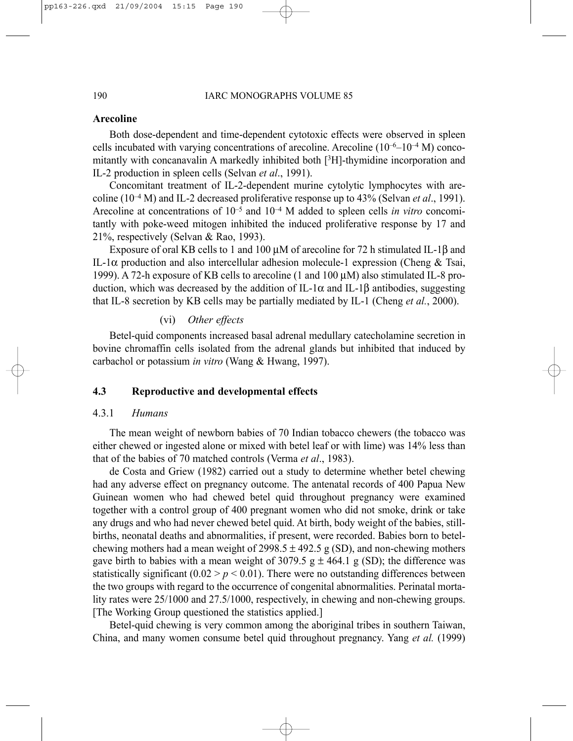# **Arecoline**

Both dose-dependent and time-dependent cytotoxic effects were observed in spleen cells incubated with varying concentrations of arecoline. Arecoline  $(10^{-6}-10^{-4} \text{ M})$  concomitantly with concanavalin A markedly inhibited both [3H]-thymidine incorporation and IL-2 production in spleen cells (Selvan *et al*., 1991).

Concomitant treatment of IL-2-dependent murine cytolytic lymphocytes with arecoline (10–4 M) and IL-2 decreased proliferative response up to 43% (Selvan *et al*., 1991). Arecoline at concentrations of 10–5 and 10–4 M added to spleen cells *in vitro* concomitantly with poke-weed mitogen inhibited the induced proliferative response by 17 and 21%, respectively (Selvan & Rao, 1993).

Exposure of oral KB cells to 1 and 100 µM of arecoline for 72 h stimulated IL-1β and IL-1α production and also intercellular adhesion molecule-1 expression (Cheng & Tsai, 1999). A 72-h exposure of KB cells to arecoline (1 and 100  $\mu$ M) also stimulated IL-8 production, which was decreased by the addition of IL-1α and IL-1β antibodies, suggesting that IL-8 secretion by KB cells may be partially mediated by IL-1 (Cheng *et al.*, 2000).

# (vi) *Other effects*

Betel-quid components increased basal adrenal medullary catecholamine secretion in bovine chromaffin cells isolated from the adrenal glands but inhibited that induced by carbachol or potassium *in vitro* (Wang & Hwang, 1997).

# **4.3 Reproductive and developmental effects**

# 4.3.1 *Humans*

The mean weight of newborn babies of 70 Indian tobacco chewers (the tobacco was either chewed or ingested alone or mixed with betel leaf or with lime) was 14% less than that of the babies of 70 matched controls (Verma *et al*., 1983).

de Costa and Griew (1982) carried out a study to determine whether betel chewing had any adverse effect on pregnancy outcome. The antenatal records of 400 Papua New Guinean women who had chewed betel quid throughout pregnancy were examined together with a control group of 400 pregnant women who did not smoke, drink or take any drugs and who had never chewed betel quid. At birth, body weight of the babies, stillbirths, neonatal deaths and abnormalities, if present, were recorded. Babies born to betelchewing mothers had a mean weight of 2998.5  $\pm$  492.5 g (SD), and non-chewing mothers gave birth to babies with a mean weight of 3079.5 g  $\pm$  464.1 g (SD); the difference was statistically significant  $(0.02 > p < 0.01)$ . There were no outstanding differences between the two groups with regard to the occurrence of congenital abnormalities. Perinatal mortality rates were 25/1000 and 27.5/1000, respectively, in chewing and non-chewing groups. [The Working Group questioned the statistics applied.]

Betel-quid chewing is very common among the aboriginal tribes in southern Taiwan, China, and many women consume betel quid throughout pregnancy. Yang *et al.* (1999)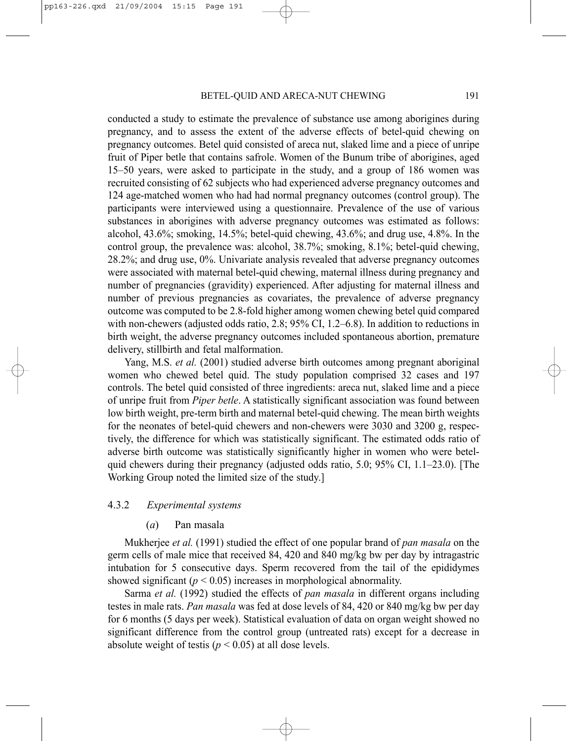conducted a study to estimate the prevalence of substance use among aborigines during pregnancy, and to assess the extent of the adverse effects of betel-quid chewing on pregnancy outcomes. Betel quid consisted of areca nut, slaked lime and a piece of unripe fruit of Piper betle that contains safrole. Women of the Bunum tribe of aborigines, aged 15–50 years, were asked to participate in the study, and a group of 186 women was recruited consisting of 62 subjects who had experienced adverse pregnancy outcomes and 124 age-matched women who had had normal pregnancy outcomes (control group). The participants were interviewed using a questionnaire. Prevalence of the use of various substances in aborigines with adverse pregnancy outcomes was estimated as follows: alcohol, 43.6%; smoking, 14.5%; betel-quid chewing, 43.6%; and drug use, 4.8%. In the control group, the prevalence was: alcohol, 38.7%; smoking, 8.1%; betel-quid chewing, 28.2%; and drug use, 0%. Univariate analysis revealed that adverse pregnancy outcomes were associated with maternal betel-quid chewing, maternal illness during pregnancy and number of pregnancies (gravidity) experienced. After adjusting for maternal illness and number of previous pregnancies as covariates, the prevalence of adverse pregnancy outcome was computed to be 2.8-fold higher among women chewing betel quid compared with non-chewers (adjusted odds ratio, 2.8; 95% CI, 1.2–6.8). In addition to reductions in birth weight, the adverse pregnancy outcomes included spontaneous abortion, premature delivery, stillbirth and fetal malformation.

Yang, M.S. *et al.* (2001) studied adverse birth outcomes among pregnant aboriginal women who chewed betel quid. The study population comprised 32 cases and 197 controls. The betel quid consisted of three ingredients: areca nut, slaked lime and a piece of unripe fruit from *Piper betle*. A statistically significant association was found between low birth weight, pre-term birth and maternal betel-quid chewing. The mean birth weights for the neonates of betel-quid chewers and non-chewers were 3030 and 3200 g, respectively, the difference for which was statistically significant. The estimated odds ratio of adverse birth outcome was statistically significantly higher in women who were betelquid chewers during their pregnancy (adjusted odds ratio, 5.0; 95% CI, 1.1–23.0). [The Working Group noted the limited size of the study.]

# 4.3.2 *Experimental systems*

## (*a*) Pan masala

Mukherjee *et al.* (1991) studied the effect of one popular brand of *pan masala* on the germ cells of male mice that received 84, 420 and 840 mg/kg bw per day by intragastric intubation for 5 consecutive days. Sperm recovered from the tail of the epididymes showed significant  $(p < 0.05)$  increases in morphological abnormality.

Sarma *et al.* (1992) studied the effects of *pan masala* in different organs including testes in male rats. *Pan masala* was fed at dose levels of 84, 420 or 840 mg/kg bw per day for 6 months (5 days per week). Statistical evaluation of data on organ weight showed no significant difference from the control group (untreated rats) except for a decrease in absolute weight of testis ( $p < 0.05$ ) at all dose levels.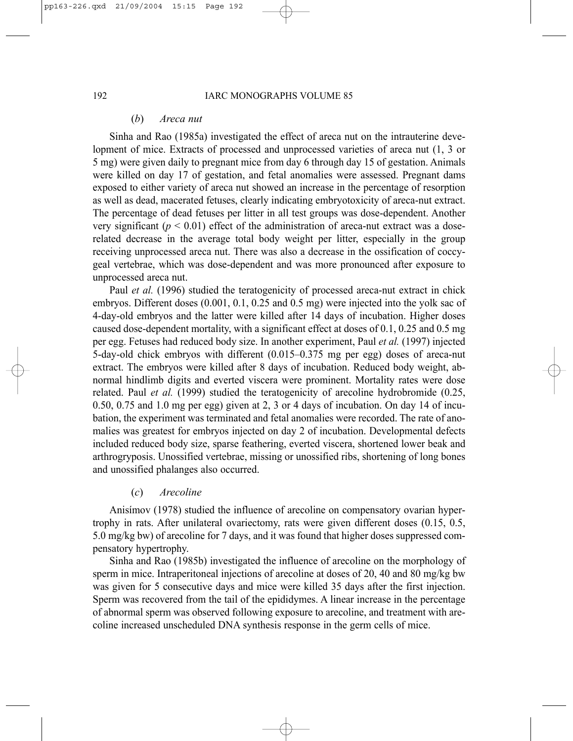#### (*b*) *Areca nut*

Sinha and Rao (1985a) investigated the effect of areca nut on the intrauterine development of mice. Extracts of processed and unprocessed varieties of areca nut (1, 3 or 5 mg) were given daily to pregnant mice from day 6 through day 15 of gestation. Animals were killed on day 17 of gestation, and fetal anomalies were assessed. Pregnant dams exposed to either variety of areca nut showed an increase in the percentage of resorption as well as dead, macerated fetuses, clearly indicating embryotoxicity of areca-nut extract. The percentage of dead fetuses per litter in all test groups was dose-dependent. Another very significant ( $p < 0.01$ ) effect of the administration of areca-nut extract was a doserelated decrease in the average total body weight per litter, especially in the group receiving unprocessed areca nut. There was also a decrease in the ossification of coccygeal vertebrae, which was dose-dependent and was more pronounced after exposure to unprocessed areca nut.

Paul *et al.* (1996) studied the teratogenicity of processed areca-nut extract in chick embryos. Different doses (0.001, 0.1, 0.25 and 0.5 mg) were injected into the yolk sac of 4-day-old embryos and the latter were killed after 14 days of incubation. Higher doses caused dose-dependent mortality, with a significant effect at doses of 0.1, 0.25 and 0.5 mg per egg. Fetuses had reduced body size. In another experiment, Paul *et al.* (1997) injected 5-day-old chick embryos with different (0.015–0.375 mg per egg) doses of areca-nut extract. The embryos were killed after 8 days of incubation. Reduced body weight, abnormal hindlimb digits and everted viscera were prominent. Mortality rates were dose related. Paul *et al.* (1999) studied the teratogenicity of arecoline hydrobromide (0.25, 0.50, 0.75 and 1.0 mg per egg) given at 2, 3 or 4 days of incubation. On day 14 of incubation, the experiment was terminated and fetal anomalies were recorded. The rate of anomalies was greatest for embryos injected on day 2 of incubation. Developmental defects included reduced body size, sparse feathering, everted viscera, shortened lower beak and arthrogryposis. Unossified vertebrae, missing or unossified ribs, shortening of long bones and unossified phalanges also occurred.

# (*c*) *Arecoline*

Anisímov (1978) studied the influence of arecoline on compensatory ovarian hypertrophy in rats. After unilateral ovariectomy, rats were given different doses (0.15, 0.5, 5.0 mg/kg bw) of arecoline for 7 days, and it was found that higher doses suppressed compensatory hypertrophy.

Sinha and Rao (1985b) investigated the influence of arecoline on the morphology of sperm in mice. Intraperitoneal injections of arecoline at doses of 20, 40 and 80 mg/kg bw was given for 5 consecutive days and mice were killed 35 days after the first injection. Sperm was recovered from the tail of the epididymes. A linear increase in the percentage of abnormal sperm was observed following exposure to arecoline, and treatment with arecoline increased unscheduled DNA synthesis response in the germ cells of mice.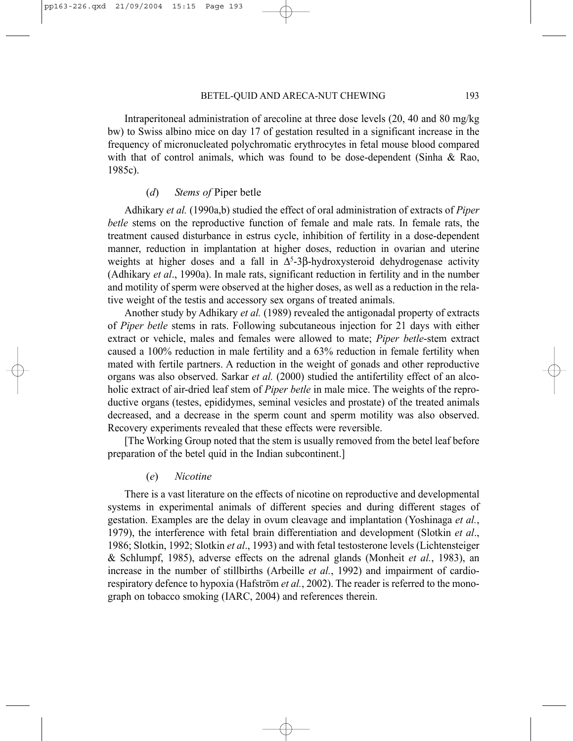Intraperitoneal administration of arecoline at three dose levels (20, 40 and 80 mg/kg bw) to Swiss albino mice on day 17 of gestation resulted in a significant increase in the frequency of micronucleated polychromatic erythrocytes in fetal mouse blood compared with that of control animals, which was found to be dose-dependent (Sinha & Rao, 1985c).

#### (*d*) *Stems of* Piper betle

Adhikary *et al.* (1990a,b) studied the effect of oral administration of extracts of *Piper betle* stems on the reproductive function of female and male rats. In female rats, the treatment caused disturbance in estrus cycle, inhibition of fertility in a dose-dependent manner, reduction in implantation at higher doses, reduction in ovarian and uterine weights at higher doses and a fall in  $\Delta^{5}$ -3β-hydroxysteroid dehydrogenase activity (Adhikary *et al*., 1990a). In male rats, significant reduction in fertility and in the number and motility of sperm were observed at the higher doses, as well as a reduction in the relative weight of the testis and accessory sex organs of treated animals.

Another study by Adhikary *et al.* (1989) revealed the antigonadal property of extracts of *Piper betle* stems in rats. Following subcutaneous injection for 21 days with either extract or vehicle, males and females were allowed to mate; *Piper betle*-stem extract caused a 100% reduction in male fertility and a 63% reduction in female fertility when mated with fertile partners. A reduction in the weight of gonads and other reproductive organs was also observed. Sarkar *et al.* (2000) studied the antifertility effect of an alcoholic extract of air-dried leaf stem of *Piper betle* in male mice. The weights of the reproductive organs (testes, epididymes, seminal vesicles and prostate) of the treated animals decreased, and a decrease in the sperm count and sperm motility was also observed. Recovery experiments revealed that these effects were reversible.

[The Working Group noted that the stem is usually removed from the betel leaf before preparation of the betel quid in the Indian subcontinent.]

# (*e*) *Nicotine*

There is a vast literature on the effects of nicotine on reproductive and developmental systems in experimental animals of different species and during different stages of gestation. Examples are the delay in ovum cleavage and implantation (Yoshinaga *et al.*, 1979), the interference with fetal brain differentiation and development (Slotkin *et al*., 1986; Slotkin, 1992; Slotkin *et al*., 1993) and with fetal testosterone levels (Lichtensteiger & Schlumpf, 1985), adverse effects on the adrenal glands (Monheit *et al.*, 1983), an increase in the number of stillbirths (Arbeille *et al.*, 1992) and impairment of cardiorespiratory defence to hypoxia (Hafström *et al.*, 2002). The reader is referred to the monograph on tobacco smoking (IARC, 2004) and references therein.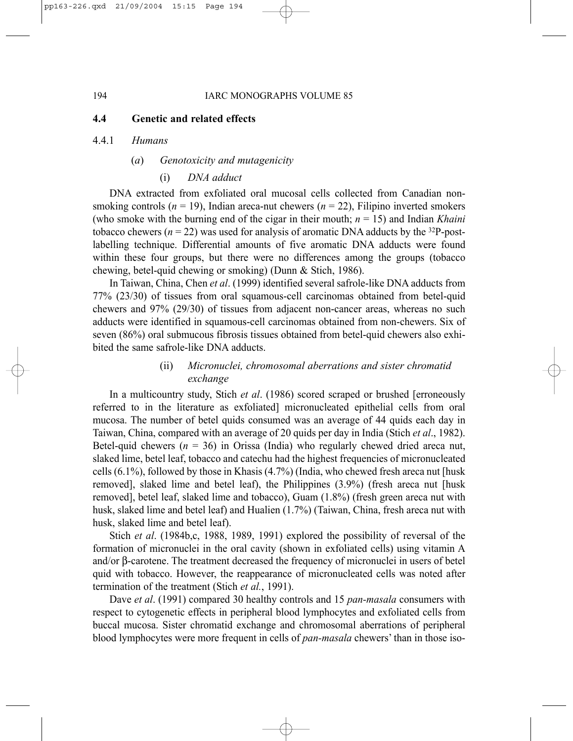# **4.4 Genetic and related effects**

#### 4.4.1 *Humans*

# (*a*) *Genotoxicity and mutagenicity*

# (i) *DNA adduct*

DNA extracted from exfoliated oral mucosal cells collected from Canadian nonsmoking controls ( $n = 19$ ), Indian areca-nut chewers ( $n = 22$ ), Filipino inverted smokers (who smoke with the burning end of the cigar in their mouth; *n* = 15) and Indian *Khaini* tobacco chewers ( $n = 22$ ) was used for analysis of aromatic DNA adducts by the <sup>32</sup>P-postlabelling technique. Differential amounts of five aromatic DNA adducts were found within these four groups, but there were no differences among the groups (tobacco chewing, betel-quid chewing or smoking) (Dunn & Stich, 1986).

In Taiwan, China, Chen *et al*. (1999) identified several safrole-like DNA adducts from 77% (23/30) of tissues from oral squamous-cell carcinomas obtained from betel-quid chewers and 97% (29/30) of tissues from adjacent non-cancer areas, whereas no such adducts were identified in squamous-cell carcinomas obtained from non-chewers. Six of seven (86%) oral submucous fibrosis tissues obtained from betel-quid chewers also exhibited the same safrole-like DNA adducts.

# (ii) *Micronuclei, chromosomal aberrations and sister chromatid exchange*

In a multicountry study, Stich *et al*. (1986) scored scraped or brushed [erroneously referred to in the literature as exfoliated] micronucleated epithelial cells from oral mucosa. The number of betel quids consumed was an average of 44 quids each day in Taiwan, China, compared with an average of 20 quids per day in India (Stich *et al*., 1982). Betel-quid chewers  $(n = 36)$  in Orissa (India) who regularly chewed dried areca nut, slaked lime, betel leaf, tobacco and catechu had the highest frequencies of micronucleated cells (6.1%), followed by those in Khasis (4.7%) (India, who chewed fresh areca nut [husk removed], slaked lime and betel leaf), the Philippines (3.9%) (fresh areca nut [husk removed], betel leaf, slaked lime and tobacco), Guam (1.8%) (fresh green areca nut with husk, slaked lime and betel leaf) and Hualien (1.7%) (Taiwan, China, fresh areca nut with husk, slaked lime and betel leaf).

Stich *et al*. (1984b,c, 1988, 1989, 1991) explored the possibility of reversal of the formation of micronuclei in the oral cavity (shown in exfoliated cells) using vitamin A and/or β-carotene. The treatment decreased the frequency of micronuclei in users of betel quid with tobacco. However, the reappearance of micronucleated cells was noted after termination of the treatment (Stich *et al.*, 1991).

Dave *et al*. (1991) compared 30 healthy controls and 15 *pan-masala* consumers with respect to cytogenetic effects in peripheral blood lymphocytes and exfoliated cells from buccal mucosa. Sister chromatid exchange and chromosomal aberrations of peripheral blood lymphocytes were more frequent in cells of *pan-masala* chewers' than in those iso-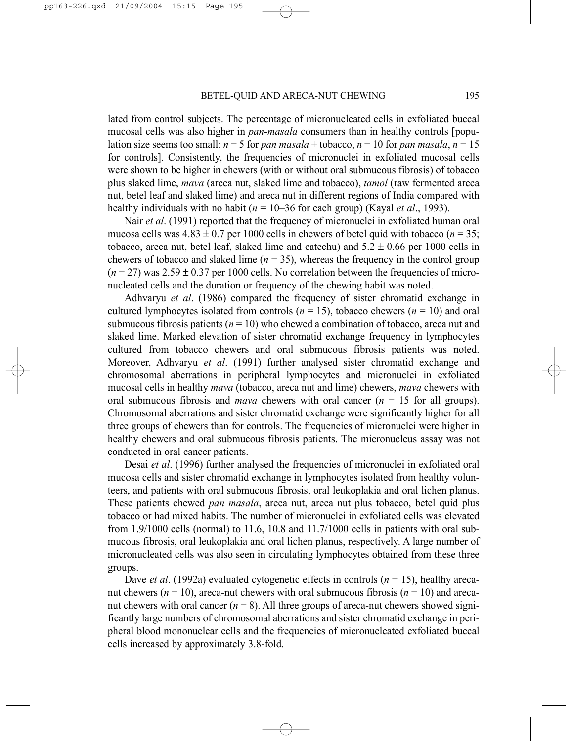lated from control subjects. The percentage of micronucleated cells in exfoliated buccal mucosal cells was also higher in *pan-masala* consumers than in healthy controls [population size seems too small:  $n = 5$  for *pan masala* + tobacco,  $n = 10$  for *pan masala*,  $n = 15$ for controls]. Consistently, the frequencies of micronuclei in exfoliated mucosal cells were shown to be higher in chewers (with or without oral submucous fibrosis) of tobacco plus slaked lime, *mava* (areca nut, slaked lime and tobacco), *tamol* (raw fermented areca nut, betel leaf and slaked lime) and areca nut in different regions of India compared with healthy individuals with no habit (*n* = 10–36 for each group) (Kayal *et al*., 1993).

Nair *et al*. (1991) reported that the frequency of micronuclei in exfoliated human oral mucosa cells was  $4.83 \pm 0.7$  per 1000 cells in chewers of betel quid with tobacco ( $n = 35$ ; tobacco, areca nut, betel leaf, slaked lime and catechu) and  $5.2 \pm 0.66$  per 1000 cells in chewers of tobacco and slaked lime  $(n = 35)$ , whereas the frequency in the control group  $(n=27)$  was  $2.59 \pm 0.37$  per 1000 cells. No correlation between the frequencies of micronucleated cells and the duration or frequency of the chewing habit was noted.

Adhvaryu *et al*. (1986) compared the frequency of sister chromatid exchange in cultured lymphocytes isolated from controls  $(n = 15)$ , tobacco chewers  $(n = 10)$  and oral submucous fibrosis patients  $(n = 10)$  who chewed a combination of tobacco, areca nut and slaked lime. Marked elevation of sister chromatid exchange frequency in lymphocytes cultured from tobacco chewers and oral submucous fibrosis patients was noted. Moreover, Adhvaryu *et al*. (1991) further analysed sister chromatid exchange and chromosomal aberrations in peripheral lymphocytes and micronuclei in exfoliated mucosal cells in healthy *mava* (tobacco, areca nut and lime) chewers, *mava* chewers with oral submucous fibrosis and *mava* chewers with oral cancer (*n* = 15 for all groups). Chromosomal aberrations and sister chromatid exchange were significantly higher for all three groups of chewers than for controls. The frequencies of micronuclei were higher in healthy chewers and oral submucous fibrosis patients. The micronucleus assay was not conducted in oral cancer patients.

Desai *et al*. (1996) further analysed the frequencies of micronuclei in exfoliated oral mucosa cells and sister chromatid exchange in lymphocytes isolated from healthy volunteers, and patients with oral submucous fibrosis, oral leukoplakia and oral lichen planus. These patients chewed *pan masala*, areca nut, areca nut plus tobacco, betel quid plus tobacco or had mixed habits. The number of micronuclei in exfoliated cells was elevated from 1.9/1000 cells (normal) to 11.6, 10.8 and 11.7/1000 cells in patients with oral submucous fibrosis, oral leukoplakia and oral lichen planus, respectively. A large number of micronucleated cells was also seen in circulating lymphocytes obtained from these three groups.

Dave *et al.* (1992a) evaluated cytogenetic effects in controls (*n* = 15), healthy arecanut chewers ( $n = 10$ ), areca-nut chewers with oral submucous fibrosis ( $n = 10$ ) and arecanut chewers with oral cancer  $(n = 8)$ . All three groups of areca-nut chewers showed significantly large numbers of chromosomal aberrations and sister chromatid exchange in peripheral blood mononuclear cells and the frequencies of micronucleated exfoliated buccal cells increased by approximately 3.8-fold.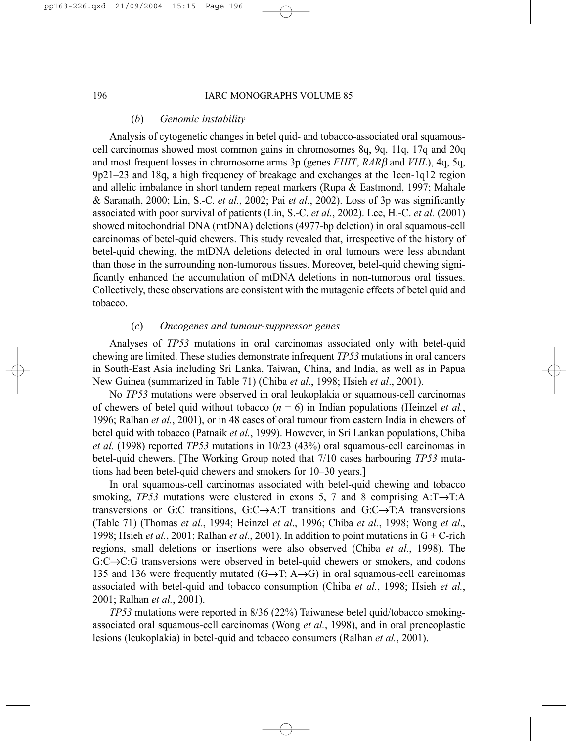#### (*b*) *Genomic instability*

Analysis of cytogenetic changes in betel quid- and tobacco-associated oral squamouscell carcinomas showed most common gains in chromosomes 8q, 9q, 11q, 17q and 20q and most frequent losses in chromosome arms 3p (genes *FHIT*, *RAR*β and *VHL*), 4q, 5q, 9p21–23 and 18q, a high frequency of breakage and exchanges at the 1cen-1q12 region and allelic imbalance in short tandem repeat markers (Rupa & Eastmond, 1997; Mahale & Saranath, 2000; Lin, S.-C. *et al.*, 2002; Pai *et al.*, 2002). Loss of 3p was significantly associated with poor survival of patients (Lin, S.-C. *et al.*, 2002). Lee, H.-C. *et al.* (2001) showed mitochondrial DNA (mtDNA) deletions (4977-bp deletion) in oral squamous-cell carcinomas of betel-quid chewers. This study revealed that, irrespective of the history of betel-quid chewing, the mtDNA deletions detected in oral tumours were less abundant than those in the surrounding non-tumorous tissues. Moreover, betel-quid chewing significantly enhanced the accumulation of mtDNA deletions in non-tumorous oral tissues. Collectively, these observations are consistent with the mutagenic effects of betel quid and tobacco.

# (*c*) *Oncogenes and tumour-suppressor genes*

Analyses of *TP53* mutations in oral carcinomas associated only with betel-quid chewing are limited. These studies demonstrate infrequent *TP53* mutations in oral cancers in South-East Asia including Sri Lanka, Taiwan, China, and India, as well as in Papua New Guinea (summarized in Table 71) (Chiba *et al*., 1998; Hsieh *et al*., 2001).

No *TP53* mutations were observed in oral leukoplakia or squamous-cell carcinomas of chewers of betel quid without tobacco  $(n = 6)$  in Indian populations (Heinzel *et al.*, 1996; Ralhan *et al.*, 2001), or in 48 cases of oral tumour from eastern India in chewers of betel quid with tobacco (Patnaik *et al.*, 1999). However, in Sri Lankan populations, Chiba *et al.* (1998) reported *TP53* mutations in 10/23 (43%) oral squamous-cell carcinomas in betel-quid chewers. [The Working Group noted that 7/10 cases harbouring *TP53* mutations had been betel-quid chewers and smokers for 10–30 years.]

In oral squamous-cell carcinomas associated with betel-quid chewing and tobacco smoking, *TP53* mutations were clustered in exons 5, 7 and 8 comprising  $A: T \rightarrow T:A$ transversions or G:C transitions, G:C $\rightarrow$ A:T transitions and G:C $\rightarrow$ T:A transversions (Table 71) (Thomas *et al.*, 1994; Heinzel *et al*., 1996; Chiba *et al.*, 1998; Wong *et al*., 1998; Hsieh *et al.*, 2001; Ralhan *et al.*, 2001). In addition to point mutations in G + C-rich regions, small deletions or insertions were also observed (Chiba *et al.*, 1998). The G:C→C:G transversions were observed in betel-quid chewers or smokers, and codons 135 and 136 were frequently mutated  $(G \rightarrow T; A \rightarrow G)$  in oral squamous-cell carcinomas associated with betel-quid and tobacco consumption (Chiba *et al.*, 1998; Hsieh *et al.*, 2001; Ralhan *et al.*, 2001).

*TP53* mutations were reported in 8/36 (22%) Taiwanese betel quid/tobacco smokingassociated oral squamous-cell carcinomas (Wong *et al.*, 1998), and in oral preneoplastic lesions (leukoplakia) in betel-quid and tobacco consumers (Ralhan *et al.*, 2001).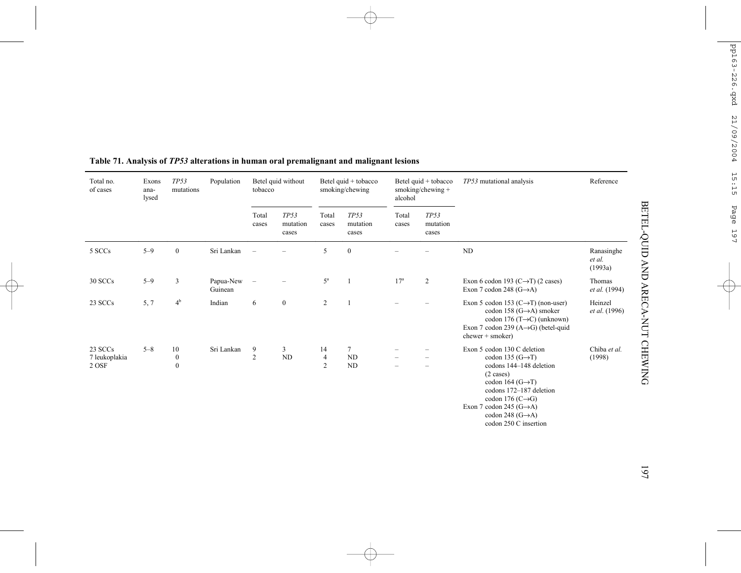| Total no.<br>of cases             | Exons<br>ana-<br>lysed | TP53<br>mutations                          | Population           | tobacco        | Betel quid without        |                                        | Betel quid + tobacco<br>smoking/chewing | alcohol         | Betel quid + tobacco<br>smoking/chewing + | TP53 mutational analysis                                                                                                                                                                                                                                                                               | Reference                       |
|-----------------------------------|------------------------|--------------------------------------------|----------------------|----------------|---------------------------|----------------------------------------|-----------------------------------------|-----------------|-------------------------------------------|--------------------------------------------------------------------------------------------------------------------------------------------------------------------------------------------------------------------------------------------------------------------------------------------------------|---------------------------------|
|                                   |                        |                                            |                      | Total<br>cases | TP53<br>mutation<br>cases | Total<br>cases                         | TP53<br>mutation<br>cases               | Total<br>cases  | TP53<br>mutation<br>cases                 |                                                                                                                                                                                                                                                                                                        |                                 |
| 5 SCCs                            | $5 - 9$                | $\boldsymbol{0}$                           | Sri Lankan           |                |                           | 5                                      | $\boldsymbol{0}$                        |                 |                                           | $\rm ND$                                                                                                                                                                                                                                                                                               | Ranasinghe<br>et al.<br>(1993a) |
| 30 SCCs                           | $5 - 9$                | 3                                          | Papua-New<br>Guinean |                |                           | $5^{\mathrm{a}}$                       |                                         | 17 <sup>a</sup> | $\overline{c}$                            | Exon 6 codon 193 (C $\rightarrow$ T) (2 cases)<br>Exon 7 codon 248 $(G \rightarrow A)$                                                                                                                                                                                                                 | Thomas<br><i>et al.</i> (1994)  |
| 23 SCCs                           | 5, 7                   | $4^{\rm b}$                                | Indian               | 6              | $\mathbf{0}$              | 2                                      |                                         |                 |                                           | Exon 5 codon 153 $(C \rightarrow T)$ (non-user)<br>codon 158 $(G \rightarrow A)$ smoker<br>codon 176 (T $\rightarrow$ C) (unknown)<br>Exon 7 codon 239 (A $\rightarrow$ G) (betel-quid<br>$chewer + smoker)$                                                                                           | Heinzel<br><i>et al.</i> (1996) |
| 23 SCCs<br>7 leukoplakia<br>2 OSF | $5 - 8$                | 10<br>$\boldsymbol{0}$<br>$\boldsymbol{0}$ | Sri Lankan           | 9<br>2         | 3<br>ND                   | 14<br>$\overline{4}$<br>$\overline{2}$ | $7\phantom{.0}$<br>ND<br><b>ND</b>      |                 | -<br>$\overline{\phantom{0}}$             | Exon 5 codon 130 C deletion<br>codon 135 $(G \rightarrow T)$<br>codons 144-148 deletion<br>$(2 \cases)$<br>codon 164 $(G \rightarrow T)$<br>codons 172-187 deletion<br>codon 176 $(C \rightarrow G)$<br>Exon 7 codon 245 $(G \rightarrow A)$<br>codon 248 $(G \rightarrow A)$<br>codon 250 C insertion | Chiba et al.<br>(1998)          |

# **Table 71. Analysis of** *TP53* **alterations in human oral premalignant and malignant lesions**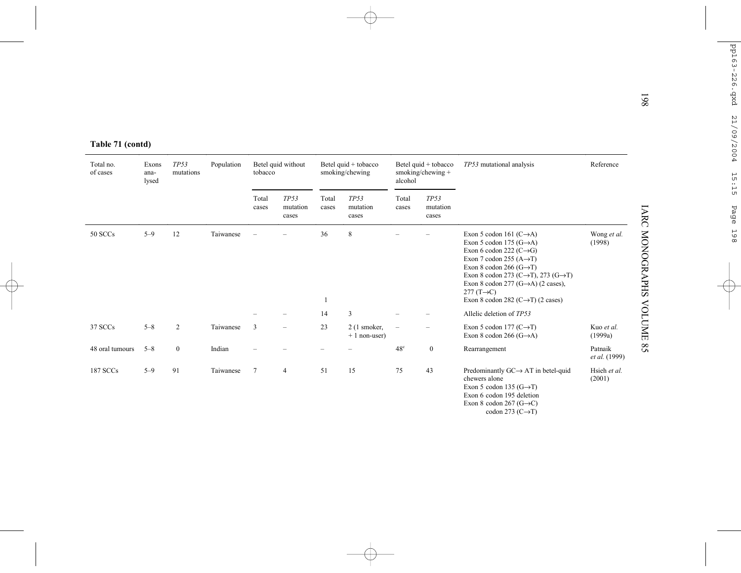| Total no.<br>of cases | Table 71 (contd)<br>Exons<br>ana- | <b>TP53</b><br>mutations | Population | tobacco        | Betel quid without        |                | Betel quid + tobacco<br>smoking/chewing |                           |                           |                                                                                                                                                                                                                                                                                                                                                     |                                     |  |  |  | Betel quid + tobacco<br>smoking/chewing $+$ | TP53 mutational analysis | Reference |
|-----------------------|-----------------------------------|--------------------------|------------|----------------|---------------------------|----------------|-----------------------------------------|---------------------------|---------------------------|-----------------------------------------------------------------------------------------------------------------------------------------------------------------------------------------------------------------------------------------------------------------------------------------------------------------------------------------------------|-------------------------------------|--|--|--|---------------------------------------------|--------------------------|-----------|
|                       | lysed                             |                          |            | Total<br>cases | TP53<br>mutation<br>cases | Total<br>cases | TP53<br>mutation<br>cases               | alcohol<br>Total<br>cases | TP53<br>mutation<br>cases |                                                                                                                                                                                                                                                                                                                                                     |                                     |  |  |  |                                             |                          |           |
| 50 SCCs               | $5 - 9$                           | 12                       | Taiwanese  |                |                           | 36             | 8                                       |                           |                           | Exon 5 codon 161 $(C \rightarrow A)$<br>Exon 5 codon 175 $(G \rightarrow A)$<br>Exon 6 codon 222 ( $C \rightarrow G$ )<br>Exon 7 codon 255 $(A \rightarrow T)$<br>Exon 8 codon 266 (G $\rightarrow$ T)<br>Exon 8 codon 273 (C $\rightarrow$ T), 273 (G $\rightarrow$ T)<br>Exon 8 codon 277 $(G \rightarrow A)$ (2 cases),<br>$277(T\rightarrow C)$ | Wong et al.<br>(1998)               |  |  |  |                                             |                          |           |
|                       |                                   |                          |            |                |                           | 1              |                                         |                           |                           | Exon 8 codon 282 ( $C \rightarrow T$ ) (2 cases)                                                                                                                                                                                                                                                                                                    |                                     |  |  |  |                                             |                          |           |
| 37 SCCs               | $5 - 8$                           | 2                        | Taiwanese  | $\overline{3}$ | $\equiv$                  | 14<br>23       | 3<br>$2(1)$ smoker,                     | $\overline{\phantom{m}}$  |                           | Allelic deletion of TP53<br>Exon 5 codon 177 ( $C \rightarrow T$ )                                                                                                                                                                                                                                                                                  | Kuo et al.                          |  |  |  |                                             |                          |           |
| 48 oral tumours       | $5 - 8$                           | $\boldsymbol{0}$         | Indian     |                |                           |                | $+1$ non-user)                          | $48^\circ$                | $\bf{0}$                  | Exon 8 codon 266 $(G \rightarrow A)$<br>Rearrangement                                                                                                                                                                                                                                                                                               | (1999a)<br>Patnaik<br>et al. (1999) |  |  |  |                                             |                          |           |
| 187 SCCs              | $5 - 9$                           | 91                       | Taiwanese  | $\tau$         | $\overline{4}$            | 51             | 15                                      | 75                        | 43                        | Predominantly $GC \rightarrow AT$ in betel-quid<br>chewers alone<br>Exon 5 codon 135 $(G \rightarrow T)$<br>Exon 6 codon 195 deletion<br>Exon 8 codon 267 (G $\rightarrow$ C)<br>codon 273 ( $C \rightarrow T$ )                                                                                                                                    | Hsieh et al.<br>(2001)              |  |  |  |                                             |                          |           |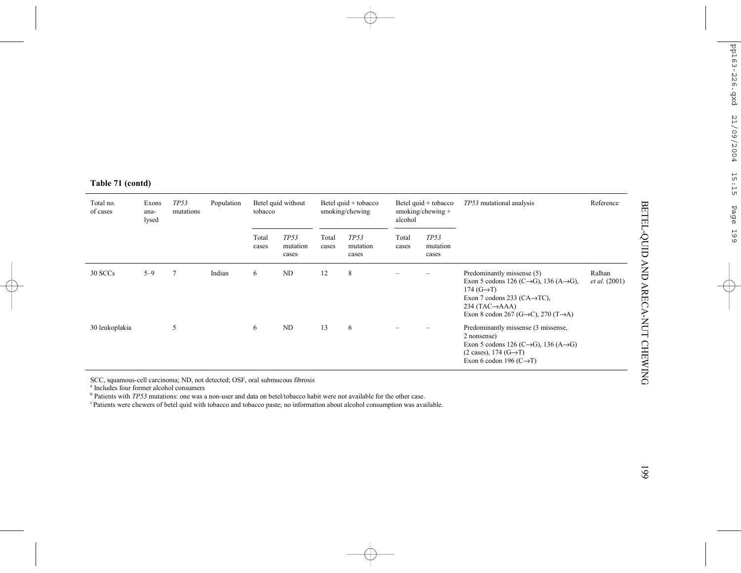| Total no.<br>of cases | Exons<br>ana-<br>lysed | TP53<br>mutations | Population | tobacco        | Betel quid without        |                | Betel quid + tobacco<br>smoking/chewing | alcohol        | Betel quid + tobacco<br>smoking/chewing $+$ | TP53 mutational analysis                                                                                                                                                                                                                                                 |                         |
|-----------------------|------------------------|-------------------|------------|----------------|---------------------------|----------------|-----------------------------------------|----------------|---------------------------------------------|--------------------------------------------------------------------------------------------------------------------------------------------------------------------------------------------------------------------------------------------------------------------------|-------------------------|
|                       |                        |                   |            | Total<br>cases | TP53<br>mutation<br>cases | Total<br>cases | TP53<br>mutation<br>cases               | Total<br>cases | TP53<br>mutation<br>cases                   |                                                                                                                                                                                                                                                                          |                         |
| 30 SCCs               | $5 - 9$                | 7                 | Indian     | 6              | ND                        | 12             | 8                                       |                |                                             | Predominantly missense (5)<br>Exon 5 codons 126 (C $\rightarrow$ G), 136 (A $\rightarrow$ G),<br>174 $(G \rightarrow T)$<br>Exon 7 codons 233 ( $CA \rightarrow TC$ ),<br>$234$ (TAC $\rightarrow$ AAA)<br>Exon 8 codon 267 (G $\rightarrow$ C), 270 (T $\rightarrow$ A) | Ralhan<br>et al. (2001) |
| 30 leukoplakia        |                        | 5                 |            | 6              | ND                        | 13             | 6                                       |                |                                             | Predominantly missense (3 missense,<br>2 nonsense)<br>Exon 5 codons 126 (C $\rightarrow$ G), 136 (A $\rightarrow$ G)<br>$(2 \cases)$ , 174 $(G \rightarrow T)$<br>Exon 6 codon 196 ( $C \rightarrow T$ )                                                                 |                         |

SCC, squamous-cell carcinoma; ND, not detected; OSF, oral submucous fibrosis

a Includes four former alcohol consumers

b Patients with *TP53* mutations: one was a non-user and data on betel/tobacco habit were not available for the other case.

c Patients were chewers of betel quid with tobacco and tobacco paste; no information about alcohol consumption was available.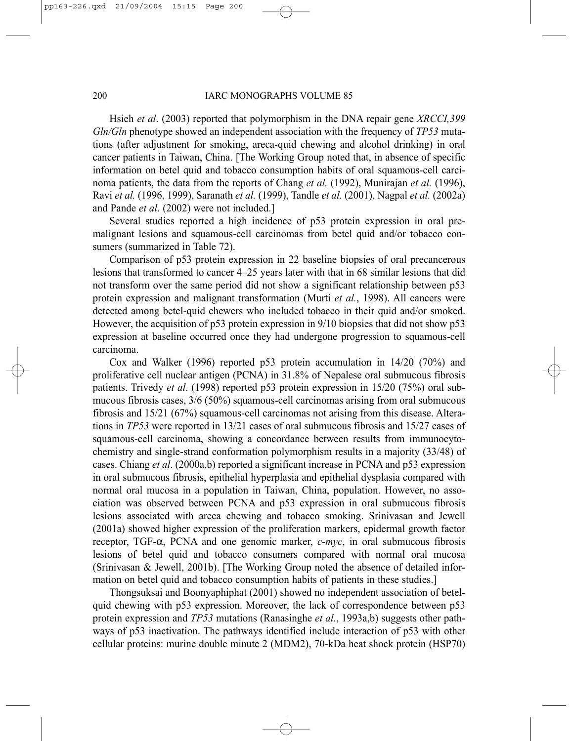Hsieh *et al*. (2003) reported that polymorphism in the DNA repair gene *XRCCI,399 Gln/Gln* phenotype showed an independent association with the frequency of *TP53* mutations (after adjustment for smoking, areca-quid chewing and alcohol drinking) in oral cancer patients in Taiwan, China. [The Working Group noted that, in absence of specific information on betel quid and tobacco consumption habits of oral squamous-cell carcinoma patients, the data from the reports of Chang *et al.* (1992), Munirajan *et al.* (1996), Ravi *et al.* (1996, 1999), Saranath *et al.* (1999), Tandle *et al.* (2001), Nagpal *et al.* (2002a) and Pande *et al*. (2002) were not included.]

Several studies reported a high incidence of p53 protein expression in oral premalignant lesions and squamous-cell carcinomas from betel quid and/or tobacco consumers (summarized in Table 72).

Comparison of p53 protein expression in 22 baseline biopsies of oral precancerous lesions that transformed to cancer 4–25 years later with that in 68 similar lesions that did not transform over the same period did not show a significant relationship between p53 protein expression and malignant transformation (Murti *et al.*, 1998). All cancers were detected among betel-quid chewers who included tobacco in their quid and/or smoked. However, the acquisition of p53 protein expression in 9/10 biopsies that did not show p53 expression at baseline occurred once they had undergone progression to squamous-cell carcinoma.

Cox and Walker (1996) reported p53 protein accumulation in 14/20 (70%) and proliferative cell nuclear antigen (PCNA) in 31.8% of Nepalese oral submucous fibrosis patients. Trivedy *et al*. (1998) reported p53 protein expression in 15/20 (75%) oral submucous fibrosis cases, 3/6 (50%) squamous-cell carcinomas arising from oral submucous fibrosis and 15/21 (67%) squamous-cell carcinomas not arising from this disease. Alterations in *TP53* were reported in 13/21 cases of oral submucous fibrosis and 15/27 cases of squamous-cell carcinoma, showing a concordance between results from immunocytochemistry and single-strand conformation polymorphism results in a majority (33/48) of cases. Chiang *et al*. (2000a,b) reported a significant increase in PCNA and p53 expression in oral submucous fibrosis, epithelial hyperplasia and epithelial dysplasia compared with normal oral mucosa in a population in Taiwan, China, population. However, no association was observed between PCNA and p53 expression in oral submucous fibrosis lesions associated with areca chewing and tobacco smoking. Srinivasan and Jewell (2001a) showed higher expression of the proliferation markers, epidermal growth factor receptor, TGF-α, PCNA and one genomic marker, *c-myc*, in oral submucous fibrosis lesions of betel quid and tobacco consumers compared with normal oral mucosa (Srinivasan & Jewell, 2001b). [The Working Group noted the absence of detailed information on betel quid and tobacco consumption habits of patients in these studies.]

Thongsuksai and Boonyaphiphat (2001) showed no independent association of betelquid chewing with p53 expression. Moreover, the lack of correspondence between p53 protein expression and *TP53* mutations (Ranasinghe *et al.*, 1993a,b) suggests other pathways of p53 inactivation. The pathways identified include interaction of p53 with other cellular proteins: murine double minute 2 (MDM2), 70-kDa heat shock protein (HSP70)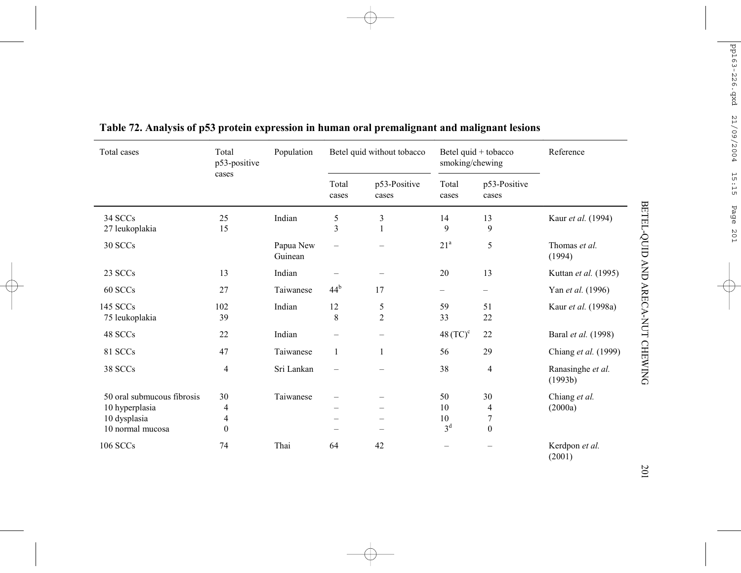| Total cases                | Total<br>p53-positive    | Population           |                              | Betel quid without tobacco     | smoking/chewing          | Betel quid + tobacco     | Reference                    |
|----------------------------|--------------------------|----------------------|------------------------------|--------------------------------|--------------------------|--------------------------|------------------------------|
|                            | cases                    |                      | Total<br>cases               | p53-Positive<br>cases          | Total<br>cases           | p53-Positive<br>cases    |                              |
| 34 SCCs<br>27 leukoplakia  | 25<br>15                 | Indian               | $\sqrt{5}$<br>$\overline{3}$ | $\mathfrak{Z}$<br>$\mathbf{1}$ | 14<br>9                  | 13<br>9                  | Kaur et al. (1994)           |
| 30 SCCs                    |                          | Papua New<br>Guinean | $\overline{\phantom{0}}$     |                                | $21^a$                   | 5                        | Thomas et al.<br>(1994)      |
| 23 SCCs                    | 13                       | Indian               |                              |                                | 20                       | 13                       | Kuttan et al. (1995)         |
| 60 SCCs                    | 27                       | Taiwanese            | 44 <sup>b</sup>              | 17                             | $\qquad \qquad -$        | $\overline{\phantom{0}}$ | Yan et al. (1996)            |
| 145 SCCs<br>75 leukoplakia | 102<br>39                | Indian               | 12<br>8                      | $\sqrt{5}$<br>$\overline{2}$   | 59<br>33                 | 51<br>22                 | Kaur et al. (1998a)          |
| 48 SCCs                    | 22                       | Indian               | $\overline{\phantom{0}}$     |                                | $48$ (TC) $\textdegree$  | 22                       | Baral et al. (1998)          |
| 81 SCCs                    | 47                       | Taiwanese            | 1                            | 1                              | 56                       | 29                       | Chiang et al. (1999)         |
| 38 SCCs                    | $\overline{\mathcal{A}}$ | Sri Lankan           | $\overline{\phantom{0}}$     |                                | 38                       | $\overline{4}$           | Ranasinghe et al.<br>(1993b) |
| 50 oral submucous fibrosis | 30                       | Taiwanese            |                              |                                | 50                       | 30                       | Chiang et al.                |
| 10 hyperplasia             | 4                        |                      |                              |                                | 10                       | 4                        | (2000a)                      |
| 10 dysplasia               | 4                        |                      |                              |                                | 10                       | 7                        |                              |
| 10 normal mucosa           | $\mathbf{0}$             |                      |                              |                                | 3 <sup>d</sup>           | $\mathbf{0}$             |                              |
| 106 SCCs                   | 74                       | Thai                 | 64                           | 42                             | $\overline{\phantom{0}}$ |                          | Kerdpon et al.<br>(2001)     |

**Table 72. Analysis of p53 protein expression in human oral premalignant and malignant lesions**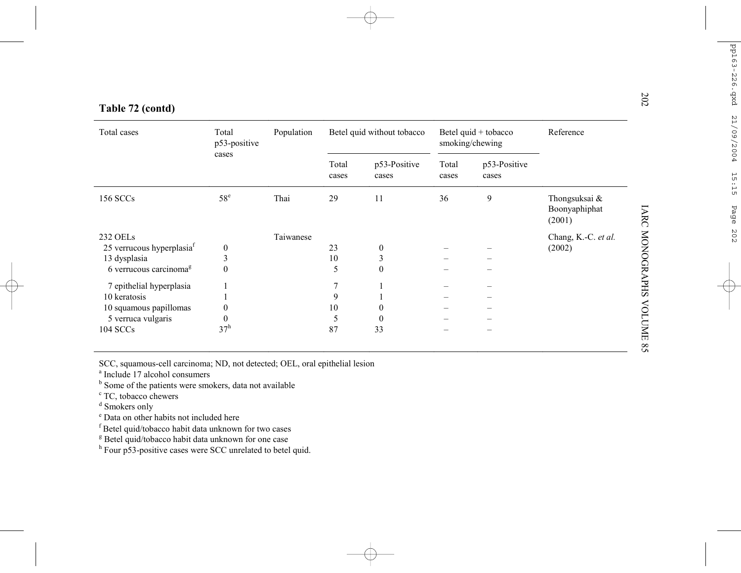| Table 72 (contd)                      |                       |            |                |                            |                |                                         |                                          |
|---------------------------------------|-----------------------|------------|----------------|----------------------------|----------------|-----------------------------------------|------------------------------------------|
| Total cases                           | Total<br>p53-positive | Population |                | Betel quid without tobacco |                | Betel quid + tobacco<br>smoking/chewing | Reference                                |
|                                       | cases                 |            | Total<br>cases | p53-Positive<br>cases      | Total<br>cases | p53-Positive<br>cases                   |                                          |
| 156 SCCs                              | $58^e$                | Thai       | 29             | 11                         | 36             | 9                                       | Thongsuksai &<br>Boonyaphiphat<br>(2001) |
| <b>232 OELs</b>                       |                       | Taiwanese  |                |                            |                |                                         | Chang, K.-C. et al.                      |
| 25 verrucous hyperplasia <sup>f</sup> | $\mathbf{0}$          |            | 23             | $\mathbf{0}$               |                |                                         | (2002)                                   |
| 13 dysplasia                          | 3                     |            | 10             | 3                          |                |                                         |                                          |
| 6 verrucous carcinoma <sup>g</sup>    | $\theta$              |            | 5              | $\theta$                   |                |                                         |                                          |
| 7 epithelial hyperplasia              |                       |            | 7              |                            |                |                                         |                                          |
| 10 keratosis                          |                       |            | 9              |                            |                |                                         |                                          |
| 10 squamous papillomas                |                       |            | 10             |                            |                |                                         |                                          |
| 5 verruca vulgaris                    |                       |            | 5              | $\Omega$                   |                |                                         |                                          |
| 104 SCCs                              | 37 <sup>h</sup>       |            | 87             | 33                         |                |                                         |                                          |
|                                       |                       |            |                |                            |                |                                         |                                          |

SCC, squamous-cell carcinoma; ND, not detected; OEL, oral epithelial lesion

<sup>a</sup> Include 17 alcohol consumers

<sup>b</sup> Some of the patients were smokers, data not available

<sup>c</sup> TC, tobacco chewers

<sup>d</sup> Smokers only

e Data on other habits not included here

f Betel quid/tobacco habit data unknown for two cases

<sup>g</sup> Betel quid/tobacco habit data unknown for one case

h Four p53-positive cases were SCC unrelated to betel quid.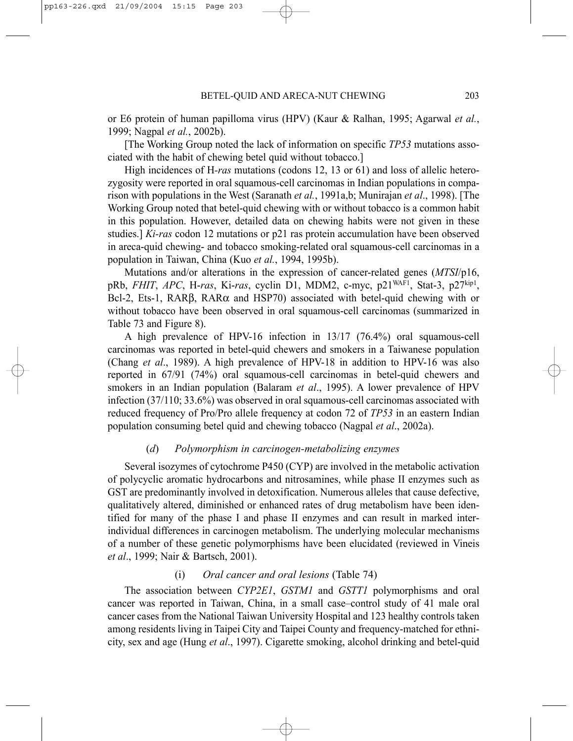or E6 protein of human papilloma virus (HPV) (Kaur & Ralhan, 1995; Agarwal *et al.*, 1999; Nagpal *et al.*, 2002b).

[The Working Group noted the lack of information on specific *TP53* mutations associated with the habit of chewing betel quid without tobacco.]

High incidences of H*-ras* mutations (codons 12, 13 or 61) and loss of allelic heterozygosity were reported in oral squamous-cell carcinomas in Indian populations in comparison with populations in the West (Saranath *et al.*, 1991a,b; Munirajan *et al*., 1998). [The Working Group noted that betel-quid chewing with or without tobacco is a common habit in this population. However, detailed data on chewing habits were not given in these studies.] *Ki-ras* codon 12 mutations or p21 ras protein accumulation have been observed in areca-quid chewing- and tobacco smoking-related oral squamous-cell carcinomas in a population in Taiwan, China (Kuo *et al.*, 1994, 1995b).

Mutations and/or alterations in the expression of cancer-related genes (*MTSI*/p16, pRb, *FHIT*, *APC*, H-*ras*, Ki-*ras*, cyclin D1, MDM2, c-myc, p21WAF1, Stat-3, p27kip1, Bcl-2, Ets-1, RARβ, RARα and HSP70) associated with betel-quid chewing with or without tobacco have been observed in oral squamous-cell carcinomas (summarized in Table 73 and Figure 8).

A high prevalence of HPV-16 infection in 13/17 (76.4%) oral squamous-cell carcinomas was reported in betel-quid chewers and smokers in a Taiwanese population (Chang *et al*., 1989). A high prevalence of HPV-18 in addition to HPV-16 was also reported in 67/91 (74%) oral squamous-cell carcinomas in betel-quid chewers and smokers in an Indian population (Balaram *et al*., 1995). A lower prevalence of HPV infection (37/110; 33.6%) was observed in oral squamous-cell carcinomas associated with reduced frequency of Pro/Pro allele frequency at codon 72 of *TP53* in an eastern Indian population consuming betel quid and chewing tobacco (Nagpal *et al*., 2002a).

#### (*d*) *Polymorphism in carcinogen-metabolizing enzymes*

Several isozymes of cytochrome P450 (CYP) are involved in the metabolic activation of polycyclic aromatic hydrocarbons and nitrosamines, while phase II enzymes such as GST are predominantly involved in detoxification. Numerous alleles that cause defective, qualitatively altered, diminished or enhanced rates of drug metabolism have been identified for many of the phase I and phase II enzymes and can result in marked interindividual differences in carcinogen metabolism. The underlying molecular mechanisms of a number of these genetic polymorphisms have been elucidated (reviewed in Vineis *et al*., 1999; Nair & Bartsch, 2001).

# (i) *Oral cancer and oral lesions* (Table 74)

The association between *CYP2E1*, *GSTM1* and *GSTT1* polymorphisms and oral cancer was reported in Taiwan, China, in a small case–control study of 41 male oral cancer cases from the National Taiwan University Hospital and 123 healthy controls taken among residents living in Taipei City and Taipei County and frequency-matched for ethnicity, sex and age (Hung *et al*., 1997). Cigarette smoking, alcohol drinking and betel-quid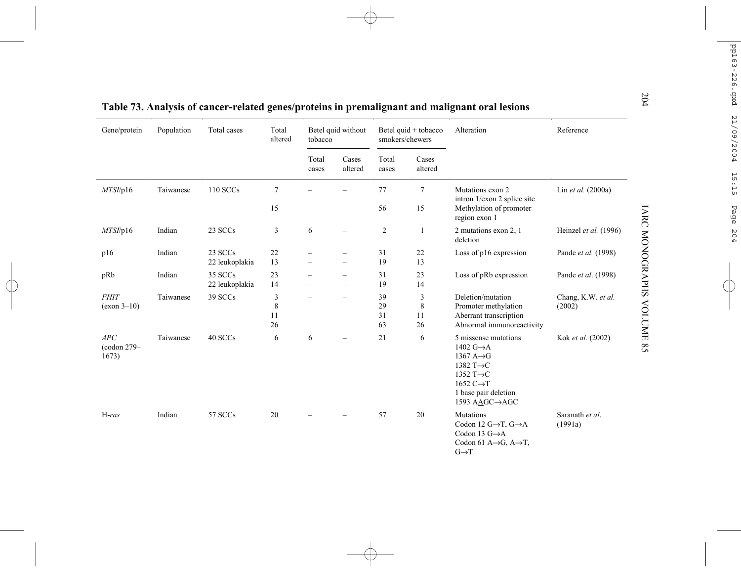|                              |            |                           |                          |                |                                                      |                                         |                    | Table 73. Analysis of cancer-related genes/proteins in premalignant and malignant oral lesions                                                                                                 |                              |  |  |            |           |
|------------------------------|------------|---------------------------|--------------------------|----------------|------------------------------------------------------|-----------------------------------------|--------------------|------------------------------------------------------------------------------------------------------------------------------------------------------------------------------------------------|------------------------------|--|--|------------|-----------|
| Gene/protein                 | Population | Total cases               | Total<br>altered         | tobacco        | Betel quid without                                   | Betel quid + tobacco<br>smokers/chewers |                    |                                                                                                                                                                                                |                              |  |  | Alteration | Reference |
|                              |            |                           |                          | Total<br>cases | Cases<br>altered                                     | Total<br>cases                          | Cases<br>altered   |                                                                                                                                                                                                |                              |  |  |            |           |
| MTSI/p16                     | Taiwanese  | 110 SCCs                  | $\overline{7}$           |                |                                                      | 77                                      | $\tau$             | Mutations exon 2<br>intron 1/exon 2 splice site                                                                                                                                                | Lin et al. (2000a)           |  |  |            |           |
|                              |            |                           | 15                       |                |                                                      | 56                                      | 15                 | Methylation of promoter<br>region exon 1                                                                                                                                                       |                              |  |  |            |           |
| MTSI/p16                     | Indian     | 23 SCCs                   | 3                        | 6              | $\overline{\phantom{0}}$                             | $\overline{2}$                          | 1                  | 2 mutations exon 2, 1<br>deletion                                                                                                                                                              | Heinzel et al. (1996)        |  |  |            |           |
| p16                          | Indian     | 23 SCCs<br>22 leukoplakia | 22<br>13                 |                | $\qquad \qquad -$<br>$\overline{\phantom{0}}$        | 31<br>19                                | 22<br>13           | Loss of $p16$ expression                                                                                                                                                                       | Pande et al. (1998)          |  |  |            |           |
| pRb                          | Indian     | 35 SCCs<br>22 leukoplakia | 23<br>14                 |                | $\overline{\phantom{0}}$<br>$\overline{\phantom{0}}$ | 31<br>19                                | 23<br>14           | Loss of pRb expression                                                                                                                                                                         | Pande et al. (1998)          |  |  |            |           |
| <b>FHIT</b><br>$(exon 3-10)$ | Taiwanese  | 39 SCCs                   | 3<br>$\,8\,$<br>11<br>26 |                | $=$                                                  | 39<br>29<br>31<br>63                    | 3<br>8<br>11<br>26 | Deletion/mutation<br>Promoter methylation<br>Aberrant transcription<br>Abnormal immunoreactivity                                                                                               | Chang, K.W. et al.<br>(2002) |  |  |            |           |
| APC<br>(codon 279-<br>1673)  | Taiwanese  | 40 SCCs                   | 6                        | 6              | $\overline{\phantom{0}}$                             | 21                                      | 6                  | 5 missense mutations<br>1402 $G \rightarrow A$<br>1367 $A \rightarrow G$<br>1382 $T\rightarrow C$<br>1352 T $\rightarrow$ C<br>1652 $C \rightarrow T$<br>1 base pair deletion<br>1593 AAGC→AGC | Kok et al. (2002)            |  |  |            |           |
| $H-ras$                      | Indian     | 57 SCCs                   | 20                       |                |                                                      | 57                                      | 20                 | Mutations<br>Codon 12 $G \rightarrow T$ , $G \rightarrow A$<br>Codon 13 $G \rightarrow A$<br>Codon 61 A $\rightarrow$ G, A $\rightarrow$ T,<br>$G \rightarrow T$                               | Saranath et al.<br>(1991a)   |  |  |            |           |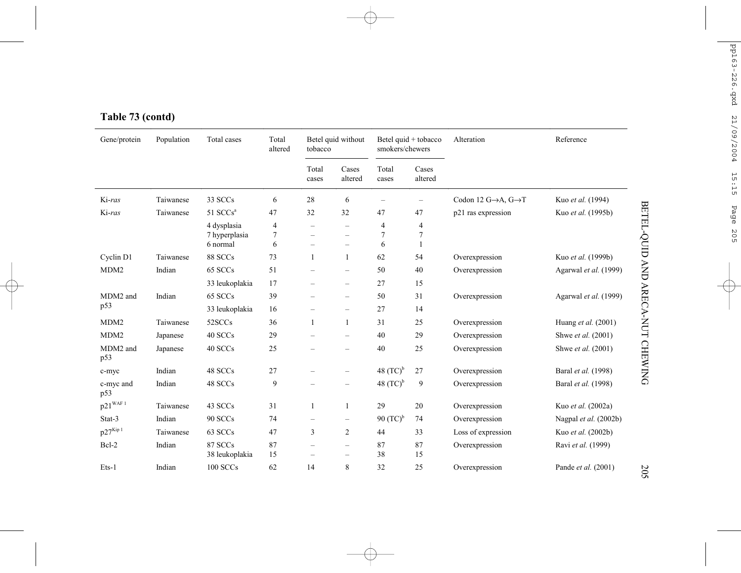# **Table 73 (contd)**

| Gene/protein                         | Population | Total cases                              | Total<br>altered                                | tobacco                  | Betel quid without                                                               | smokers/chewers        | Betel quid + tobacco     | Alteration                                     | Reference             |
|--------------------------------------|------------|------------------------------------------|-------------------------------------------------|--------------------------|----------------------------------------------------------------------------------|------------------------|--------------------------|------------------------------------------------|-----------------------|
|                                      |            |                                          |                                                 | Total<br>cases           | Cases<br>altered                                                                 | Total<br>cases         | Cases<br>altered         |                                                |                       |
| Ki-ras                               | Taiwanese  | 33 SCCs                                  | 6                                               | 28                       | 6                                                                                |                        | $\overline{\phantom{0}}$ | Codon 12 $G \rightarrow A$ , $G \rightarrow T$ | Kuo et al. (1994)     |
| Ki-ras                               | Taiwanese  | 51 $SCCsa$                               | 47                                              | 32                       | 32                                                                               | 47                     | 47                       | p21 ras expression                             | Kuo et al. (1995b)    |
|                                      |            | 4 dysplasia<br>7 hyperplasia<br>6 normal | $\overline{\mathcal{A}}$<br>$\overline{7}$<br>6 | $\overline{\phantom{0}}$ | $\overline{\phantom{0}}$<br>$\overline{\phantom{0}}$<br>$\overline{\phantom{0}}$ | 4<br>7<br>6            | $\overline{4}$<br>7<br>1 |                                                |                       |
| Cyclin D1                            | Taiwanese  | 88 SCCs                                  | 73                                              | 1                        | 1                                                                                | 62                     | 54                       | Overexpression                                 | Kuo et al. (1999b)    |
| MDM <sub>2</sub>                     | Indian     | 65 SCCs                                  | 51                                              | $\overline{\phantom{0}}$ | $\overline{\phantom{0}}$                                                         | 50                     | 40                       | Overexpression                                 | Agarwal et al. (1999) |
|                                      |            | 33 leukoplakia                           | 17                                              |                          | $\qquad \qquad -$                                                                | 27                     | 15                       |                                                |                       |
| MDM2 and                             | Indian     | 65 SCCs                                  | 39                                              | $\overline{\phantom{0}}$ | $\overline{\phantom{0}}$                                                         | 50                     | 31                       | Overexpression                                 | Agarwal et al. (1999) |
| p53                                  |            | 33 leukoplakia                           | 16                                              |                          | $\overline{\phantom{0}}$                                                         | 27                     | 14                       |                                                |                       |
| MDM <sub>2</sub>                     | Taiwanese  | 52SCCs                                   | 36                                              | 1                        | $\mathbf{1}$                                                                     | 31                     | 25                       | Overexpression                                 | Huang et al. (2001)   |
| MDM <sub>2</sub>                     | Japanese   | 40 SCCs                                  | 29                                              |                          | $\overline{\phantom{0}}$                                                         | 40                     | 29                       | Overexpression                                 | Shwe et al. (2001)    |
| MDM2 and<br>p53                      | Japanese   | 40 SCCs                                  | 25                                              |                          | $\overline{\phantom{0}}$                                                         | 40                     | 25                       | Overexpression                                 | Shwe et al. (2001)    |
| c-myc                                | Indian     | 48 SCCs                                  | 27                                              |                          | $\overline{\phantom{0}}$                                                         | 48 $(TC)^b$            | 27                       | Overexpression                                 | Baral et al. (1998)   |
| c-myc and<br>p53                     | Indian     | 48 SCCs                                  | 9                                               |                          | $\overline{\phantom{0}}$                                                         | 48 $(TC)^b$            | 9                        | Overexpression                                 | Baral et al. (1998)   |
| $p21^{\scriptscriptstyle\rm WAF\,1}$ | Taiwanese  | 43 SCCs                                  | 31                                              | 1                        | 1                                                                                | 29                     | 20                       | Overexpression                                 | Kuo et al. (2002a)    |
| Stat-3                               | Indian     | 90 SCCs                                  | 74                                              | -                        | $\qquad \qquad -$                                                                | $90$ (TC) <sup>b</sup> | 74                       | Overexpression                                 | Nagpal et al. (2002b) |
| $p27^{Kip1}$                         | Taiwanese  | 63 SCCs                                  | 47                                              | 3                        | $\overline{c}$                                                                   | 44                     | 33                       | Loss of expression                             | Kuo et al. (2002b)    |
| Bcl-2                                | Indian     | 87 SCCs<br>38 leukoplakia                | 87<br>15                                        | $\overline{\phantom{0}}$ | $\overline{\phantom{0}}$<br>$\overline{\phantom{0}}$                             | 87<br>38               | 87<br>15                 | Overexpression                                 | Ravi et al. (1999)    |
| Ets-1                                | Indian     | 100 SCCs                                 | 62                                              | 14                       | 8                                                                                | 32                     | 25                       | Overexpression                                 | Pande et al. (2001)   |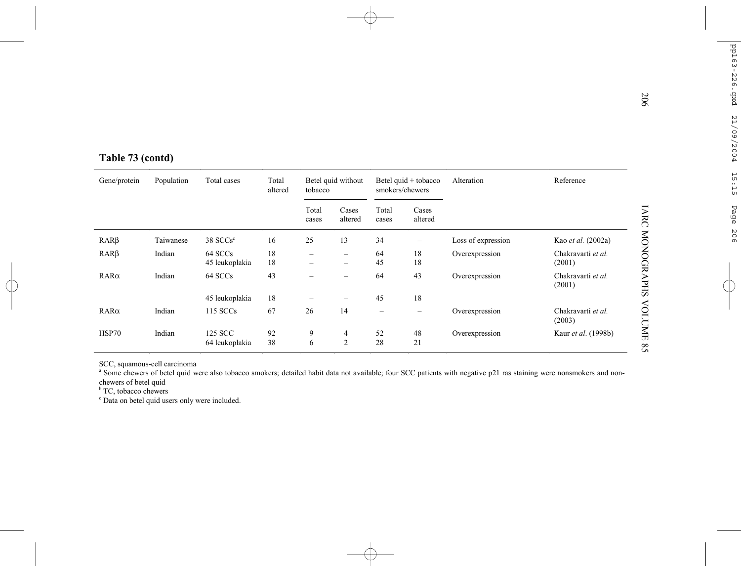| Table 73 (contd) |            |                           |                  |                          |                        |                          |                      |                    |                              |  |
|------------------|------------|---------------------------|------------------|--------------------------|------------------------|--------------------------|----------------------|--------------------|------------------------------|--|
| Gene/protein     | Population | Total cases               | Total<br>altered | tobacco                  | Betel quid without     | smokers/chewers          | Betel quid + tobacco | Alteration         | Reference                    |  |
|                  |            |                           |                  | Total<br>cases           | Cases<br>altered       | Total<br>cases           | Cases<br>altered     |                    |                              |  |
| $RAR\beta$       | Taiwanese  | 38 SCCs <sup>c</sup>      | 16               | 25                       | 13                     | 34                       |                      | Loss of expression | Kao et al. (2002a)           |  |
| $RAR\beta$       | Indian     | 64 SCCs<br>45 leukoplakia | 18<br>18         | -                        | $\qquad \qquad -$<br>- | 64<br>45                 | 18<br>18             | Overexpression     | Chakravarti et al.<br>(2001) |  |
| $RAR\alpha$      | Indian     | 64 SCCs                   | 43               | $\overline{\phantom{0}}$ | -                      | 64                       | 43                   | Overexpression     | Chakravarti et al.<br>(2001) |  |
|                  |            | 45 leukoplakia            | 18               |                          |                        | 45                       | 18                   |                    |                              |  |
| $RAR\alpha$      | Indian     | 115 SCCs                  | 67               | 26                       | 14                     | $\overline{\phantom{0}}$ | $\qquad \qquad -$    | Overexpression     | Chakravarti et al.<br>(2003) |  |
| HSP70            | Indian     | 125 SCC<br>64 leukoplakia | 92<br>38         | 9<br>6                   | 4<br>2                 | 52<br>28                 | 48<br>21             | Overexpression     | Kaur et al. (1998b)          |  |

SCC, squamous-cell carcinoma

<sup>a</sup> Some chewers of betel quid were also tobacco smokers; detailed habit data not available; four SCC patients with negative p21 ras staining were nonsmokers and nonchewers of betel quid

<sup>b</sup> TC, tobacco chewers

c Data on betel quid users only were included.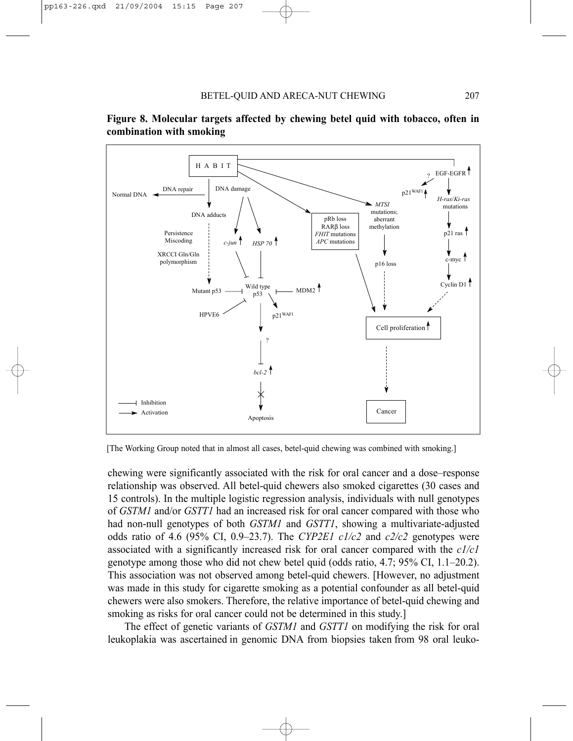



[The Working Group noted that in almost all cases, betel-quid chewing was combined with smoking.]

chewing were significantly associated with the risk for oral cancer and a dose–response relationship was observed. All betel-quid chewers also smoked cigarettes (30 cases and 15 controls). In the multiple logistic regression analysis, individuals with null genotypes of *GSTM1* and/or *GSTT1* had an increased risk for oral cancer compared with those who had non-null genotypes of both *GSTM1* and *GSTT1*, showing a multivariate-adjusted odds ratio of 4.6 (95% CI, 0.9–23.7). The *CYP2E1 c1/c2* and  $c2/c2$  genotypes were associated with a significantly increased risk for oral cancer compared with the *c1/c1* genotype among those who did not chew betel quid (odds ratio, 4.7; 95% CI, 1.1–20.2). This association was not observed among betel-quid chewers. [However, no adjustment was made in this study for cigarette smoking as a potential confounder as all betel-quid chewers were also smokers. Therefore, the relative importance of betel-quid chewing and smoking as risks for oral cancer could not be determined in this study.]

The effect of genetic variants of *GSTM1* and *GSTT1* on modifying the risk for oral leukoplakia was ascertained in genomic DNA from biopsies taken from 98 oral leuko-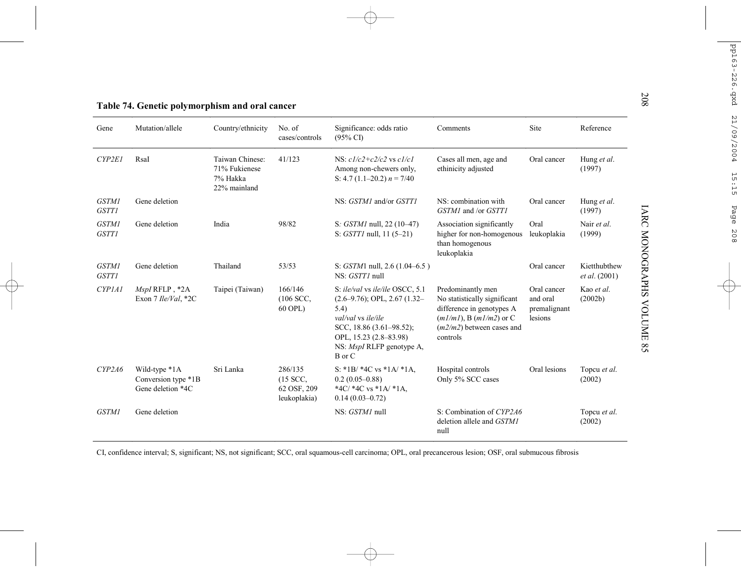|                              | Table 74. Genetic polymorphism and oral cancer            |                                                              |                                                      |                                                                                                                                                                                                             |                                                                                                                                                           |                                                    |                               |
|------------------------------|-----------------------------------------------------------|--------------------------------------------------------------|------------------------------------------------------|-------------------------------------------------------------------------------------------------------------------------------------------------------------------------------------------------------------|-----------------------------------------------------------------------------------------------------------------------------------------------------------|----------------------------------------------------|-------------------------------|
| Gene                         | Mutation/allele                                           | Country/ethnicity                                            | No. of<br>cases/controls                             | Significance: odds ratio<br>$(95\% \text{ CI})$                                                                                                                                                             | Comments                                                                                                                                                  | Site                                               | Reference                     |
| CYP2E1                       | RsaI                                                      | Taiwan Chinese:<br>71% Fukienese<br>7% Hakka<br>22% mainland | 41/123                                               | NS: $c1/c2+c2/c2$ vs $c1/c1$<br>Among non-chewers only,<br>S: 4.7 (1.1–20.2) $n = 7/40$                                                                                                                     | Cases all men, age and<br>ethinicity adjusted                                                                                                             | Oral cancer                                        | Hung et al.<br>(1997)         |
| <b>GSTM1</b><br><b>GSTT1</b> | Gene deletion                                             |                                                              |                                                      | NS: GSTM1 and/or GSTT1                                                                                                                                                                                      | NS: combination with<br>GSTM1 and /or GSTT1                                                                                                               | Oral cancer                                        | Hung et al.<br>(1997)         |
| <b>GSTM1</b><br><b>GSTT1</b> | Gene deletion                                             | India                                                        | 98/82                                                | S: <i>GSTM1</i> null, 22 (10–47)<br>S: <i>GSTT1</i> null, 11 (5–21)                                                                                                                                         | Association significantly<br>higher for non-homogenous<br>than homogenous<br>leukoplakia                                                                  | Oral<br>leukoplakia                                | Nair et al.<br>(1999)         |
| <b>GSTM1</b><br><b>GSTT1</b> | Gene deletion                                             | Thailand                                                     | 53/53                                                | S: $GSTM1$ null, 2.6 (1.04–6.5)<br>NS: GSTT1 null                                                                                                                                                           |                                                                                                                                                           | Oral cancer                                        | Kietthubthew<br>et al. (2001) |
| <b>CYP1A1</b>                | MspIRFLP, *2A<br>Exon 7 Ile/Val, *2C                      | Taipei (Taiwan)                                              | 166/146<br>$(106$ SCC,<br>60 OPL)                    | S: ile/val vs ile/ile OSCC, 5.1<br>$(2.6-9.76)$ ; OPL, 2.67 $(1.32-$<br>5.4)<br>val/val vs ile/ile<br>SCC, 18.86 $(3.61 - 98.52)$ ;<br>OPL, 15.23 (2.8-83.98)<br>NS: <i>MspI</i> RLFP genotype A,<br>B or C | Predominantly men<br>No statistically significant<br>difference in genotypes A<br>$(m1/m1)$ , B $(m1/m2)$ or C<br>$(m2/m2)$ between cases and<br>controls | Oral cancer<br>and oral<br>premalignant<br>lesions | Kao et al.<br>(2002b)         |
| CYP2A6                       | Wild-type *1A<br>Conversion type *1B<br>Gene deletion *4C | Sri Lanka                                                    | 286/135<br>$(15$ SCC,<br>62 OSF, 209<br>leukoplakia) | S: *1B/ *4C vs *1A/ *1A,<br>$0.2(0.05 - 0.88)$<br>*4C/ *4C vs *1A/ *1A,<br>$0.14(0.03 - 0.72)$                                                                                                              | Hospital controls<br>Only 5% SCC cases                                                                                                                    | Oral lesions                                       | Topcu et al.<br>(2002)        |
| <b>GSTM1</b>                 | Gene deletion                                             |                                                              |                                                      | NS: GSTM1 null                                                                                                                                                                                              | S: Combination of CYP2A6<br>deletion allele and GSTM1<br>null                                                                                             |                                                    | Topcu et al.<br>(2002)        |

CI, confidence interval; S, significant; NS, not significant; SCC, oral squamous-cell carcinoma; OPL, oral precancerous lesion; OSF, oral submucous fibrosis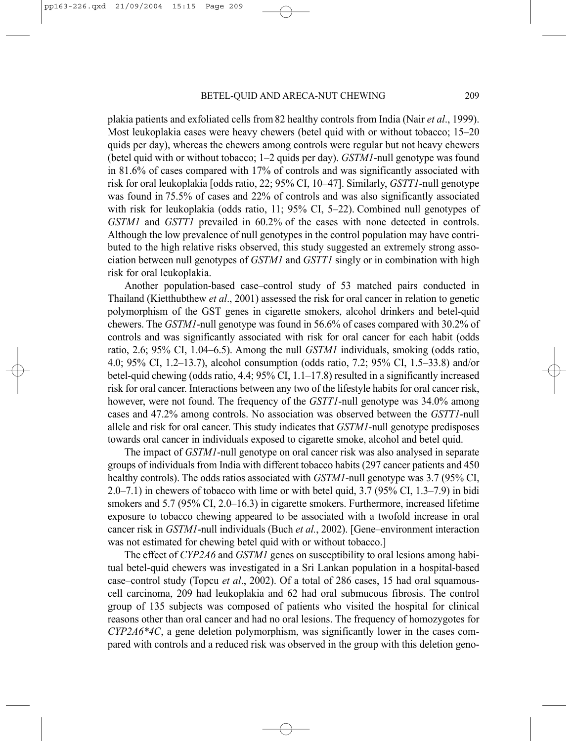plakia patients and exfoliated cells from 82 healthy controls from India (Nair *et al*., 1999). Most leukoplakia cases were heavy chewers (betel quid with or without tobacco; 15–20 quids per day), whereas the chewers among controls were regular but not heavy chewers (betel quid with or without tobacco; 1–2 quids per day). *GSTM1*-null genotype was found in 81.6% of cases compared with 17% of controls and was significantly associated with risk for oral leukoplakia [odds ratio, 22; 95% CI, 10–47]. Similarly, *GSTT1*-null genotype was found in 75.5% of cases and 22% of controls and was also significantly associated with risk for leukoplakia (odds ratio, 11; 95% CI, 5–22). Combined null genotypes of *GSTM1* and *GSTT1* prevailed in 60.2% of the cases with none detected in controls. Although the low prevalence of null genotypes in the control population may have contributed to the high relative risks observed, this study suggested an extremely strong association between null genotypes of *GSTM1* and *GSTT1* singly or in combination with high risk for oral leukoplakia.

Another population-based case–control study of 53 matched pairs conducted in Thailand (Kietthubthew *et al*., 2001) assessed the risk for oral cancer in relation to genetic polymorphism of the GST genes in cigarette smokers, alcohol drinkers and betel-quid chewers. The *GSTM1*-null genotype was found in 56.6% of cases compared with 30.2% of controls and was significantly associated with risk for oral cancer for each habit (odds ratio, 2.6; 95% CI, 1.04–6.5). Among the null *GSTM1* individuals, smoking (odds ratio, 4.0; 95% CI, 1.2–13.7), alcohol consumption (odds ratio, 7.2; 95% CI, 1.5–33.8) and/or betel-quid chewing (odds ratio, 4.4; 95% CI, 1.1–17.8) resulted in a significantly increased risk for oral cancer. Interactions between any two of the lifestyle habits for oral cancer risk, however, were not found. The frequency of the *GSTT1*-null genotype was 34.0% among cases and 47.2% among controls. No association was observed between the *GSTT1*-null allele and risk for oral cancer. This study indicates that *GSTM1*-null genotype predisposes towards oral cancer in individuals exposed to cigarette smoke, alcohol and betel quid.

The impact of *GSTM1*-null genotype on oral cancer risk was also analysed in separate groups of individuals from India with different tobacco habits (297 cancer patients and 450 healthy controls). The odds ratios associated with *GSTM1*-null genotype was 3.7 (95% CI, 2.0–7.1) in chewers of tobacco with lime or with betel quid, 3.7 (95% CI, 1.3–7.9) in bidi smokers and 5.7 (95% CI, 2.0–16.3) in cigarette smokers. Furthermore, increased lifetime exposure to tobacco chewing appeared to be associated with a twofold increase in oral cancer risk in *GSTM1*-null individuals (Buch *et al.*, 2002). [Gene–environment interaction was not estimated for chewing betel quid with or without tobacco.]

The effect of *CYP2A6* and *GSTM1* genes on susceptibility to oral lesions among habitual betel-quid chewers was investigated in a Sri Lankan population in a hospital-based case–control study (Topcu *et al*., 2002). Of a total of 286 cases, 15 had oral squamouscell carcinoma, 209 had leukoplakia and 62 had oral submucous fibrosis. The control group of 135 subjects was composed of patients who visited the hospital for clinical reasons other than oral cancer and had no oral lesions. The frequency of homozygotes for *CYP2A6\*4C*, a gene deletion polymorphism, was significantly lower in the cases compared with controls and a reduced risk was observed in the group with this deletion geno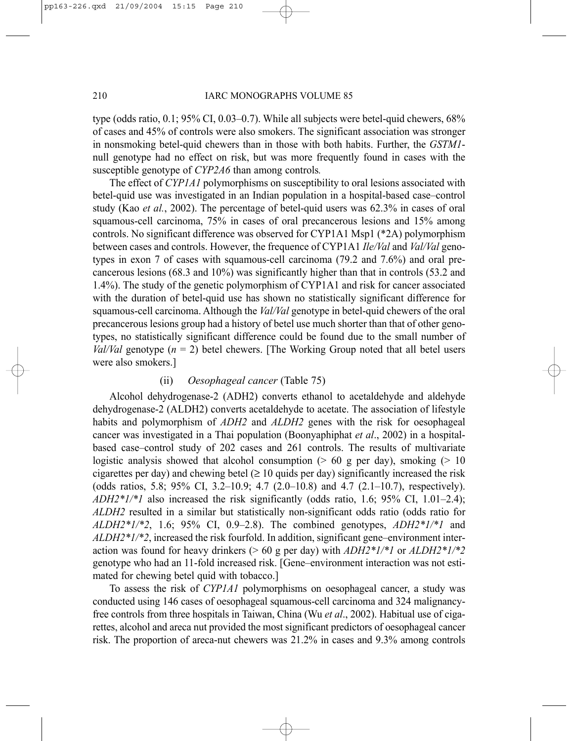type (odds ratio, 0.1; 95% CI, 0.03–0.7). While all subjects were betel-quid chewers, 68% of cases and 45% of controls were also smokers. The significant association was stronger in nonsmoking betel-quid chewers than in those with both habits. Further, the *GSTM1* null genotype had no effect on risk, but was more frequently found in cases with the susceptible genotype of *CYP2A6* than among controls*.*

The effect of *CYP1A1* polymorphisms on susceptibility to oral lesions associated with betel-quid use was investigated in an Indian population in a hospital-based case–control study (Kao *et al.*, 2002). The percentage of betel-quid users was 62.3% in cases of oral squamous-cell carcinoma, 75% in cases of oral precancerous lesions and 15% among controls. No significant difference was observed for CYP1A1 Msp1 (\*2A) polymorphism between cases and controls. However, the frequence of CYP1A1 *Ile/Val* and *Val/Val* genotypes in exon 7 of cases with squamous-cell carcinoma (79.2 and 7.6%) and oral precancerous lesions (68.3 and 10%) was significantly higher than that in controls (53.2 and 1.4%). The study of the genetic polymorphism of CYP1A1 and risk for cancer associated with the duration of betel-quid use has shown no statistically significant difference for squamous-cell carcinoma. Although the *Val/Val* genotype in betel-quid chewers of the oral precancerous lesions group had a history of betel use much shorter than that of other genotypes, no statistically significant difference could be found due to the small number of *Val/Val* genotype  $(n = 2)$  betel chewers. [The Working Group noted that all betel users were also smokers.]

# (ii) *Oesophageal cancer* (Table 75)

Alcohol dehydrogenase-2 (ADH2) converts ethanol to acetaldehyde and aldehyde dehydrogenase-2 (ALDH2) converts acetaldehyde to acetate. The association of lifestyle habits and polymorphism of *ADH2* and *ALDH2* genes with the risk for oesophageal cancer was investigated in a Thai population (Boonyaphiphat *et al*., 2002) in a hospitalbased case–control study of 202 cases and 261 controls. The results of multivariate logistic analysis showed that alcohol consumption  $(> 60 \text{ g per day})$ , smoking  $(> 10 \text{ g per day})$ cigarettes per day) and chewing betel  $(\geq 10$  quids per day) significantly increased the risk (odds ratios, 5.8; 95% CI, 3.2–10.9; 4.7 (2.0–10.8) and 4.7 (2.1–10.7), respectively). *ADH2\*1/\*1* also increased the risk significantly (odds ratio, 1.6; 95% CI, 1.01–2.4); *ALDH2* resulted in a similar but statistically non-significant odds ratio (odds ratio for *ALDH2\*1/\*2*, 1.6; 95% CI, 0.9–2.8). The combined genotypes, *ADH2\*1/\*1* and *ALDH2\*1/\*2*, increased the risk fourfold. In addition, significant gene–environment interaction was found for heavy drinkers (> 60 g per day) with *ADH2\*1/\*1* or *ALDH2\*1/\*2* genotype who had an 11-fold increased risk. [Gene–environment interaction was not estimated for chewing betel quid with tobacco.]

To assess the risk of *CYP1A1* polymorphisms on oesophageal cancer, a study was conducted using 146 cases of oesophageal squamous-cell carcinoma and 324 malignancyfree controls from three hospitals in Taiwan, China (Wu *et al*., 2002). Habitual use of cigarettes, alcohol and areca nut provided the most significant predictors of oesophageal cancer risk. The proportion of areca-nut chewers was 21.2% in cases and 9.3% among controls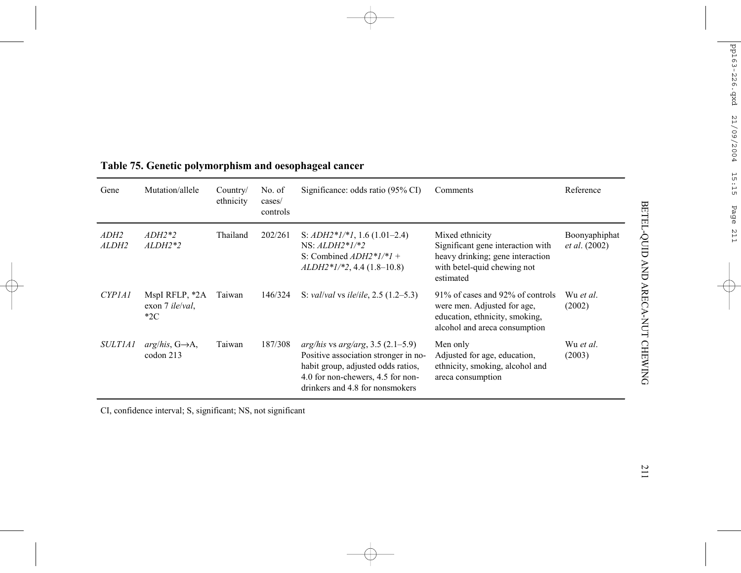| Gene                            | Mutation/allele                                    | Country/<br>ethnicity | No. of<br>cases/<br>controls | Significance: odds ratio (95% CI)                                                                                                                                                            | Comments                                                                                                                             | Reference                             |
|---------------------------------|----------------------------------------------------|-----------------------|------------------------------|----------------------------------------------------------------------------------------------------------------------------------------------------------------------------------------------|--------------------------------------------------------------------------------------------------------------------------------------|---------------------------------------|
| ADH2<br>ALDH2                   | $ADH2*2$<br>$ALDH2*2$                              | Thailand              | 202/261                      | S: $ADH2*1/*1$ , 1.6 (1.01–2.4)<br>$NS: ALDH2*1/*2$<br>S: Combined $ADH2*1/*1 +$<br>$ALDH2*1/*2, 4.4 (1.8–10.8)$                                                                             | Mixed ethnicity<br>Significant gene interaction with<br>heavy drinking; gene interaction<br>with betel-quid chewing not<br>estimated | Boonyaphiphat<br><i>et al.</i> (2002) |
| CYP <sub>1</sub> A <sub>1</sub> | MspI RFLP, *2A<br>exon 7 <i>ile/val</i> ,<br>$*2C$ | Taiwan                | 146/324                      | S: <i>val/val</i> vs <i>ile/ile</i> , $2.5$ (1.2–5.3)                                                                                                                                        | 91\% of cases and 92\% of controls<br>were men. Adjusted for age,<br>education, ethnicity, smoking,<br>alcohol and areca consumption | Wu et al.<br>(2002)                   |
| <i>SULTIA1</i>                  | $arg/his$ , $G\rightarrow A$ ,<br>codon 213        | Taiwan                | 187/308                      | $arg/his$ vs $arg/arg$ , 3.5 (2.1–5.9)<br>Positive association stronger in no-<br>habit group, adjusted odds ratios,<br>4.0 for non-chewers, 4.5 for non-<br>drinkers and 4.8 for nonsmokers | Men only<br>Adjusted for age, education,<br>ethnicity, smoking, alcohol and<br>areca consumption                                     | Wu et al.<br>(2003)                   |

# **Table 75. Genetic polymorphism and oesophageal cancer**

CI, confidence interval; S, significant; NS, not significant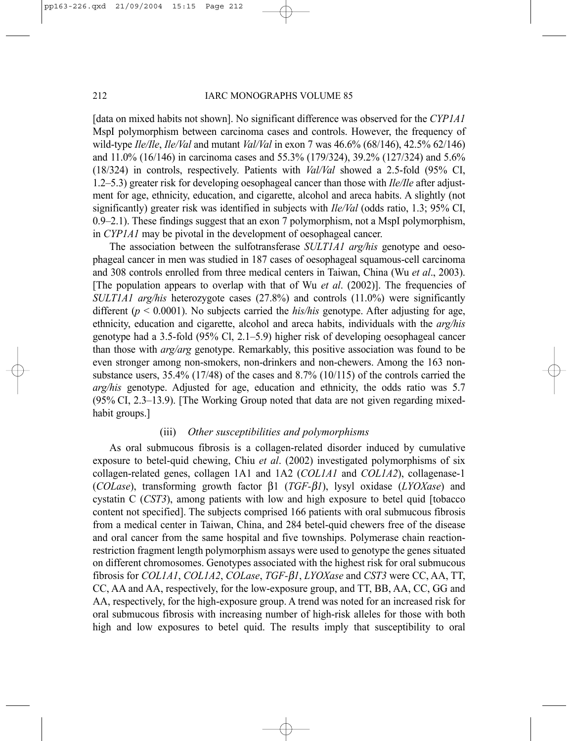[data on mixed habits not shown]. No significant difference was observed for the *CYP1A1* MspI polymorphism between carcinoma cases and controls. However, the frequency of wild-type *Ile/Ile*, *Ile/Val* and mutant *Val/Val* in exon 7 was 46.6% (68/146), 42.5% 62/146) and 11.0% (16/146) in carcinoma cases and 55.3% (179/324), 39.2% (127/324) and 5.6% (18/324) in controls, respectively. Patients with *Val/Val* showed a 2.5-fold (95% CI, 1.2–5.3) greater risk for developing oesophageal cancer than those with *Ile/Ile* after adjustment for age, ethnicity, education, and cigarette, alcohol and areca habits. A slightly (not significantly) greater risk was identified in subjects with *Ile/Val* (odds ratio, 1.3; 95% CI, 0.9–2.1). These findings suggest that an exon 7 polymorphism, not a MspI polymorphism, in *CYP1A1* may be pivotal in the development of oesophageal cancer.

The association between the sulfotransferase *SULT1A1 arg/his* genotype and oesophageal cancer in men was studied in 187 cases of oesophageal squamous-cell carcinoma and 308 controls enrolled from three medical centers in Taiwan, China (Wu *et al*., 2003). [The population appears to overlap with that of Wu *et al*. (2002)]. The frequencies of *SULT1A1 arg/his* heterozygote cases (27.8%) and controls (11.0%) were significantly different ( $p < 0.0001$ ). No subjects carried the *his/his* genotype. After adjusting for age, ethnicity, education and cigarette, alcohol and areca habits, individuals with the *arg/his* genotype had a 3.5-fold (95% Cl, 2.1–5.9) higher risk of developing oesophageal cancer than those with *arg/arg* genotype. Remarkably, this positive association was found to be even stronger among non-smokers, non-drinkers and non-chewers. Among the 163 nonsubstance users, 35.4% (17/48) of the cases and 8.7% (10/115) of the controls carried the *arg/his* genotype. Adjusted for age, education and ethnicity, the odds ratio was 5.7 (95% CI, 2.3–13.9). [The Working Group noted that data are not given regarding mixedhabit groups.]

# (iii) *Other susceptibilities and polymorphisms*

As oral submucous fibrosis is a collagen-related disorder induced by cumulative exposure to betel-quid chewing, Chiu *et al*. (2002) investigated polymorphisms of six collagen-related genes, collagen 1A1 and 1A2 (*COL1A1* and *COL1A2*), collagenase-1 (*COLase*), transforming growth factor β1 (*TGF-*β*1*), lysyl oxidase (*LYOXase*) and cystatin C (*CST3*), among patients with low and high exposure to betel quid [tobacco content not specified]. The subjects comprised 166 patients with oral submucous fibrosis from a medical center in Taiwan, China, and 284 betel-quid chewers free of the disease and oral cancer from the same hospital and five townships. Polymerase chain reactionrestriction fragment length polymorphism assays were used to genotype the genes situated on different chromosomes. Genotypes associated with the highest risk for oral submucous fibrosis for *COL1A1*, *COL1A2*, *COLase*, *TGF-*β*1*, *LYOXase* and *CST3* were CC, AA, TT, CC, AA and AA, respectively, for the low-exposure group, and TT, BB, AA, CC, GG and AA, respectively, for the high-exposure group. A trend was noted for an increased risk for oral submucous fibrosis with increasing number of high-risk alleles for those with both high and low exposures to betel quid. The results imply that susceptibility to oral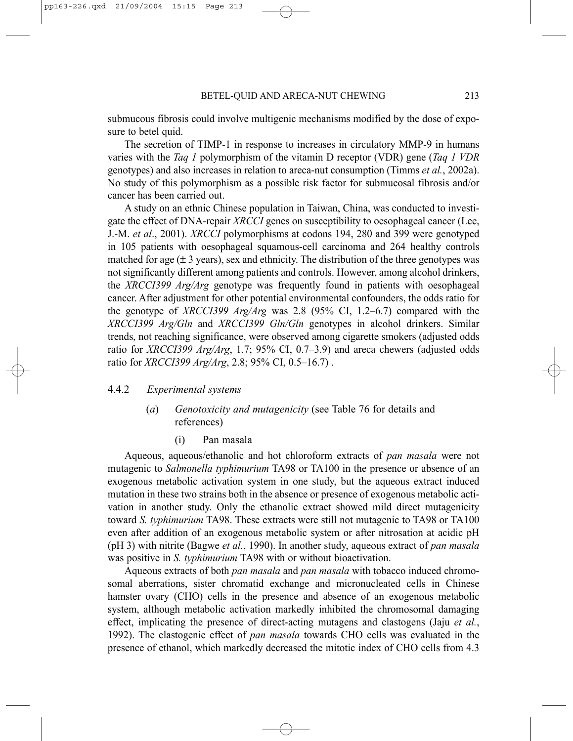submucous fibrosis could involve multigenic mechanisms modified by the dose of exposure to betel quid.

The secretion of TIMP-1 in response to increases in circulatory MMP-9 in humans varies with the *Taq 1* polymorphism of the vitamin D receptor (VDR) gene (*Taq 1 VDR* genotypes) and also increases in relation to areca-nut consumption (Timms *et al.*, 2002a). No study of this polymorphism as a possible risk factor for submucosal fibrosis and/or cancer has been carried out.

A study on an ethnic Chinese population in Taiwan, China, was conducted to investigate the effect of DNA-repair *XRCCI* genes on susceptibility to oesophageal cancer (Lee, J.-M. *et al*., 2001). *XRCCI* polymorphisms at codons 194, 280 and 399 were genotyped in 105 patients with oesophageal squamous-cell carcinoma and 264 healthy controls matched for age  $(\pm 3 \text{ years})$ , sex and ethnicity. The distribution of the three genotypes was not significantly different among patients and controls. However, among alcohol drinkers, the *XRCCI399 Arg/Arg* genotype was frequently found in patients with oesophageal cancer. After adjustment for other potential environmental confounders, the odds ratio for the genotype of *XRCCI399 Arg/Arg* was 2.8 (95% CI, 1.2–6.7) compared with the *XRCCI399 Arg/Gln* and *XRCCI399 Gln/Gln* genotypes in alcohol drinkers. Similar trends, not reaching significance, were observed among cigarette smokers (adjusted odds ratio for *XRCCI399 Arg/Arg*, 1.7; 95% CI, 0.7–3.9) and areca chewers (adjusted odds ratio for *XRCCI399 Arg/Arg*, 2.8; 95% CI, 0.5–16.7) .

# 4.4.2 *Experimental systems*

# (*a*) *Genotoxicity and mutagenicity* (see Table 76 for details and references)

(i) Pan masala

Aqueous, aqueous/ethanolic and hot chloroform extracts of *pan masala* were not mutagenic to *Salmonella typhimurium* TA98 or TA100 in the presence or absence of an exogenous metabolic activation system in one study, but the aqueous extract induced mutation in these two strains both in the absence or presence of exogenous metabolic activation in another study. Only the ethanolic extract showed mild direct mutagenicity toward *S. typhimurium* TA98. These extracts were still not mutagenic to TA98 or TA100 even after addition of an exogenous metabolic system or after nitrosation at acidic pH (pH 3) with nitrite (Bagwe *et al.*, 1990). In another study, aqueous extract of *pan masala* was positive in *S. typhimurium* TA98 with or without bioactivation.

Aqueous extracts of both *pan masala* and *pan masala* with tobacco induced chromosomal aberrations, sister chromatid exchange and micronucleated cells in Chinese hamster ovary (CHO) cells in the presence and absence of an exogenous metabolic system, although metabolic activation markedly inhibited the chromosomal damaging effect, implicating the presence of direct-acting mutagens and clastogens (Jaju *et al.*, 1992). The clastogenic effect of *pan masala* towards CHO cells was evaluated in the presence of ethanol, which markedly decreased the mitotic index of CHO cells from 4.3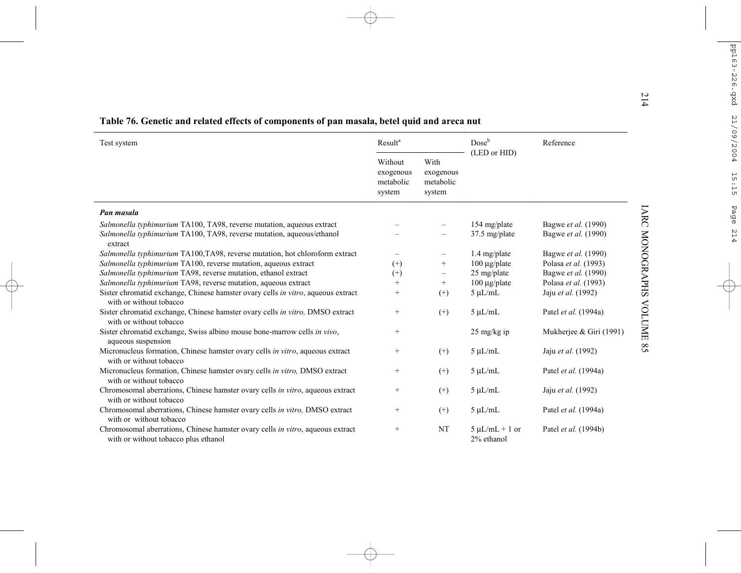| Test system                                                                                                                                               | Result <sup>a</sup>                         |                                          | $Dose^b$                          | Reference                                  |  |
|-----------------------------------------------------------------------------------------------------------------------------------------------------------|---------------------------------------------|------------------------------------------|-----------------------------------|--------------------------------------------|--|
|                                                                                                                                                           | Without<br>exogenous<br>metabolic<br>system | With<br>exogenous<br>metabolic<br>system | (LED or HID)                      |                                            |  |
| Pan masala                                                                                                                                                |                                             |                                          |                                   |                                            |  |
| Salmonella typhimurium TA100, TA98, reverse mutation, aqueous extract<br>Salmonella typhimurium TA100, TA98, reverse mutation, aqueous/ethanol<br>extract |                                             |                                          | 154 mg/plate<br>37.5 mg/plate     | Bagwe et al. (1990)<br>Bagwe et al. (1990) |  |
| Salmonella typhimurium TA100,TA98, reverse mutation, hot chloroform extract                                                                               |                                             | $\qquad \qquad -$                        | 1.4 mg/plate                      | Bagwe et al. (1990)                        |  |
| Salmonella typhimurium TA100, reverse mutation, aqueous extract                                                                                           | $^{(+)}$                                    | $^{+}$                                   | $100 \mu g$ plate                 | Polasa et al. (1993)                       |  |
| Salmonella typhimurium TA98, reverse mutation, ethanol extract                                                                                            | $^{(+)}$                                    | $\overline{\phantom{m}}$                 | 25 mg/plate                       | Bagwe et al. (1990)                        |  |
| Salmonella typhimurium TA98, reverse mutation, aqueous extract                                                                                            | $^{+}$                                      | $^{+}$                                   | $100 \mu g$ plate                 | Polasa et al. (1993)                       |  |
| Sister chromatid exchange, Chinese hamster ovary cells in vitro, aqueous extract<br>with or without tobacco                                               | $^{+}$                                      | $^{(+)}$                                 | $5 \mu L/mL$                      | Jaju et al. (1992)                         |  |
| Sister chromatid exchange, Chinese hamster ovary cells in vitro, DMSO extract<br>with or without tobacco                                                  | $^{+}$                                      | $^{(+)}$                                 | $5 \mu L/mL$                      | Patel et al. (1994a)                       |  |
| Sister chromatid exchange, Swiss albino mouse bone-marrow cells in vivo,<br>aqueous suspension                                                            | $^{+}$                                      |                                          | $25 \text{ mg/kg}$ ip             | Mukherjee & Giri (1991)                    |  |
| Micronucleus formation, Chinese hamster ovary cells in vitro, aqueous extract<br>with or without tobacco                                                  | $\! + \!\!\!\!$                             | $^{(+)}$                                 | $5 \mu L/mL$                      | Jaju et al. (1992)                         |  |
| Micronucleus formation, Chinese hamster ovary cells in vitro, DMSO extract<br>with or without tobacco                                                     | $\! + \!\!\!\!$                             | $^{(+)}$                                 | $5 \mu L/mL$                      | Patel et al. (1994a)                       |  |
| Chromosomal aberrations, Chinese hamster ovary cells in vitro, aqueous extract<br>with or without tobacco                                                 | $\! + \!\!\!\!$                             | $^{(+)}$                                 | $5 \mu L/mL$                      | Jaju et al. (1992)                         |  |
| Chromosomal aberrations, Chinese hamster ovary cells in vitro, DMSO extract<br>with or without tobacco                                                    | $^{+}$                                      | $^{(+)}$                                 | $5 \mu L/mL$                      | Patel et al. (1994a)                       |  |
| Chromosomal aberrations, Chinese hamster ovary cells in vitro, aqueous extract<br>with or without tobacco plus ethanol                                    | $\! + \!\!\!\!$                             | NT                                       | $5 \mu L/mL + 1$ or<br>2% ethanol | Patel et al. (1994b)                       |  |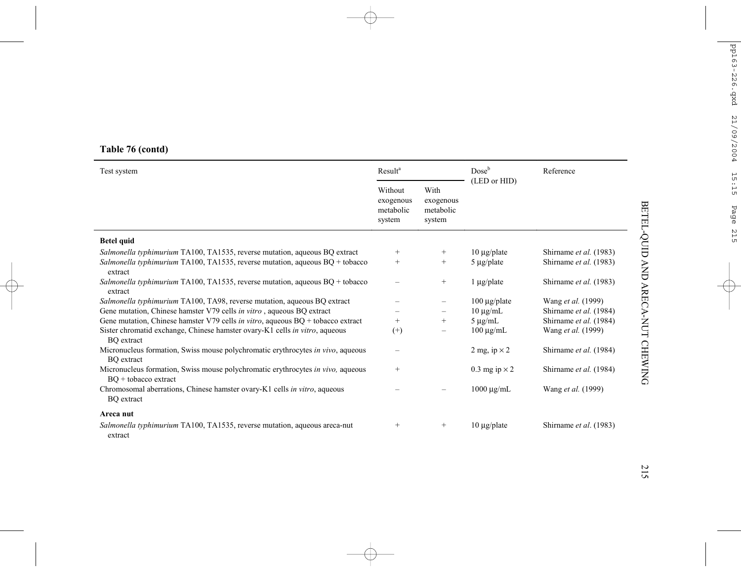# **Table 76 (contd)**

| Test system                                                                                               | Result <sup>a</sup>                         |                                          | Dose <sup>b</sup>    | Reference              |
|-----------------------------------------------------------------------------------------------------------|---------------------------------------------|------------------------------------------|----------------------|------------------------|
|                                                                                                           | Without<br>exogenous<br>metabolic<br>system | With<br>exogenous<br>metabolic<br>system | (LED or HID)         |                        |
| <b>Betel quid</b>                                                                                         |                                             |                                          |                      |                        |
| Salmonella typhimurium TA100, TA1535, reverse mutation, aqueous BQ extract                                | $^{+}$                                      | $^{+}$                                   | $10 \mu$ g/plate     | Shirname et al. (1983) |
| <i>Salmonella typhimurium</i> TA100, TA1535, reverse mutation, aqueous $BQ + t_0$                         | $^{+}$                                      | $^{+}$                                   | $5 \mu g$ /plate     | Shirname et al. (1983) |
| extract<br>Salmonella typhimurium TA100, TA1535, reverse mutation, aqueous $BQ + t_0$<br>extract          |                                             | $^{+}$                                   | $1 \mu g$ /plate     | Shirname et al. (1983) |
| Salmonella typhimurium TA100, TA98, reverse mutation, aqueous BQ extract                                  |                                             | $\qquad \qquad -$                        | $100 \mu g$ plate    | Wang et al. (1999)     |
| Gene mutation, Chinese hamster V79 cells in vitro, aqueous BQ extract                                     |                                             | $\qquad \qquad -$                        | $10 \mu g/mL$        | Shirname et al. (1984) |
| Gene mutation, Chinese hamster V79 cells in vitro, aqueous $BQ + t$ to bacco extract                      | $^{+}$                                      | $^{+}$                                   | $5 \mu g/mL$         | Shirname et al. (1984) |
| Sister chromatid exchange, Chinese hamster ovary-K1 cells in vitro, aqueous<br><b>BO</b> extract          | $^{(+)}$                                    |                                          | $100 \mu g/mL$       | Wang et al. (1999)     |
| Micronucleus formation, Swiss mouse polychromatic erythrocytes in vivo, aqueous<br><b>BO</b> extract      | -                                           |                                          | 2 mg, ip $\times$ 2  | Shirname et al. (1984) |
| Micronucleus formation, Swiss mouse polychromatic erythrocytes in vivo, aqueous<br>$BQ +$ tobacco extract | $^{+}$                                      |                                          | 0.3 mg ip $\times$ 2 | Shirname et al. (1984) |
| Chromosomal aberrations, Chinese hamster ovary-K1 cells in vitro, aqueous<br><b>BO</b> extract            |                                             |                                          | $1000 \mu g/mL$      | Wang et al. (1999)     |
| Areca nut                                                                                                 |                                             |                                          |                      |                        |
| <i>Salmonella typhimurium</i> TA100, TA1535, reverse mutation, aqueous areca-nut                          | $^{+}$                                      | $^{+}$                                   | $10 \mu g$ /plate    | Shirname et al. (1983) |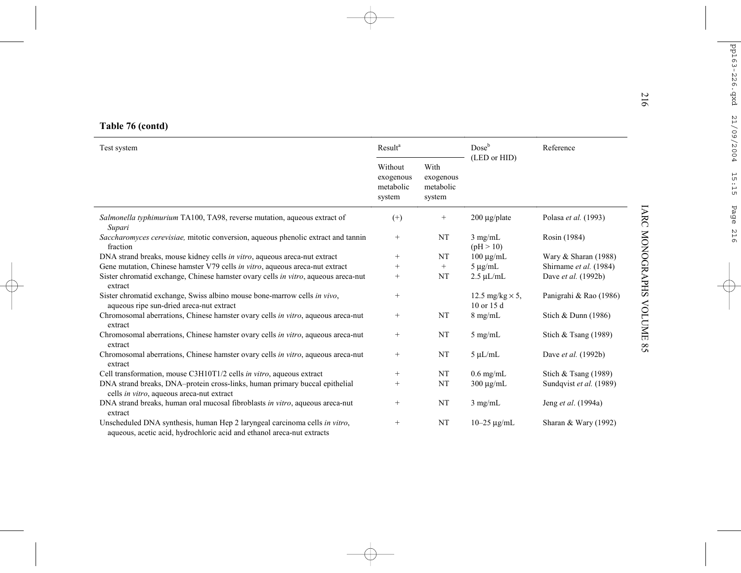| Test system                                                                                                                                          |                   |                                          | $Dose^b$                                 | Reference               |
|------------------------------------------------------------------------------------------------------------------------------------------------------|-------------------|------------------------------------------|------------------------------------------|-------------------------|
|                                                                                                                                                      |                   | With<br>exogenous<br>metabolic<br>system | (LED or HID)                             |                         |
| Salmonella typhimurium TA100, TA98, reverse mutation, aqueous extract of<br>Supari                                                                   | $^{(+)}$          | $\! + \!\!\!\!$                          | $200 \mu g$ plate                        | Polasa et al. (1993)    |
| Saccharomyces cerevisiae, mitotic conversion, aqueous phenolic extract and tannin<br>fraction                                                        | $^{+}$            | NT                                       | $3$ mg/mL<br>(pH > 10)                   | Rosin (1984)            |
| DNA strand breaks, mouse kidney cells in vitro, aqueous areca-nut extract                                                                            | $\qquad \qquad +$ | NT                                       | $100 \mu g/mL$                           | Wary & Sharan (1988)    |
| Gene mutation, Chinese hamster V79 cells in vitro, aqueous areca-nut extract                                                                         | $^{+}$            | $\! + \!\!\!\!$                          | $5 \mu g/mL$                             | Shirname et al. (1984)  |
| Sister chromatid exchange, Chinese hamster ovary cells in vitro, aqueous areca-nut<br>extract                                                        | $\qquad \qquad +$ | NT                                       | $2.5 \mu L/mL$                           | Dave et al. (1992b)     |
| Sister chromatid exchange, Swiss albino mouse bone-marrow cells in vivo,<br>aqueous ripe sun-dried areca-nut extract                                 | $^{+}$            |                                          | 12.5 mg/kg $\times$ 5,<br>$10$ or $15$ d | Panigrahi & Rao (1986)  |
| Chromosomal aberrations, Chinese hamster ovary cells in vitro, aqueous areca-nut<br>extract                                                          | $^{+}$            | NT                                       | $8$ mg/mL                                | Stich & Dunn (1986)     |
| Chromosomal aberrations, Chinese hamster ovary cells in vitro, aqueous areca-nut<br>extract                                                          | $^{+}$            | NT                                       | $5 \text{ mg/mL}$                        | Stich & Tsang $(1989)$  |
| Chromosomal aberrations, Chinese hamster ovary cells in vitro, aqueous areca-nut<br>extract                                                          | $^{+}$            | NT                                       | $5 \mu L/mL$                             | Dave et al. (1992b)     |
| Cell transformation, mouse C3H10T1/2 cells in vitro, aqueous extract                                                                                 | $^{+}$            | NT                                       | $0.6$ mg/mL                              | Stich & Tsang $(1989)$  |
| DNA strand breaks, DNA-protein cross-links, human primary buccal epithelial<br>cells in vitro, aqueous areca-nut extract                             | $+$               | NT                                       | $300 \mu g/mL$                           | Sundqvist et al. (1989) |
| DNA strand breaks, human oral mucosal fibroblasts in vitro, aqueous areca-nut<br>extract                                                             | $^{+}$            | NT                                       | $3$ mg/mL                                | Jeng et al. (1994a)     |
| Unscheduled DNA synthesis, human Hep 2 laryngeal carcinoma cells in vitro,<br>aqueous, acetic acid, hydrochloric acid and ethanol areca-nut extracts | $^{+}$            | NT                                       | $10 - 25 \mu g/mL$                       | Sharan & Wary (1992)    |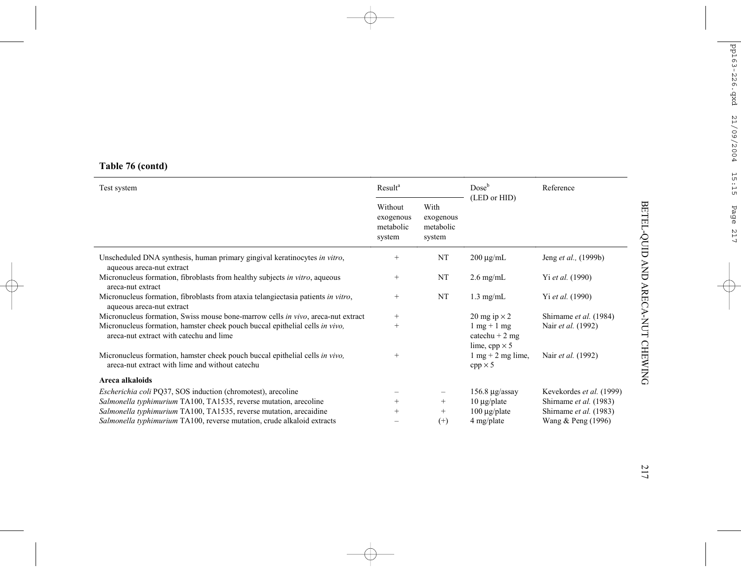# **Table 76 (contd)**

| Test system                                                                                                                     | Result <sup>a</sup>                         |                                          | Dose <sup>b</sup>                                                                 | Reference                |  |
|---------------------------------------------------------------------------------------------------------------------------------|---------------------------------------------|------------------------------------------|-----------------------------------------------------------------------------------|--------------------------|--|
|                                                                                                                                 | Without<br>exogenous<br>metabolic<br>system | With<br>exogenous<br>metabolic<br>system | (LED or HID)                                                                      |                          |  |
| Unscheduled DNA synthesis, human primary gingival keratinocytes in vitro,<br>aqueous areca-nut extract                          | $^{+}$                                      | NT                                       | $200 \mu g/mL$                                                                    | Jeng et al., (1999b)     |  |
| Micronucleus formation, fibroblasts from healthy subjects in vitro, aqueous<br>areca-nut extract                                | $^{+}$                                      | NT                                       | $2.6 \text{ mg/mL}$                                                               | Yi et al. (1990)         |  |
| Micronucleus formation, fibroblasts from ataxia telangiectasia patients in vitro,<br>aqueous areca-nut extract                  | $^{+}$                                      | NT                                       | $1.3$ mg/mL                                                                       | Yi et al. (1990)         |  |
| Micronucleus formation, Swiss mouse bone-marrow cells in vivo, areca-nut extract                                                | $^{+}$                                      |                                          | 20 mg ip $\times$ 2                                                               | Shirname et al. (1984)   |  |
| Micronucleus formation, hamster cheek pouch buccal epithelial cells in vivo,<br>areca-nut extract with catechu and lime         | $^{+}$                                      |                                          | $1 \text{ mg} + 1 \text{ mg}$<br>catechu + $2 \text{ mg}$<br>lime, cpp $\times$ 5 | Nair et al. (1992)       |  |
| Micronucleus formation, hamster cheek pouch buccal epithelial cells in vivo,<br>areca-nut extract with lime and without catechu | $^{+}$                                      |                                          | $1 \text{ mg} + 2 \text{ mg line}$ ,<br>$cpp \times 5$                            | Nair et al. (1992)       |  |
| Areca alkaloids                                                                                                                 |                                             |                                          |                                                                                   |                          |  |
| <i>Escherichia coli</i> PQ37, SOS induction (chromotest), arecoline                                                             |                                             |                                          | $156.8 \mu g$ /assay                                                              | Kevekordes et al. (1999) |  |
| Salmonella typhimurium TA100, TA1535, reverse mutation, arecoline                                                               | $^{+}$                                      | $^{+}$                                   | $10 \mu$ g/plate                                                                  | Shirname et al. (1983)   |  |
| Salmonella typhimurium TA100, TA1535, reverse mutation, arecaidine                                                              | $^{+}$                                      | $^{+}$                                   | $100 \mu g$ plate                                                                 | Shirname et al. (1983)   |  |
| Salmonella typhimurium TA100, reverse mutation, crude alkaloid extracts                                                         |                                             | $^{(+)}$                                 | 4 mg/plate                                                                        | Wang & Peng (1996)       |  |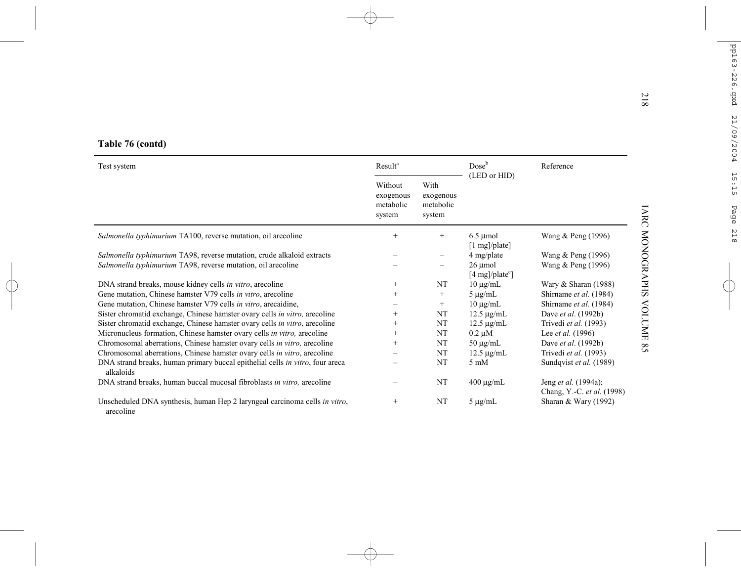| Table 76 (contd)                                                                                                                       |                                             |                                          |                                                                         |                                                    |
|----------------------------------------------------------------------------------------------------------------------------------------|---------------------------------------------|------------------------------------------|-------------------------------------------------------------------------|----------------------------------------------------|
| Test system                                                                                                                            | Result <sup>a</sup>                         |                                          | Doseb                                                                   | Reference                                          |
|                                                                                                                                        | Without<br>exogenous<br>metabolic<br>system | With<br>exogenous<br>metabolic<br>system | (LED or HID)                                                            |                                                    |
| Salmonella typhimurium TA100, reverse mutation, oil arecoline                                                                          | $+$                                         | $^{+}$                                   | $6.5 \mu$ mol<br>$[1 \text{ mg}]/\text{plate}]$                         | Wang & Peng (1996)                                 |
| Salmonella typhimurium TA98, reverse mutation, crude alkaloid extracts<br>Salmonella typhimurium TA98, reverse mutation, oil arecoline |                                             |                                          | 4 mg/plate<br>$26 \mu$ mol<br>$[4 \text{ mg}]/\text{plate}^{\text{c}}]$ | Wang & Peng (1996)<br>Wang & Peng (1996)           |
| DNA strand breaks, mouse kidney cells in vitro, arecoline                                                                              | $^{+}$                                      | NT                                       | $10 \mu g/mL$                                                           | Wary & Sharan (1988)                               |
| Gene mutation, Chinese hamster V79 cells in vitro, arecoline                                                                           | $+$                                         | $\! + \!\!\!\!$                          | $5 \mu g/mL$                                                            | Shirname et al. (1984)                             |
| Gene mutation, Chinese hamster V79 cells in vitro, arecaidine,                                                                         |                                             | $^{+}$                                   | $10 \mu g/mL$                                                           | Shirname et al. (1984)                             |
| Sister chromatid exchange, Chinese hamster ovary cells in vitro, arecoline                                                             | $^{+}$                                      | NT                                       | $12.5 \mu g/mL$                                                         | Dave et al. (1992b)                                |
| Sister chromatid exchange, Chinese hamster ovary cells in vitro, arecoline                                                             | $^{+}$                                      | NT                                       | $12.5 \mu g/mL$                                                         | Trivedi et al. (1993)                              |
| Micronucleus formation, Chinese hamster ovary cells in vitro, arecoline                                                                | $^{+}$                                      | NT                                       | $0.2 \mu M$                                                             | Lee et al. (1996)                                  |
| Chromosomal aberrations, Chinese hamster ovary cells in vitro, arecoline                                                               | $^{+}$                                      | NT                                       | $50 \mu g/mL$                                                           | Dave et al. (1992b)                                |
| Chromosomal aberrations, Chinese hamster ovary cells in vitro, arecoline                                                               |                                             | NT                                       | $12.5 \mu g/mL$                                                         | Trivedi et al. (1993)                              |
| DNA strand breaks, human primary buccal epithelial cells in vitro, four areca<br>alkaloids                                             |                                             | NT                                       | $5 \text{ mM}$                                                          | Sundqvist et al. (1989)                            |
| DNA strand breaks, human buccal mucosal fibroblasts in vitro, arecoline                                                                |                                             | NT                                       | $400 \mu g/mL$                                                          | Jeng et al. (1994a);<br>Chang, Y.-C. et al. (1998) |
| Unscheduled DNA synthesis, human Hep 2 laryngeal carcinoma cells in vitro,<br>arecoline                                                | $^{+}$                                      | NT                                       | $5 \mu g/mL$                                                            | Sharan & Wary (1992)                               |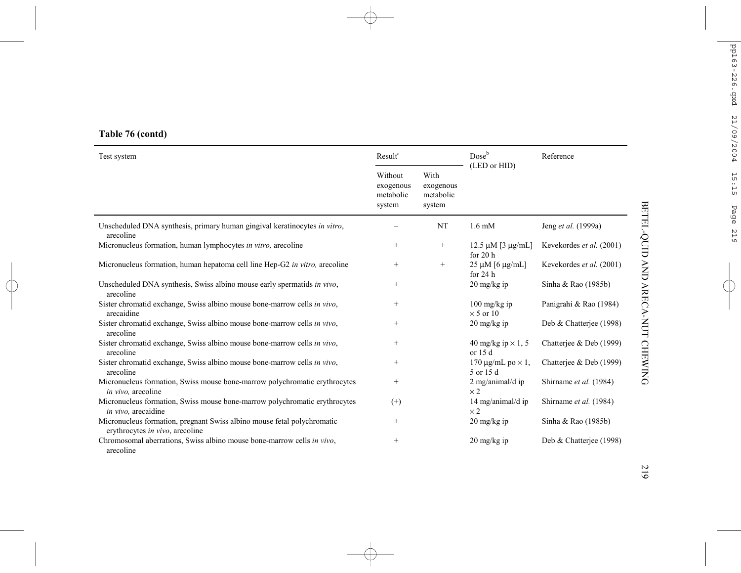# **Table 76 (contd)**

| Test system                                                                                                | Result <sup>a</sup>                                                                     |                   | Doseb                                                    | Reference                |  |
|------------------------------------------------------------------------------------------------------------|-----------------------------------------------------------------------------------------|-------------------|----------------------------------------------------------|--------------------------|--|
|                                                                                                            | Without<br>With<br>exogenous<br>exogenous<br>metabolic<br>metabolic<br>system<br>system |                   | (LED or HID)                                             |                          |  |
| Unscheduled DNA synthesis, primary human gingival keratinocytes in vitro,<br>arecoline                     |                                                                                         | NT                | $1.6 \text{ mM}$                                         | Jeng et al. (1999a)      |  |
| Micronucleus formation, human lymphocytes in vitro, arecoline                                              | $\qquad \qquad +$                                                                       | $+$               | $12.5 \mu M$ [3 $\mu$ g/mL]<br>for $20h$                 | Kevekordes et al. (2001) |  |
| Micronucleus formation, human hepatoma cell line Hep-G2 in vitro, arecoline                                | $\qquad \qquad +$                                                                       | $\qquad \qquad +$ | $25 \mu M$ [6 $\mu$ g/mL]<br>for $24h$                   | Kevekordes et al. (2001) |  |
| Unscheduled DNA synthesis, Swiss albino mouse early spermatids in vivo,<br>arecoline                       | $^{+}$                                                                                  |                   | $20 \text{ mg/kg}$ ip                                    | Sinha & Rao (1985b)      |  |
| Sister chromatid exchange, Swiss albino mouse bone-marrow cells in vivo,<br>arecaidine                     | $+$                                                                                     |                   | $100 \frac{\text{mg}}{\text{kg}}$ ip<br>$\times$ 5 or 10 | Panigrahi & Rao (1984)   |  |
| Sister chromatid exchange, Swiss albino mouse bone-marrow cells in vivo,<br>arecoline                      | $+$                                                                                     |                   | $20 \frac{\text{mg}}{\text{kg}}$ ip                      | Deb & Chatterjee (1998)  |  |
| Sister chromatid exchange, Swiss albino mouse bone-marrow cells in vivo,<br>arecoline                      | $+$                                                                                     |                   | 40 mg/kg ip $\times$ 1, 5<br>or $15d$                    | Chatterjee & Deb (1999)  |  |
| Sister chromatid exchange, Swiss albino mouse bone-marrow cells in vivo,<br>arecoline                      | $\qquad \qquad +$                                                                       |                   | 170 $\mu$ g/mL po $\times$ 1,<br>5 or 15 d               | Chatteriee & Deb (1999)  |  |
| Micronucleus formation, Swiss mouse bone-marrow polychromatic erythrocytes<br><i>in vivo</i> , arecoline   | $^{+}$                                                                                  |                   | 2 mg/animal/d ip<br>$\times 2$                           | Shirname et al. (1984)   |  |
| Micronucleus formation, Swiss mouse bone-marrow polychromatic erythrocytes<br>in vivo, arecaidine          | $^{(+)}$                                                                                |                   | 14 mg/animal/d ip<br>$\times 2$                          | Shirname et al. (1984)   |  |
| Micronucleus formation, pregnant Swiss albino mouse fetal polychromatic<br>erythrocytes in vivo, arecoline | $+$                                                                                     |                   | $20 \frac{\text{mg}}{\text{kg}}$ ip                      | Sinha & Rao (1985b)      |  |
| Chromosomal aberrations. Swiss albino mouse bone-marrow cells in vivo,<br>arecoline                        | $^{+}$                                                                                  |                   | $20 \frac{\text{mg}}{\text{kg}}$ ip                      | Deb & Chatterjee (1998)  |  |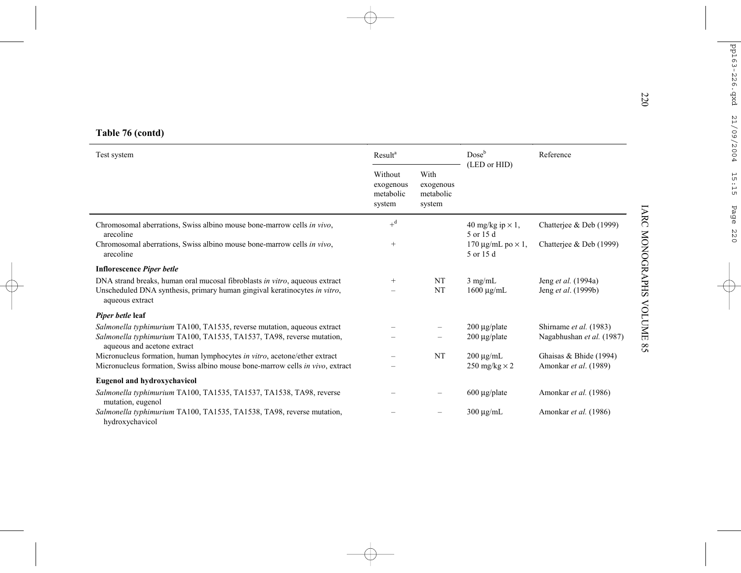|  |  |  | Table 76 (contd) |
|--|--|--|------------------|
|--|--|--|------------------|

| Test system                                                                                          |        |                                          | Dose <sup>b</sup>                          | Reference                 |
|------------------------------------------------------------------------------------------------------|--------|------------------------------------------|--------------------------------------------|---------------------------|
|                                                                                                      |        | With<br>exogenous<br>metabolic<br>system | (LED or HID)                               |                           |
| Chromosomal aberrations, Swiss albino mouse bone-marrow cells in vivo,<br>arecoline                  | $+d$   |                                          | 40 mg/kg ip $\times$ 1,<br>5 or 15 d       | Chatterjee & Deb (1999)   |
| Chromosomal aberrations, Swiss albino mouse bone-marrow cells in vivo,<br>arecoline                  | $^{+}$ |                                          | 170 $\mu$ g/mL po $\times$ 1,<br>5 or 15 d | Chatterjee & Deb (1999)   |
| <b>Inflorescence Piper betle</b>                                                                     |        |                                          |                                            |                           |
| DNA strand breaks, human oral mucosal fibroblasts in vitro, aqueous extract                          | $^{+}$ | NT                                       | $3$ mg/mL                                  | Jeng et al. (1994a)       |
| Unscheduled DNA synthesis, primary human gingival keratinocytes in vitro,<br>aqueous extract         |        | NT                                       | $1600 \mu g/mL$                            | Jeng et al. (1999b)       |
| Piper betle leaf                                                                                     |        |                                          |                                            |                           |
| Salmonella typhimurium TA100, TA1535, reverse mutation, aqueous extract                              |        |                                          | $200 \mu g$ plate                          | Shirname et al. (1983)    |
| Salmonella typhimurium TA100, TA1535, TA1537, TA98, reverse mutation,<br>aqueous and acetone extract |        |                                          | $200 \mu g$ plate                          | Nagabhushan et al. (1987) |
| Micronucleus formation, human lymphocytes in vitro, acetone/ether extract                            |        | NT                                       | $200 \mu g/mL$                             | Ghaisas & Bhide (1994)    |
| Micronucleus formation, Swiss albino mouse bone-marrow cells in vivo, extract                        |        |                                          | 250 mg/kg $\times$ 2                       | Amonkar et al. (1989)     |
| <b>Eugenol and hydroxychavicol</b>                                                                   |        |                                          |                                            |                           |
| Salmonella typhimurium TA100, TA1535, TA1537, TA1538, TA98, reverse<br>mutation, eugenol             |        |                                          | $600 \mu g$ plate                          | Amonkar et al. (1986)     |
| Salmonella typhimurium TA100, TA1535, TA1538, TA98, reverse mutation,<br>hydroxychavicol             |        |                                          | $300 \mu g/mL$                             | Amonkar et al. (1986)     |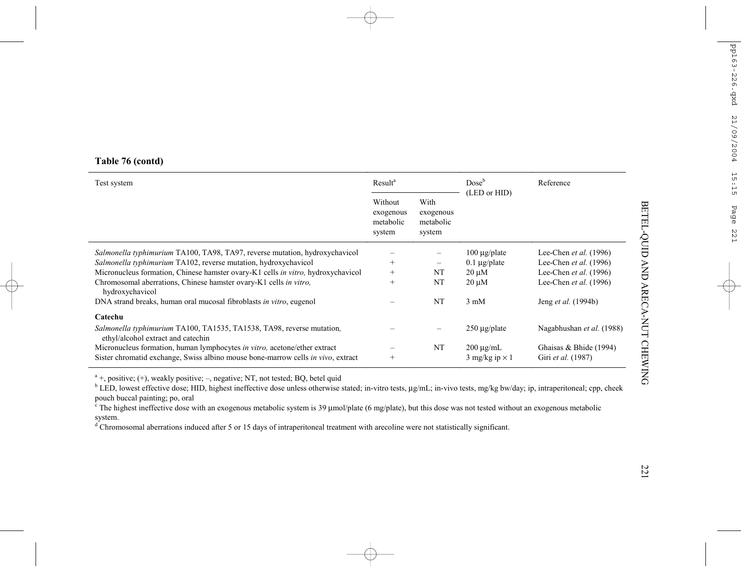| Test system                                                                                                                                                   | Result <sup>a</sup>                         |                                          | Dose <sup>b</sup>                       | Reference                                    |  |
|---------------------------------------------------------------------------------------------------------------------------------------------------------------|---------------------------------------------|------------------------------------------|-----------------------------------------|----------------------------------------------|--|
|                                                                                                                                                               | Without<br>exogenous<br>metabolic<br>system | With<br>exogenous<br>metabolic<br>system | (LED or HID)                            |                                              |  |
| Salmonella typhimurium TA100, TA98, TA97, reverse mutation, hydroxychavicol                                                                                   |                                             |                                          | $100 \mu g$ plate                       | Lee-Chen et al. (1996)                       |  |
| Salmonella typhimurium TA102, reverse mutation, hydroxychavicol                                                                                               | $^{+}$                                      | -                                        | $0.1 \mu g$ plate                       | Lee-Chen et al. (1996)                       |  |
| Micronucleus formation, Chinese hamster ovary-K1 cells in vitro, hydroxychavicol                                                                              | $^{+}$                                      | <b>NT</b>                                | $20 \mu M$                              | Lee-Chen et al. (1996)                       |  |
| Chromosomal aberrations, Chinese hamster ovary-K1 cells in vitro,<br>hydroxychavicol                                                                          | $^{+}$                                      | NT                                       | $20 \mu M$                              | Lee-Chen et al. (1996)                       |  |
| DNA strand breaks, human oral mucosal fibroblasts in vitro, eugenol                                                                                           |                                             | <b>NT</b>                                | $3 \text{ mM}$                          | Jeng <i>et al.</i> (1994b)                   |  |
| Catechu                                                                                                                                                       |                                             |                                          |                                         |                                              |  |
| Salmonella typhimurium TA100, TA1535, TA1538, TA98, reverse mutation,<br>ethyl/alcohol extract and catechin                                                   |                                             |                                          | $250 \mu g$ plate                       | Nagabhushan et al. (1988)                    |  |
| Micronucleus formation, human lymphocytes in vitro, acetone/ether extract<br>Sister chromatid exchange, Swiss albino mouse bone-marrow cells in vivo, extract | $^{+}$                                      | NT                                       | $200 \mu g/mL$<br>3 mg/kg ip $\times$ 1 | Ghaisas & Bhide (1994)<br>Giri et al. (1987) |  |

 $a +$ , positive; (+), weakly positive; –, negative; NT, not tested; BQ, betel quid

b LED, lowest effective dose; HID, highest ineffective dose unless otherwise stated; in-vitro tests, µg/mL; in-vivo tests, mg/kg bw/day; ip, intraperitoneal; cpp, cheek pouch buccal painting; po, oral

 $\epsilon$  The highest ineffective dose with an exogenous metabolic system is 39  $\mu$ mol/plate (6 mg/plate), but this dose was not tested without an exogenous metabolic system.

 $\sigma$ <sup>d</sup> Chromosomal aberrations induced after 5 or 15 days of intraperitoneal treatment with arecoline were not statistically significant.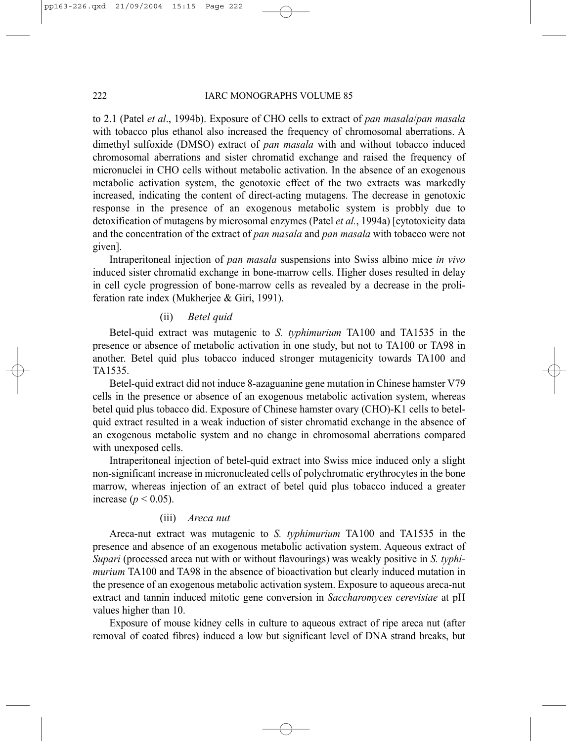to 2.1 (Patel *et al*., 1994b). Exposure of CHO cells to extract of *pan masala*/*pan masala* with tobacco plus ethanol also increased the frequency of chromosomal aberrations. A dimethyl sulfoxide (DMSO) extract of *pan masala* with and without tobacco induced chromosomal aberrations and sister chromatid exchange and raised the frequency of micronuclei in CHO cells without metabolic activation. In the absence of an exogenous metabolic activation system, the genotoxic effect of the two extracts was markedly increased, indicating the content of direct-acting mutagens. The decrease in genotoxic response in the presence of an exogenous metabolic system is probbly due to detoxification of mutagens by microsomal enzymes (Patel *et al.*, 1994a) [cytotoxicity data and the concentration of the extract of *pan masala* and *pan masala* with tobacco were not given].

Intraperitoneal injection of *pan masala* suspensions into Swiss albino mice *in vivo* induced sister chromatid exchange in bone-marrow cells. Higher doses resulted in delay in cell cycle progression of bone-marrow cells as revealed by a decrease in the proliferation rate index (Mukherjee & Giri, 1991).

# (ii) *Betel quid*

Betel-quid extract was mutagenic to *S. typhimurium* TA100 and TA1535 in the presence or absence of metabolic activation in one study, but not to TA100 or TA98 in another. Betel quid plus tobacco induced stronger mutagenicity towards TA100 and TA1535.

Betel-quid extract did not induce 8-azaguanine gene mutation in Chinese hamster V79 cells in the presence or absence of an exogenous metabolic activation system, whereas betel quid plus tobacco did. Exposure of Chinese hamster ovary (CHO)-K1 cells to betelquid extract resulted in a weak induction of sister chromatid exchange in the absence of an exogenous metabolic system and no change in chromosomal aberrations compared with unexposed cells.

Intraperitoneal injection of betel-quid extract into Swiss mice induced only a slight non-significant increase in micronucleated cells of polychromatic erythrocytes in the bone marrow, whereas injection of an extract of betel quid plus tobacco induced a greater increase ( $p < 0.05$ ).

# (iii) *Areca nut*

Areca-nut extract was mutagenic to *S. typhimurium* TA100 and TA1535 in the presence and absence of an exogenous metabolic activation system. Aqueous extract of *Supari* (processed areca nut with or without flavourings) was weakly positive in *S. typhimurium* TA100 and TA98 in the absence of bioactivation but clearly induced mutation in the presence of an exogenous metabolic activation system. Exposure to aqueous areca-nut extract and tannin induced mitotic gene conversion in *Saccharomyces cerevisiae* at pH values higher than 10.

Exposure of mouse kidney cells in culture to aqueous extract of ripe areca nut (after removal of coated fibres) induced a low but significant level of DNA strand breaks, but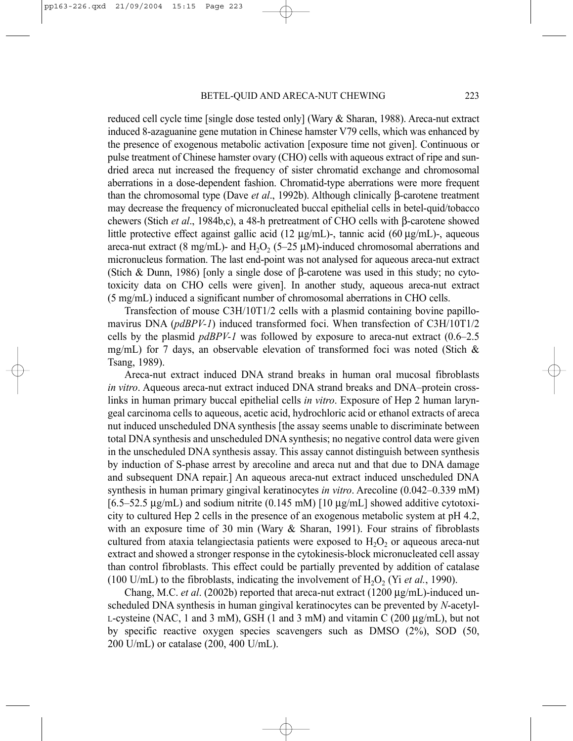reduced cell cycle time [single dose tested only] (Wary & Sharan, 1988). Areca-nut extract induced 8-azaguanine gene mutation in Chinese hamster V79 cells, which was enhanced by the presence of exogenous metabolic activation [exposure time not given]. Continuous or pulse treatment of Chinese hamster ovary (CHO) cells with aqueous extract of ripe and sundried areca nut increased the frequency of sister chromatid exchange and chromosomal aberrations in a dose-dependent fashion. Chromatid-type aberrations were more frequent than the chromosomal type (Dave *et al*., 1992b). Although clinically β-carotene treatment may decrease the frequency of micronucleated buccal epithelial cells in betel-quid/tobacco chewers (Stich *et al*., 1984b,c), a 48-h pretreatment of CHO cells with β-carotene showed little protective effect against gallic acid (12  $\mu$ g/mL)-, tannic acid (60  $\mu$ g/mL)-, aqueous areca-nut extract (8 mg/mL)- and H<sub>2</sub>O<sub>2</sub> (5–25  $\mu$ M)-induced chromosomal aberrations and micronucleus formation. The last end-point was not analysed for aqueous areca-nut extract (Stich & Dunn, 1986) [only a single dose of β-carotene was used in this study; no cytotoxicity data on CHO cells were given]. In another study, aqueous areca-nut extract (5 mg/mL) induced a significant number of chromosomal aberrations in CHO cells.

Transfection of mouse C3H/10T1/2 cells with a plasmid containing bovine papillomavirus DNA (*pdBPV-1*) induced transformed foci. When transfection of C3H/10T1/2 cells by the plasmid *pdBPV-1* was followed by exposure to areca-nut extract (0.6–2.5 mg/mL) for 7 days, an observable elevation of transformed foci was noted (Stich  $\&$ Tsang, 1989).

Areca-nut extract induced DNA strand breaks in human oral mucosal fibroblasts *in vitro*. Aqueous areca-nut extract induced DNA strand breaks and DNA–protein crosslinks in human primary buccal epithelial cells *in vitro*. Exposure of Hep 2 human laryngeal carcinoma cells to aqueous, acetic acid, hydrochloric acid or ethanol extracts of areca nut induced unscheduled DNA synthesis [the assay seems unable to discriminate between total DNA synthesis and unscheduled DNA synthesis; no negative control data were given in the unscheduled DNA synthesis assay. This assay cannot distinguish between synthesis by induction of S-phase arrest by arecoline and areca nut and that due to DNA damage and subsequent DNA repair.] An aqueous areca-nut extract induced unscheduled DNA synthesis in human primary gingival keratinocytes *in vitro*. Arecoline (0.042–0.339 mM)  $[6.5–52.5 \mu g/mL)$  and sodium nitrite  $(0.145 \text{ mM})$   $[10 \mu g/mL]$  showed additive cytotoxicity to cultured Hep 2 cells in the presence of an exogenous metabolic system at pH 4.2, with an exposure time of 30 min (Wary & Sharan, 1991). Four strains of fibroblasts cultured from ataxia telangiectasia patients were exposed to  $H<sub>2</sub>O<sub>2</sub>$  or aqueous areca-nut extract and showed a stronger response in the cytokinesis-block micronucleated cell assay than control fibroblasts. This effect could be partially prevented by addition of catalase (100 U/mL) to the fibroblasts, indicating the involvement of  $H_2O_2$  (Yi *et al.*, 1990).

Chang, M.C. *et al.* (2002b) reported that areca-nut extract (1200 µg/mL)-induced unscheduled DNA synthesis in human gingival keratinocytes can be prevented by *N*-acetyl-L-cysteine (NAC, 1 and 3 mM), GSH (1 and 3 mM) and vitamin C (200  $\mu$ g/mL), but not by specific reactive oxygen species scavengers such as DMSO (2%), SOD (50, 200 U/mL) or catalase (200, 400 U/mL).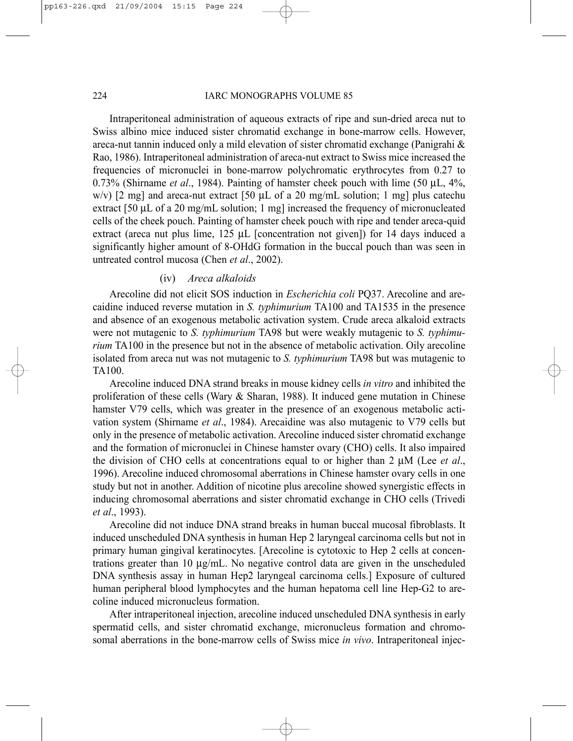#### 224 IARC MONOGRAPHS VOLUME 85

Intraperitoneal administration of aqueous extracts of ripe and sun-dried areca nut to Swiss albino mice induced sister chromatid exchange in bone-marrow cells. However, areca-nut tannin induced only a mild elevation of sister chromatid exchange (Panigrahi & Rao, 1986). Intraperitoneal administration of areca-nut extract to Swiss mice increased the frequencies of micronuclei in bone-marrow polychromatic erythrocytes from 0.27 to 0.73% (Shirname *et al*., 1984). Painting of hamster cheek pouch with lime (50 µL, 4%, w/v)  $[2 \text{ mg}]$  and areca-nut extract  $[50 \text{ uL of a 20 mg/mL solution}; 1 \text{ mg}]$  plus catechu extract [50 µL of a 20 mg/mL solution; 1 mg] increased the frequency of micronucleated cells of the cheek pouch. Painting of hamster cheek pouch with ripe and tender areca-quid extract (areca nut plus lime, 125 µL [concentration not given]) for 14 days induced a significantly higher amount of 8-OHdG formation in the buccal pouch than was seen in untreated control mucosa (Chen *et al*., 2002).

# (iv) *Areca alkaloids*

Arecoline did not elicit SOS induction in *Escherichia coli* PQ37. Arecoline and arecaidine induced reverse mutation in *S. typhimurium* TA100 and TA1535 in the presence and absence of an exogenous metabolic activation system. Crude areca alkaloid extracts were not mutagenic to *S. typhimurium* TA98 but were weakly mutagenic to *S. typhimurium* TA100 in the presence but not in the absence of metabolic activation. Oily arecoline isolated from areca nut was not mutagenic to *S. typhimurium* TA98 but was mutagenic to TA100.

Arecoline induced DNA strand breaks in mouse kidney cells *in vitro* and inhibited the proliferation of these cells (Wary & Sharan, 1988). It induced gene mutation in Chinese hamster V79 cells, which was greater in the presence of an exogenous metabolic activation system (Shirname *et al*., 1984). Arecaidine was also mutagenic to V79 cells but only in the presence of metabolic activation. Arecoline induced sister chromatid exchange and the formation of micronuclei in Chinese hamster ovary (CHO) cells. It also impaired the division of CHO cells at concentrations equal to or higher than 2 µM (Lee *et al*., 1996). Arecoline induced chromosomal aberrations in Chinese hamster ovary cells in one study but not in another. Addition of nicotine plus arecoline showed synergistic effects in inducing chromosomal aberrations and sister chromatid exchange in CHO cells (Trivedi *et al*., 1993).

Arecoline did not induce DNA strand breaks in human buccal mucosal fibroblasts. It induced unscheduled DNA synthesis in human Hep 2 laryngeal carcinoma cells but not in primary human gingival keratinocytes. [Arecoline is cytotoxic to Hep 2 cells at concentrations greater than 10 µg/mL. No negative control data are given in the unscheduled DNA synthesis assay in human Hep2 laryngeal carcinoma cells.] Exposure of cultured human peripheral blood lymphocytes and the human hepatoma cell line Hep-G2 to arecoline induced micronucleus formation.

After intraperitoneal injection, arecoline induced unscheduled DNA synthesis in early spermatid cells, and sister chromatid exchange, micronucleus formation and chromosomal aberrations in the bone-marrow cells of Swiss mice *in vivo*. Intraperitoneal injec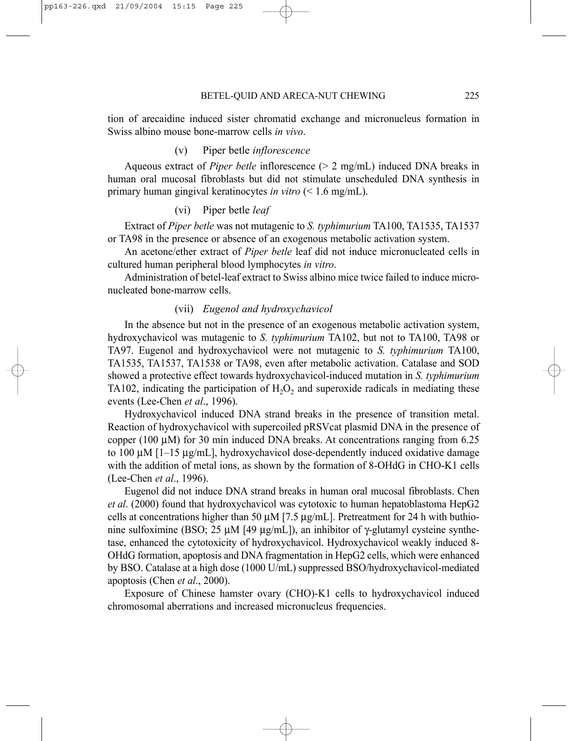tion of arecaidine induced sister chromatid exchange and micronucleus formation in Swiss albino mouse bone-marrow cells *in vivo*.

# (v) Piper betle *inflorescence*

Aqueous extract of *Piper betle* inflorescence (> 2 mg/mL) induced DNA breaks in human oral mucosal fibroblasts but did not stimulate unscheduled DNA synthesis in primary human gingival keratinocytes *in vitro* (< 1.6 mg/mL).

(vi) Piper betle *leaf* 

Extract of *Piper betle* was not mutagenic to *S. typhimurium* TA100, TA1535, TA1537 or TA98 in the presence or absence of an exogenous metabolic activation system.

An acetone/ether extract of *Piper betle* leaf did not induce micronucleated cells in cultured human peripheral blood lymphocytes *in vitro*.

Administration of betel-leaf extract to Swiss albino mice twice failed to induce micronucleated bone-marrow cells.

#### (vii) *Eugenol and hydroxychavicol*

In the absence but not in the presence of an exogenous metabolic activation system, hydroxychavicol was mutagenic to *S. typhimurium* TA102, but not to TA100, TA98 or TA97. Eugenol and hydroxychavicol were not mutagenic to *S. typhimurium* TA100, TA1535, TA1537, TA1538 or TA98, even after metabolic activation. Catalase and SOD showed a protective effect towards hydroxychavicol-induced mutation in *S. typhimurium* TA102, indicating the participation of  $H_2O_2$  and superoxide radicals in mediating these events (Lee-Chen *et al*., 1996).

Hydroxychavicol induced DNA strand breaks in the presence of transition metal. Reaction of hydroxychavicol with supercoiled pRSVcat plasmid DNA in the presence of copper (100  $\mu$ M) for 30 min induced DNA breaks. At concentrations ranging from 6.25 to 100  $\mu$ M [1–15  $\mu$ g/mL], hydroxychavicol dose-dependently induced oxidative damage with the addition of metal ions, as shown by the formation of 8-OHdG in CHO-K1 cells (Lee-Chen *et al*., 1996).

Eugenol did not induce DNA strand breaks in human oral mucosal fibroblasts. Chen *et al*. (2000) found that hydroxychavicol was cytotoxic to human hepatoblastoma HepG2 cells at concentrations higher than 50  $\mu$ M [7.5  $\mu$ g/mL]. Pretreatment for 24 h with buthionine sulfoximine (BSO; 25 μM [49 μg/mL]), an inhibitor of γ-glutamyl cysteine synthetase, enhanced the cytotoxicity of hydroxychavicol. Hydroxychavicol weakly induced 8- OHdG formation, apoptosis and DNA fragmentation in HepG2 cells, which were enhanced by BSO. Catalase at a high dose (1000 U/mL) suppressed BSO/hydroxychavicol-mediated apoptosis (Chen *et al*., 2000).

Exposure of Chinese hamster ovary (CHO)-K1 cells to hydroxychavicol induced chromosomal aberrations and increased micronucleus frequencies.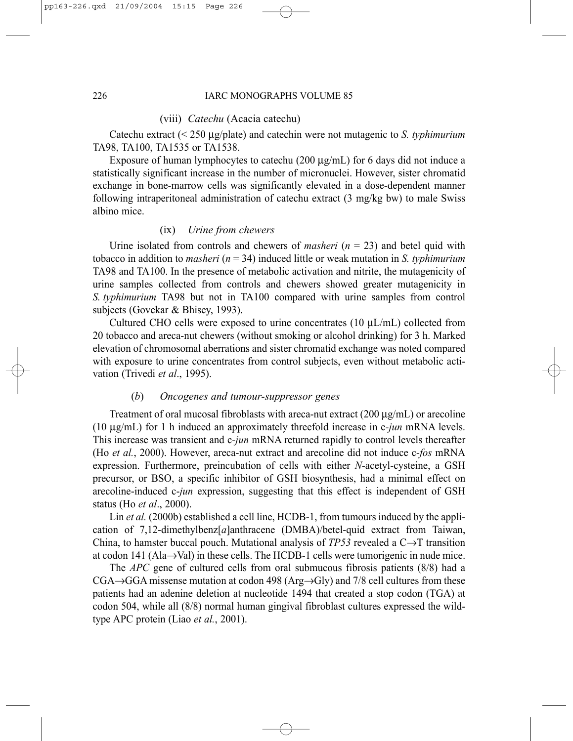(viii) *Catechu* (Acacia catechu)

Catechu extract (< 250 µg/plate) and catechin were not mutagenic to *S. typhimurium* TA98, TA100, TA1535 or TA1538.

Exposure of human lymphocytes to catechu (200  $\mu$ g/mL) for 6 days did not induce a statistically significant increase in the number of micronuclei. However, sister chromatid exchange in bone-marrow cells was significantly elevated in a dose-dependent manner following intraperitoneal administration of catechu extract (3 mg/kg bw) to male Swiss albino mice.

# (ix) *Urine from chewers*

Urine isolated from controls and chewers of *masheri* (*n* = 23) and betel quid with tobacco in addition to *masheri* (*n* = 34) induced little or weak mutation in *S. typhimurium* TA98 and TA100. In the presence of metabolic activation and nitrite, the mutagenicity of urine samples collected from controls and chewers showed greater mutagenicity in *S. typhimurium* TA98 but not in TA100 compared with urine samples from control subjects (Govekar & Bhisey, 1993).

Cultured CHO cells were exposed to urine concentrates  $(10 \mu L/mL)$  collected from 20 tobacco and areca-nut chewers (without smoking or alcohol drinking) for 3 h. Marked elevation of chromosomal aberrations and sister chromatid exchange was noted compared with exposure to urine concentrates from control subjects, even without metabolic activation (Trivedi *et al*., 1995).

#### (*b*) *Oncogenes and tumour-suppressor genes*

Treatment of oral mucosal fibroblasts with are ca-nut extract  $(200 \mu g/mL)$  or are coline (10 µg/mL) for 1 h induced an approximately threefold increase in c*-jun* mRNA levels. This increase was transient and c*-jun* mRNA returned rapidly to control levels thereafter (Ho *et al.*, 2000). However, areca-nut extract and arecoline did not induce c*-fos* mRNA expression. Furthermore, preincubation of cells with either *N*-acetyl-cysteine, a GSH precursor, or BSO, a specific inhibitor of GSH biosynthesis, had a minimal effect on arecoline-induced c-*jun* expression, suggesting that this effect is independent of GSH status (Ho *et al*., 2000).

Lin *et al.* (2000b) established a cell line, HCDB-1, from tumours induced by the application of 7,12-dimethylbenz[*a*]anthracene (DMBA)/betel-quid extract from Taiwan, China, to hamster buccal pouch. Mutational analysis of *TP53* revealed a C→T transition at codon 141 (Ala→Val) in these cells. The HCDB-1 cells were tumorigenic in nude mice.

The *APC* gene of cultured cells from oral submucous fibrosis patients (8/8) had a  $CGA \rightarrow GGA$  missense mutation at codon 498 (Arg $\rightarrow$ Gly) and 7/8 cell cultures from these patients had an adenine deletion at nucleotide 1494 that created a stop codon (TGA) at codon 504, while all (8/8) normal human gingival fibroblast cultures expressed the wildtype APC protein (Liao *et al.*, 2001).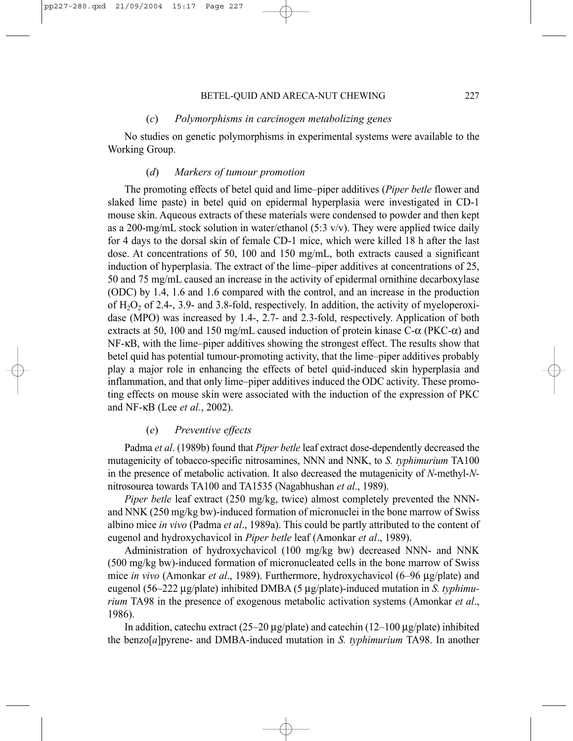# (*c*) *Polymorphisms in carcinogen metabolizing genes*

No studies on genetic polymorphisms in experimental systems were available to the Working Group.

# (*d*) *Markers of tumour promotion*

The promoting effects of betel quid and lime–piper additives (*Piper betle* flower and slaked lime paste) in betel quid on epidermal hyperplasia were investigated in CD-1 mouse skin. Aqueous extracts of these materials were condensed to powder and then kept as a 200-mg/mL stock solution in water/ethanol  $(5:3 \text{ v/v})$ . They were applied twice daily for 4 days to the dorsal skin of female CD-1 mice, which were killed 18 h after the last dose. At concentrations of 50, 100 and 150 mg/mL, both extracts caused a significant induction of hyperplasia. The extract of the lime–piper additives at concentrations of 25, 50 and 75 mg/mL caused an increase in the activity of epidermal ornithine decarboxylase (ODC) by 1.4, 1.6 and 1.6 compared with the control, and an increase in the production of  $H_2O_2$  of 2.4-, 3.9- and 3.8-fold, respectively. In addition, the activity of myeloperoxidase (MPO) was increased by 1.4-, 2.7- and 2.3-fold, respectively. Application of both extracts at 50, 100 and 150 mg/mL caused induction of protein kinase  $C-\alpha$  (PKC- $\alpha$ ) and NF-κB, with the lime–piper additives showing the strongest effect. The results show that betel quid has potential tumour-promoting activity, that the lime–piper additives probably play a major role in enhancing the effects of betel quid-induced skin hyperplasia and inflammation, and that only lime–piper additives induced the ODC activity. These promoting effects on mouse skin were associated with the induction of the expression of PKC and NF-κB (Lee *et al.*, 2002).

# (*e*) *Preventive effects*

Padma *et al*. (1989b) found that *Piper betle* leaf extract dose-dependently decreased the mutagenicity of tobacco-specific nitrosamines, NNN and NNK, to *S. typhimurium* TA100 in the presence of metabolic activation. It also decreased the mutagenicity of *N*-methyl-*N*nitrosourea towards TA100 and TA1535 (Nagabhushan *et al*., 1989).

*Piper betle* leaf extract (250 mg/kg, twice) almost completely prevented the NNNand NNK (250 mg/kg bw)-induced formation of micronuclei in the bone marrow of Swiss albino mice *in vivo* (Padma *et al*., 1989a). This could be partly attributed to the content of eugenol and hydroxychavicol in *Piper betle* leaf (Amonkar *et al*., 1989).

Administration of hydroxychavicol (100 mg/kg bw) decreased NNN- and NNK (500 mg/kg bw)-induced formation of micronucleated cells in the bone marrow of Swiss mice *in vivo* (Amonkar *et al*., 1989). Furthermore, hydroxychavicol (6–96 µg/plate) and eugenol (56–222 µg/plate) inhibited DMBA (5 µg/plate)-induced mutation in *S. typhimurium* TA98 in the presence of exogenous metabolic activation systems (Amonkar *et al*., 1986).

In addition, catechu extract  $(25-20 \mu g$  plate) and catechin  $(12-100 \mu g$  plate) inhibited the benzo[*a*]pyrene- and DMBA-induced mutation in *S. typhimurium* TA98. In another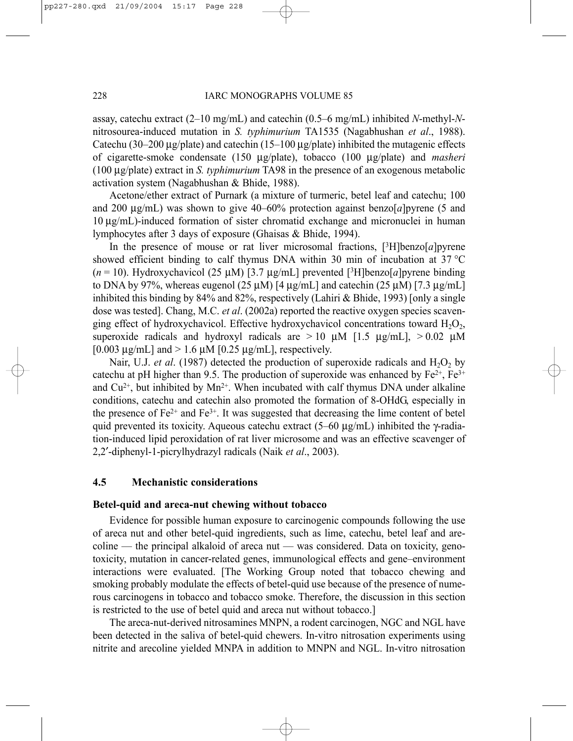assay, catechu extract (2–10 mg/mL) and catechin (0.5–6 mg/mL) inhibited *N*-methyl-*N*nitrosourea-induced mutation in *S. typhimurium* TA1535 (Nagabhushan *et al*., 1988). Catechu (30–200 µg/plate) and catechin (15–100 µg/plate) inhibited the mutagenic effects of cigarette-smoke condensate (150 µg/plate), tobacco (100 µg/plate) and *masheri* (100 µg/plate) extract in *S. typhimurium* TA98 in the presence of an exogenous metabolic activation system (Nagabhushan & Bhide, 1988).

Acetone/ether extract of Purnark (a mixture of turmeric, betel leaf and catechu; 100 and 200 µg/mL) was shown to give 40–60% protection against benzo[*a*]pyrene (5 and 10 µg/mL)-induced formation of sister chromatid exchange and micronuclei in human lymphocytes after 3 days of exposure (Ghaisas & Bhide, 1994).

In the presence of mouse or rat liver microsomal fractions,  $[3H]$ benzo $[a]$ pyrene showed efficient binding to calf thymus DNA within 30 min of incubation at 37 °C ( $n = 10$ ). Hydroxychavicol (25  $\mu$ M) [3.7  $\mu$ g/mL] prevented [<sup>3</sup>H]benzo[*a*]pyrene binding to DNA by 97%, whereas eugenol (25  $\mu$ M) [4  $\mu$ g/mL] and catechin (25  $\mu$ M) [7.3  $\mu$ g/mL] inhibited this binding by 84% and 82%, respectively (Lahiri & Bhide, 1993) [only a single dose was tested]. Chang, M.C. *et al*. (2002a) reported the reactive oxygen species scavenging effect of hydroxychavicol. Effective hydroxychavicol concentrations toward  $H_2O_2$ , superoxide radicals and hydroxyl radicals are  $> 10 \mu M$  [1.5  $\mu$ g/mL],  $> 0.02 \mu M$ [0.003  $\mu$ g/mL] and > 1.6  $\mu$ M [0.25  $\mu$ g/mL], respectively.

Nair, U.J. *et al.* (1987) detected the production of superoxide radicals and  $H_2O_2$  by catechu at pH higher than 9.5. The production of superoxide was enhanced by  $Fe^{2+}$ ,  $Fe^{3+}$ and  $Cu^{2+}$ , but inhibited by  $Mn^{2+}$ . When incubated with calf thymus DNA under alkaline conditions, catechu and catechin also promoted the formation of 8-OHdG, especially in the presence of  $Fe^{2+}$  and  $Fe^{3+}$ . It was suggested that decreasing the lime content of betel quid prevented its toxicity. Aqueous catechu extract (5–60  $\mu$ g/mL) inhibited the  $\gamma$ -radiation-induced lipid peroxidation of rat liver microsome and was an effective scavenger of 2,2′-diphenyl-1-picrylhydrazyl radicals (Naik *et al*., 2003).

#### **4.5 Mechanistic considerations**

#### **Betel-quid and areca-nut chewing without tobacco**

Evidence for possible human exposure to carcinogenic compounds following the use of areca nut and other betel-quid ingredients, such as lime, catechu, betel leaf and arecoline — the principal alkaloid of areca nut — was considered. Data on toxicity, genotoxicity, mutation in cancer-related genes, immunological effects and gene–environment interactions were evaluated. [The Working Group noted that tobacco chewing and smoking probably modulate the effects of betel-quid use because of the presence of numerous carcinogens in tobacco and tobacco smoke. Therefore, the discussion in this section is restricted to the use of betel quid and areca nut without tobacco.]

The areca-nut-derived nitrosamines MNPN, a rodent carcinogen, NGC and NGL have been detected in the saliva of betel-quid chewers. In-vitro nitrosation experiments using nitrite and arecoline yielded MNPA in addition to MNPN and NGL. In-vitro nitrosation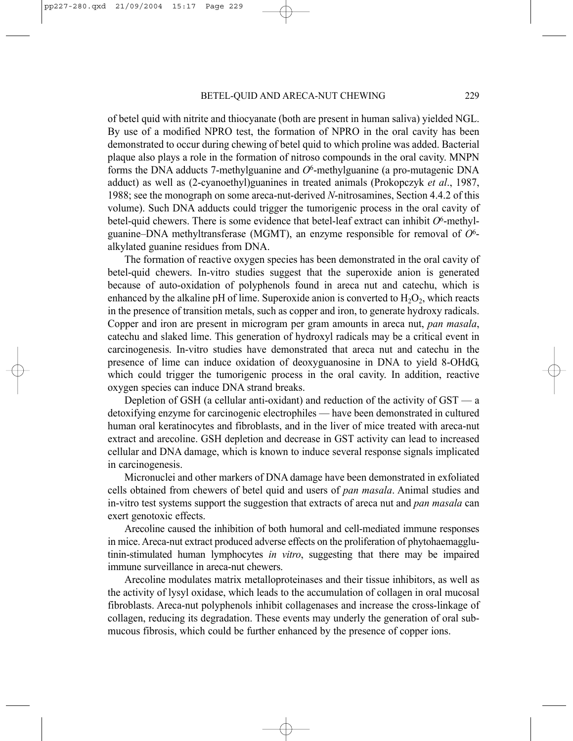of betel quid with nitrite and thiocyanate (both are present in human saliva) yielded NGL. By use of a modified NPRO test, the formation of NPRO in the oral cavity has been demonstrated to occur during chewing of betel quid to which proline was added. Bacterial plaque also plays a role in the formation of nitroso compounds in the oral cavity. MNPN forms the DNA adducts 7-methylguanine and *O*6-methylguanine (a pro-mutagenic DNA adduct) as well as (2-cyanoethyl)guanines in treated animals (Prokopczyk *et al*., 1987, 1988; see the monograph on some areca-nut-derived *N*-nitrosamines, Section 4.4.2 of this volume). Such DNA adducts could trigger the tumorigenic process in the oral cavity of betel-quid chewers. There is some evidence that betel-leaf extract can inhibit *O*6-methylguanine–DNA methyltransferase (MGMT), an enzyme responsible for removal of *O*6 alkylated guanine residues from DNA.

The formation of reactive oxygen species has been demonstrated in the oral cavity of betel-quid chewers. In-vitro studies suggest that the superoxide anion is generated because of auto-oxidation of polyphenols found in areca nut and catechu, which is enhanced by the alkaline pH of lime. Superoxide anion is converted to  $H_2O_2$ , which reacts in the presence of transition metals, such as copper and iron, to generate hydroxy radicals. Copper and iron are present in microgram per gram amounts in areca nut, *pan masala*, catechu and slaked lime. This generation of hydroxyl radicals may be a critical event in carcinogenesis. In-vitro studies have demonstrated that areca nut and catechu in the presence of lime can induce oxidation of deoxyguanosine in DNA to yield 8-OHdG, which could trigger the tumorigenic process in the oral cavity. In addition, reactive oxygen species can induce DNA strand breaks.

Depletion of GSH (a cellular anti-oxidant) and reduction of the activity of GST — a detoxifying enzyme for carcinogenic electrophiles — have been demonstrated in cultured human oral keratinocytes and fibroblasts, and in the liver of mice treated with areca-nut extract and arecoline. GSH depletion and decrease in GST activity can lead to increased cellular and DNA damage, which is known to induce several response signals implicated in carcinogenesis.

Micronuclei and other markers of DNA damage have been demonstrated in exfoliated cells obtained from chewers of betel quid and users of *pan masala*. Animal studies and in-vitro test systems support the suggestion that extracts of areca nut and *pan masala* can exert genotoxic effects.

Arecoline caused the inhibition of both humoral and cell-mediated immune responses in mice. Areca-nut extract produced adverse effects on the proliferation of phytohaemagglutinin-stimulated human lymphocytes *in vitro*, suggesting that there may be impaired immune surveillance in areca-nut chewers.

Arecoline modulates matrix metalloproteinases and their tissue inhibitors, as well as the activity of lysyl oxidase, which leads to the accumulation of collagen in oral mucosal fibroblasts. Areca-nut polyphenols inhibit collagenases and increase the cross-linkage of collagen, reducing its degradation. These events may underly the generation of oral submucous fibrosis, which could be further enhanced by the presence of copper ions.